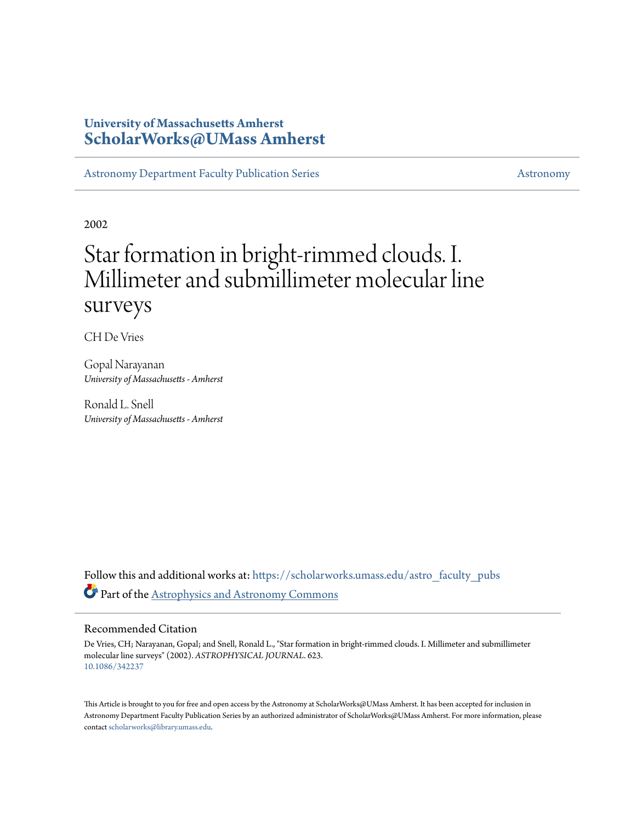# **University of Massachusetts Amherst [ScholarWorks@UMass Amherst](https://scholarworks.umass.edu?utm_source=scholarworks.umass.edu%2Fastro_faculty_pubs%2F623&utm_medium=PDF&utm_campaign=PDFCoverPages)**

[Astronomy Department Faculty Publication Series](https://scholarworks.umass.edu/astro_faculty_pubs?utm_source=scholarworks.umass.edu%2Fastro_faculty_pubs%2F623&utm_medium=PDF&utm_campaign=PDFCoverPages) [Astronomy](https://scholarworks.umass.edu/astro?utm_source=scholarworks.umass.edu%2Fastro_faculty_pubs%2F623&utm_medium=PDF&utm_campaign=PDFCoverPages)

2002

# Star formation in bright-rimmed clouds. I. Millimeter and submillimeter molecular line surveys

CH De Vries

Gopal Narayanan *University of Massachusetts - Amherst*

Ronald L. Snell *University of Massachusetts - Amherst*

Follow this and additional works at: [https://scholarworks.umass.edu/astro\\_faculty\\_pubs](https://scholarworks.umass.edu/astro_faculty_pubs?utm_source=scholarworks.umass.edu%2Fastro_faculty_pubs%2F623&utm_medium=PDF&utm_campaign=PDFCoverPages) Part of the [Astrophysics and Astronomy Commons](http://network.bepress.com/hgg/discipline/123?utm_source=scholarworks.umass.edu%2Fastro_faculty_pubs%2F623&utm_medium=PDF&utm_campaign=PDFCoverPages)

# Recommended Citation

De Vries, CH; Narayanan, Gopal; and Snell, Ronald L., "Star formation in bright-rimmed clouds. I. Millimeter and submillimeter molecular line surveys" (2002). *ASTROPHYSICAL JOURNAL*. 623. <10.1086/342237>

This Article is brought to you for free and open access by the Astronomy at ScholarWorks@UMass Amherst. It has been accepted for inclusion in Astronomy Department Faculty Publication Series by an authorized administrator of ScholarWorks@UMass Amherst. For more information, please contact [scholarworks@library.umass.edu](mailto:scholarworks@library.umass.edu).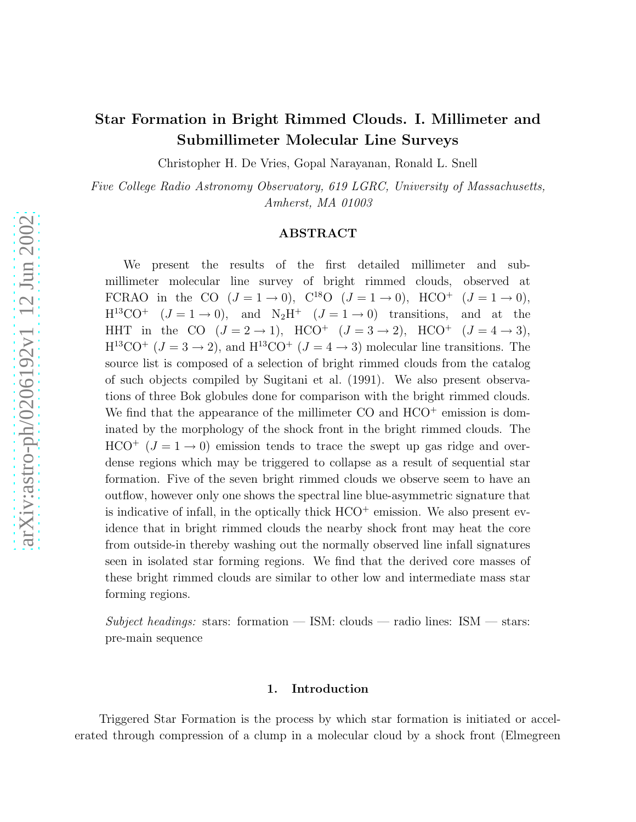# Star Formation in Bright Rimmed Clouds. I. Millimeter and Submillimeter Molecular Line Surveys

Christopher H. De Vries, Gopal Narayanan, Ronald L. Snell

*Five College Radio Astronomy Observatory, 619 LGRC, University of Massachusetts, Amherst, MA 01003*

# ABSTRACT

We present the results of the first detailed millimeter and submillimeter molecular line survey of bright rimmed clouds, observed at FCRAO in the CO  $(J = 1 \rightarrow 0)$ ,  $C^{18}O$   $(J = 1 \rightarrow 0)$ ,  $HCO^+$   $(J = 1 \rightarrow 0)$ ,  $H^{13}CO^{+}$   $(J = 1 \rightarrow 0)$ , and  $N_2H^{+}$   $(J = 1 \rightarrow 0)$  transitions, and at the HHT in the CO  $(J = 2 \rightarrow 1)$ , HCO<sup>+</sup>  $(J = 3 \rightarrow 2)$ , HCO<sup>+</sup>  $(J = 4 \rightarrow 3)$ ,  $H^{13}CO^{+}$  ( $J = 3 \rightarrow 2$ ), and  $H^{13}CO^{+}$  ( $J = 4 \rightarrow 3$ ) molecular line transitions. The source list is composed of a selection of bright rimmed clouds from the catalog of such objects compiled by Sugitani et al. (1991). We also present observations of three Bok globules done for comparison with the bright rimmed clouds. We find that the appearance of the millimeter  $CO$  and  $HCO<sup>+</sup>$  emission is dominated by the morphology of the shock front in the bright rimmed clouds. The  $HCO<sup>+</sup>$  ( $J = 1 \rightarrow 0$ ) emission tends to trace the swept up gas ridge and overdense regions which may be triggered to collapse as a result of sequential star formation. Five of the seven bright rimmed clouds we observe seem to have an outflow, however only one shows the spectral line blue-asymmetric signature that is indicative of infall, in the optically thick  $HCO<sup>+</sup>$  emission. We also present evidence that in bright rimmed clouds the nearby shock front may heat the core from outside-in thereby washing out the normally observed line infall signatures seen in isolated star forming regions. We find that the derived core masses of these bright rimmed clouds are similar to other low and intermediate mass star forming regions.

*Subject headings:* stars: formation — ISM: clouds — radio lines: ISM — stars: pre-main sequence

#### 1. Introduction

Triggered Star Formation is the process by which star formation is initiated or accelerated through compression of a clump in a molecular cloud by a shock front (Elmegreen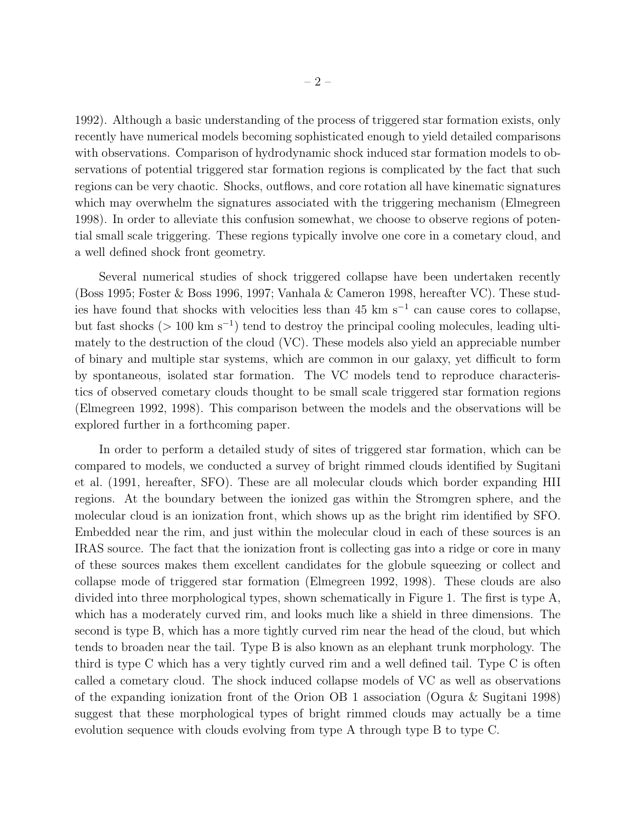1992). Although a basic understanding of the process of triggered star formation exists, only recently have numerical models becoming sophisticated enough to yield detailed comparisons with observations. Comparison of hydrodynamic shock induced star formation models to observations of potential triggered star formation regions is complicated by the fact that such regions can be very chaotic. Shocks, outflows, and core rotation all have kinematic signatures which may overwhelm the signatures associated with the triggering mechanism (Elmegreen 1998). In order to alleviate this confusion somewhat, we choose to observe regions of potential small scale triggering. These regions typically involve one core in a cometary cloud, and a well defined shock front geometry.

Several numerical studies of shock triggered collapse have been undertaken recently (Boss 1995; Foster & Boss 1996, 1997; Vanhala & Cameron 1998, hereafter VC). These studies have found that shocks with velocities less than 45 km s<sup>−</sup><sup>1</sup> can cause cores to collapse, but fast shocks ( $> 100 \text{ km s}^{-1}$ ) tend to destroy the principal cooling molecules, leading ultimately to the destruction of the cloud (VC). These models also yield an appreciable number of binary and multiple star systems, which are common in our galaxy, yet difficult to form by spontaneous, isolated star formation. The VC models tend to reproduce characteristics of observed cometary clouds thought to be small scale triggered star formation regions (Elmegreen 1992, 1998). This comparison between the models and the observations will be explored further in a forthcoming paper.

In order to perform a detailed study of sites of triggered star formation, which can be compared to models, we conducted a survey of bright rimmed clouds identified by Sugitani et al. (1991, hereafter, SFO). These are all molecular clouds which border expanding HII regions. At the boundary between the ionized gas within the Stromgren sphere, and the molecular cloud is an ionization front, which shows up as the bright rim identified by SFO. Embedded near the rim, and just within the molecular cloud in each of these sources is an IRAS source. The fact that the ionization front is collecting gas into a ridge or core in many of these sources makes them excellent candidates for the globule squeezing or collect and collapse mode of triggered star formation (Elmegreen 1992, 1998). These clouds are also divided into three morphological types, shown schematically in Figure 1. The first is type A, which has a moderately curved rim, and looks much like a shield in three dimensions. The second is type B, which has a more tightly curved rim near the head of the cloud, but which tends to broaden near the tail. Type B is also known as an elephant trunk morphology. The third is type C which has a very tightly curved rim and a well defined tail. Type C is often called a cometary cloud. The shock induced collapse models of VC as well as observations of the expanding ionization front of the Orion OB 1 association (Ogura & Sugitani 1998) suggest that these morphological types of bright rimmed clouds may actually be a time evolution sequence with clouds evolving from type A through type B to type C.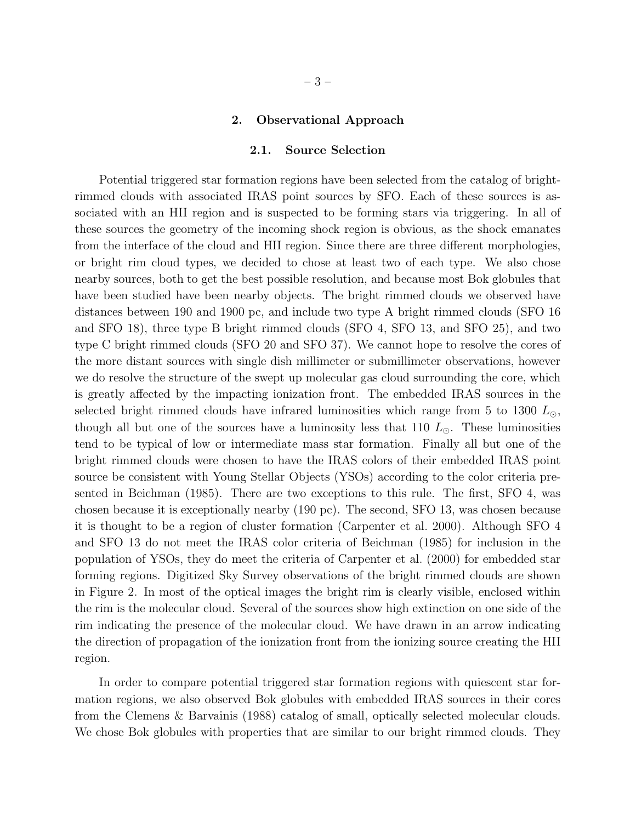#### 2. Observational Approach

#### 2.1. Source Selection

Potential triggered star formation regions have been selected from the catalog of brightrimmed clouds with associated IRAS point sources by SFO. Each of these sources is associated with an HII region and is suspected to be forming stars via triggering. In all of these sources the geometry of the incoming shock region is obvious, as the shock emanates from the interface of the cloud and HII region. Since there are three different morphologies, or bright rim cloud types, we decided to chose at least two of each type. We also chose nearby sources, both to get the best possible resolution, and because most Bok globules that have been studied have been nearby objects. The bright rimmed clouds we observed have distances between 190 and 1900 pc, and include two type A bright rimmed clouds (SFO 16 and SFO 18), three type B bright rimmed clouds (SFO 4, SFO 13, and SFO 25), and two type C bright rimmed clouds (SFO 20 and SFO 37). We cannot hope to resolve the cores of the more distant sources with single dish millimeter or submillimeter observations, however we do resolve the structure of the swept up molecular gas cloud surrounding the core, which is greatly affected by the impacting ionization front. The embedded IRAS sources in the selected bright rimmed clouds have infrared luminosities which range from 5 to 1300  $L_{\odot}$ , though all but one of the sources have a luminosity less that 110  $L_{\odot}$ . These luminosities tend to be typical of low or intermediate mass star formation. Finally all but one of the bright rimmed clouds were chosen to have the IRAS colors of their embedded IRAS point source be consistent with Young Stellar Objects (YSOs) according to the color criteria presented in Beichman (1985). There are two exceptions to this rule. The first, SFO 4, was chosen because it is exceptionally nearby (190 pc). The second, SFO 13, was chosen because it is thought to be a region of cluster formation (Carpenter et al. 2000). Although SFO 4 and SFO 13 do not meet the IRAS color criteria of Beichman (1985) for inclusion in the population of YSOs, they do meet the criteria of Carpenter et al. (2000) for embedded star forming regions. Digitized Sky Survey observations of the bright rimmed clouds are shown in Figure 2. In most of the optical images the bright rim is clearly visible, enclosed within the rim is the molecular cloud. Several of the sources show high extinction on one side of the rim indicating the presence of the molecular cloud. We have drawn in an arrow indicating the direction of propagation of the ionization front from the ionizing source creating the HII region.

In order to compare potential triggered star formation regions with quiescent star formation regions, we also observed Bok globules with embedded IRAS sources in their cores from the Clemens & Barvainis (1988) catalog of small, optically selected molecular clouds. We chose Bok globules with properties that are similar to our bright rimmed clouds. They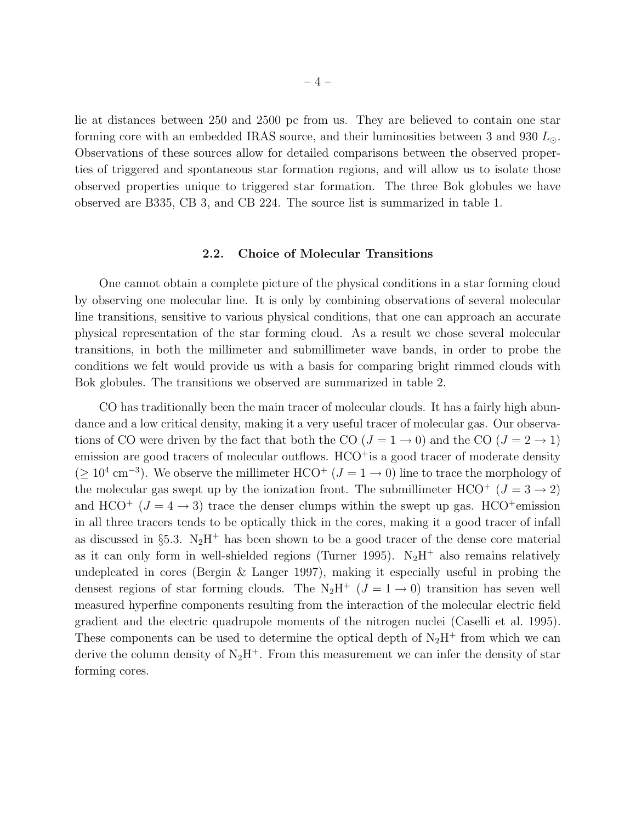lie at distances between 250 and 2500 pc from us. They are believed to contain one star forming core with an embedded IRAS source, and their luminosities between 3 and 930  $L_{\odot}$ . Observations of these sources allow for detailed comparisons between the observed properties of triggered and spontaneous star formation regions, and will allow us to isolate those observed properties unique to triggered star formation. The three Bok globules we have observed are B335, CB 3, and CB 224. The source list is summarized in table 1.

## 2.2. Choice of Molecular Transitions

One cannot obtain a complete picture of the physical conditions in a star forming cloud by observing one molecular line. It is only by combining observations of several molecular line transitions, sensitive to various physical conditions, that one can approach an accurate physical representation of the star forming cloud. As a result we chose several molecular transitions, in both the millimeter and submillimeter wave bands, in order to probe the conditions we felt would provide us with a basis for comparing bright rimmed clouds with Bok globules. The transitions we observed are summarized in table 2.

CO has traditionally been the main tracer of molecular clouds. It has a fairly high abundance and a low critical density, making it a very useful tracer of molecular gas. Our observations of CO were driven by the fact that both the CO  $(J = 1 \rightarrow 0)$  and the CO  $(J = 2 \rightarrow 1)$ emission are good tracers of molecular outflows.  $HCO<sup>+</sup>$  is a good tracer of moderate density  $(\geq 10^4 \text{ cm}^{-3})$ . We observe the millimeter HCO<sup>+</sup> ( $J = 1 \rightarrow 0$ ) line to trace the morphology of the molecular gas swept up by the ionization front. The submillimeter  $HCO^{+}$  ( $J = 3 \rightarrow 2$ ) and HCO<sup>+</sup> ( $J = 4 \rightarrow 3$ ) trace the denser clumps within the swept up gas. HCO<sup>+</sup>emission in all three tracers tends to be optically thick in the cores, making it a good tracer of infall as discussed in §5.3. N<sub>2</sub>H<sup>+</sup> has been shown to be a good tracer of the dense core material as it can only form in well-shielded regions (Turner 1995).  $N_2H^+$  also remains relatively undepleated in cores (Bergin & Langer 1997), making it especially useful in probing the densest regions of star forming clouds. The N<sub>2</sub>H<sup>+</sup> ( $J = 1 \rightarrow 0$ ) transition has seven well measured hyperfine components resulting from the interaction of the molecular electric field gradient and the electric quadrupole moments of the nitrogen nuclei (Caselli et al. 1995). These components can be used to determine the optical depth of  $N_2H^+$  from which we can derive the column density of  $N_2H^+$ . From this measurement we can infer the density of star forming cores.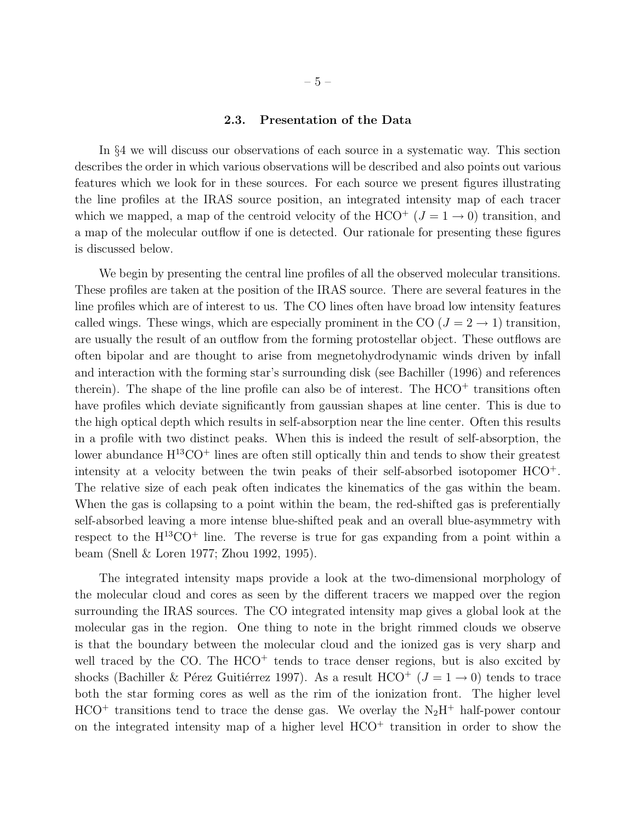#### 2.3. Presentation of the Data

In §4 we will discuss our observations of each source in a systematic way. This section describes the order in which various observations will be described and also points out various features which we look for in these sources. For each source we present figures illustrating the line profiles at the IRAS source position, an integrated intensity map of each tracer which we mapped, a map of the centroid velocity of the HCO<sup>+</sup>  $(J = 1 \rightarrow 0)$  transition, and a map of the molecular outflow if one is detected. Our rationale for presenting these figures is discussed below.

We begin by presenting the central line profiles of all the observed molecular transitions. These profiles are taken at the position of the IRAS source. There are several features in the line profiles which are of interest to us. The CO lines often have broad low intensity features called wings. These wings, which are especially prominent in the CO  $(J = 2 \rightarrow 1)$  transition, are usually the result of an outflow from the forming protostellar object. These outflows are often bipolar and are thought to arise from megnetohydrodynamic winds driven by infall and interaction with the forming star's surrounding disk (see Bachiller (1996) and references therein). The shape of the line profile can also be of interest. The  $HCO<sup>+</sup>$  transitions often have profiles which deviate significantly from gaussian shapes at line center. This is due to the high optical depth which results in self-absorption near the line center. Often this results in a profile with two distinct peaks. When this is indeed the result of self-absorption, the lower abundance  $H^{13}CO<sup>+</sup>$  lines are often still optically thin and tends to show their greatest intensity at a velocity between the twin peaks of their self-absorbed isotopomer HCO<sup>+</sup>. The relative size of each peak often indicates the kinematics of the gas within the beam. When the gas is collapsing to a point within the beam, the red-shifted gas is preferentially self-absorbed leaving a more intense blue-shifted peak and an overall blue-asymmetry with respect to the  $H^{13}CO<sup>+</sup>$  line. The reverse is true for gas expanding from a point within a beam (Snell & Loren 1977; Zhou 1992, 1995).

The integrated intensity maps provide a look at the two-dimensional morphology of the molecular cloud and cores as seen by the different tracers we mapped over the region surrounding the IRAS sources. The CO integrated intensity map gives a global look at the molecular gas in the region. One thing to note in the bright rimmed clouds we observe is that the boundary between the molecular cloud and the ionized gas is very sharp and well traced by the CO. The  $HCO<sup>+</sup>$  tends to trace denser regions, but is also excited by shocks (Bachiller & Pérez Guitiérrez 1997). As a result  $HCO^+$  ( $J = 1 \rightarrow 0$ ) tends to trace both the star forming cores as well as the rim of the ionization front. The higher level  $HCO<sup>+</sup>$  transitions tend to trace the dense gas. We overlay the N<sub>2</sub>H<sup>+</sup> half-power contour on the integrated intensity map of a higher level  $HCO<sup>+</sup>$  transition in order to show the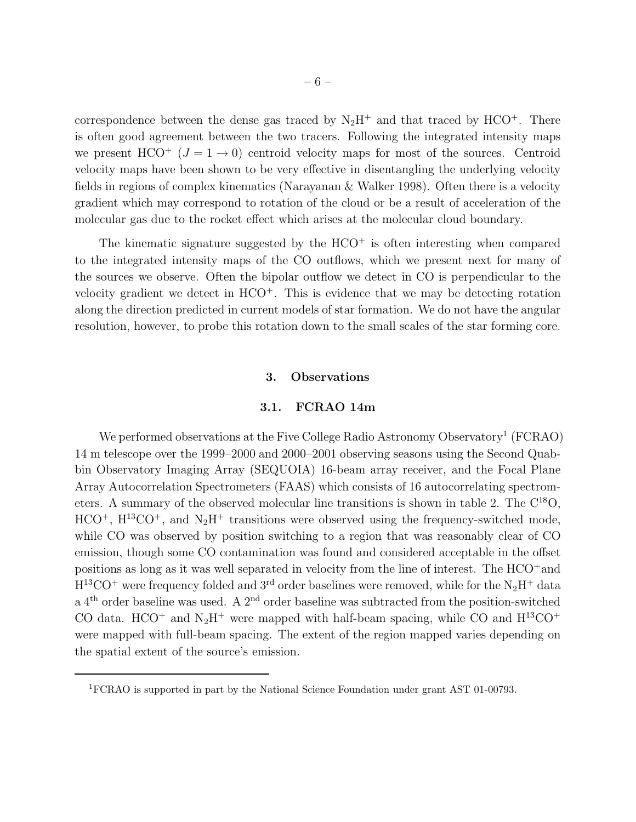correspondence between the dense gas traced by  $N_2H^+$  and that traced by  $HCO^+$ . There is often good agreement between the two tracers. Following the integrated intensity maps we present  $HCO^+$  ( $J = 1 \rightarrow 0$ ) centroid velocity maps for most of the sources. Centroid velocity maps have been shown to be very effective in disentangling the underlying velocity fields in regions of complex kinematics (Narayanan & Walker 1998). Often there is a velocity gradient which may correspond to rotation of the cloud or be a result of acceleration of the molecular gas due to the rocket effect which arises at the molecular cloud boundary.

The kinematic signature suggested by the  $HCO<sup>+</sup>$  is often interesting when compared to the integrated intensity maps of the CO outflows, which we present next for many of the sources we observe. Often the bipolar outflow we detect in CO is perpendicular to the velocity gradient we detect in  $HCO<sup>+</sup>$ . This is evidence that we may be detecting rotation along the direction predicted in current models of star formation. We do not have the angular resolution, however, to probe this rotation down to the small scales of the star forming core.

#### 3. Observations

# 3.1. FCRAO 14m

We performed observations at the Five College Radio Astronomy Observatory<sup>1</sup> (FCRAO) 14 m telescope over the 1999–2000 and 2000–2001 observing seasons using the Second Quabbin Observatory Imaging Array (SEQUOIA) 16-beam array receiver, and the Focal Plane Array Autocorrelation Spectrometers (FAAS) which consists of 16 autocorrelating spectrometers. A summary of the observed molecular line transitions is shown in table 2. The  $C^{18}O$ ,  $HCO<sup>+</sup>$ ,  $H<sup>13</sup>CO<sup>+</sup>$ , and  $N<sub>2</sub>H<sup>+</sup>$  transitions were observed using the frequency-switched mode, while CO was observed by position switching to a region that was reasonably clear of CO emission, though some CO contamination was found and considered acceptable in the offset positions as long as it was well separated in velocity from the line of interest. The HCO<sup>+</sup>and  $H^{13}CO^{+}$  were frequency folded and 3<sup>rd</sup> order baselines were removed, while for the N<sub>2</sub>H<sup>+</sup> data a  $4<sup>th</sup>$  order baseline was used. A  $2<sup>nd</sup>$  order baseline was subtracted from the position-switched CO data. HCO<sup>+</sup> and N<sub>2</sub>H<sup>+</sup> were mapped with half-beam spacing, while CO and H<sup>13</sup>CO<sup>+</sup> were mapped with full-beam spacing. The extent of the region mapped varies depending on the spatial extent of the source's emission.

<sup>1</sup>FCRAO is supported in part by the National Science Foundation under grant AST 01-00793.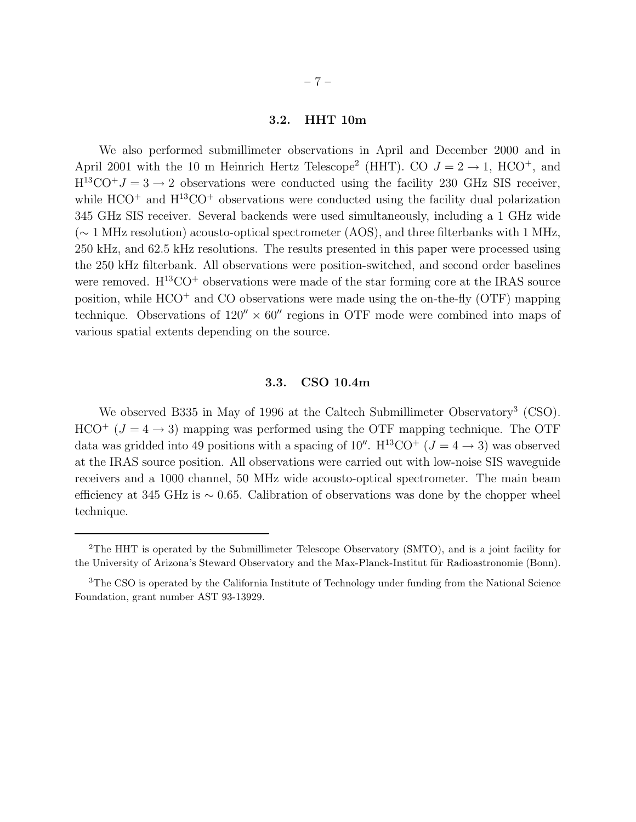## 3.2. HHT 10m

We also performed submillimeter observations in April and December 2000 and in April 2001 with the 10 m Heinrich Hertz Telescope<sup>2</sup> (HHT). CO  $J = 2 \rightarrow 1$ , HCO<sup>+</sup>, and  $H^{13}CO+J=3\rightarrow 2$  observations were conducted using the facility 230 GHz SIS receiver, while  $HCO^+$  and  $H^{13}CO^+$  observations were conducted using the facility dual polarization 345 GHz SIS receiver. Several backends were used simultaneously, including a 1 GHz wide (∼ 1 MHz resolution) acousto-optical spectrometer (AOS), and three filterbanks with 1 MHz, 250 kHz, and 62.5 kHz resolutions. The results presented in this paper were processed using the 250 kHz filterbank. All observations were position-switched, and second order baselines were removed.  $H^{13}CO^{+}$  observations were made of the star forming core at the IRAS source position, while  $HCO<sup>+</sup>$  and CO observations were made using the on-the-fly (OTF) mapping technique. Observations of  $120'' \times 60''$  regions in OTF mode were combined into maps of various spatial extents depending on the source.

### 3.3. CSO 10.4m

We observed B335 in May of 1996 at the Caltech Submillimeter Observatory<sup>3</sup> (CSO).  $HCO^{+}$  ( $J = 4 \rightarrow 3$ ) mapping was performed using the OTF mapping technique. The OTF data was gridded into 49 positions with a spacing of 10''.  $H^{13}CO^{+}$  ( $J = 4 \rightarrow 3$ ) was observed at the IRAS source position. All observations were carried out with low-noise SIS waveguide receivers and a 1000 channel, 50 MHz wide acousto-optical spectrometer. The main beam efficiency at 345 GHz is ∼ 0.65. Calibration of observations was done by the chopper wheel technique.

<sup>&</sup>lt;sup>2</sup>The HHT is operated by the Submillimeter Telescope Observatory (SMTO), and is a joint facility for the University of Arizona's Steward Observatory and the Max-Planck-Institut für Radioastronomie (Bonn).

<sup>3</sup>The CSO is operated by the California Institute of Technology under funding from the National Science Foundation, grant number AST 93-13929.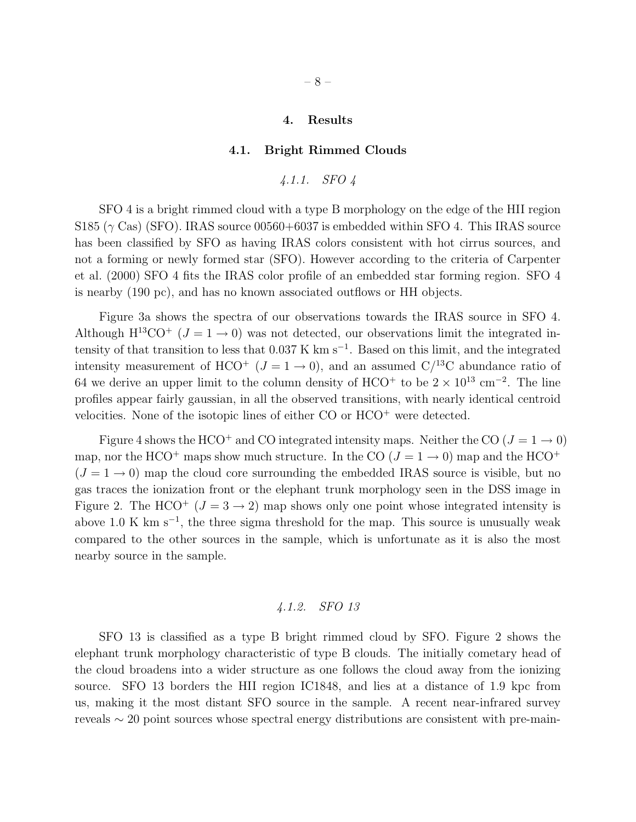#### 4. Results

#### 4.1. Bright Rimmed Clouds

$$
\textit{4.1.1.} \quad \textit{SFO 4}
$$

SFO 4 is a bright rimmed cloud with a type B morphology on the edge of the HII region S185 ( $\gamma$  Cas) (SFO). IRAS source 00560+6037 is embedded within SFO 4. This IRAS source has been classified by SFO as having IRAS colors consistent with hot cirrus sources, and not a forming or newly formed star (SFO). However according to the criteria of Carpenter et al. (2000) SFO 4 fits the IRAS color profile of an embedded star forming region. SFO 4 is nearby (190 pc), and has no known associated outflows or HH objects.

Figure 3a shows the spectra of our observations towards the IRAS source in SFO 4. Although  $H^{13}CO^{+}$  ( $J = 1 \rightarrow 0$ ) was not detected, our observations limit the integrated intensity of that transition to less that 0.037 K km s<sup>−</sup><sup>1</sup> . Based on this limit, and the integrated intensity measurement of HCO<sup>+</sup> ( $J = 1 \rightarrow 0$ ), and an assumed C/<sup>13</sup>C abundance ratio of 64 we derive an upper limit to the column density of HCO<sup>+</sup> to be  $2 \times 10^{13}$  cm<sup>-2</sup>. The line profiles appear fairly gaussian, in all the observed transitions, with nearly identical centroid velocities. None of the isotopic lines of either CO or HCO<sup>+</sup> were detected.

Figure 4 shows the HCO<sup>+</sup> and CO integrated intensity maps. Neither the CO ( $J = 1 \rightarrow 0$ ) map, nor the HCO<sup>+</sup> maps show much structure. In the CO ( $J = 1 \rightarrow 0$ ) map and the HCO<sup>+</sup>  $(J = 1 \rightarrow 0)$  map the cloud core surrounding the embedded IRAS source is visible, but no gas traces the ionization front or the elephant trunk morphology seen in the DSS image in Figure 2. The HCO<sup>+</sup> ( $J = 3 \rightarrow 2$ ) map shows only one point whose integrated intensity is above 1.0 K km  $s^{-1}$ , the three sigma threshold for the map. This source is unusually weak compared to the other sources in the sample, which is unfortunate as it is also the most nearby source in the sample.

# *4.1.2. SFO 13*

SFO 13 is classified as a type B bright rimmed cloud by SFO. Figure 2 shows the elephant trunk morphology characteristic of type B clouds. The initially cometary head of the cloud broadens into a wider structure as one follows the cloud away from the ionizing source. SFO 13 borders the HII region IC1848, and lies at a distance of 1.9 kpc from us, making it the most distant SFO source in the sample. A recent near-infrared survey reveals ∼ 20 point sources whose spectral energy distributions are consistent with pre-main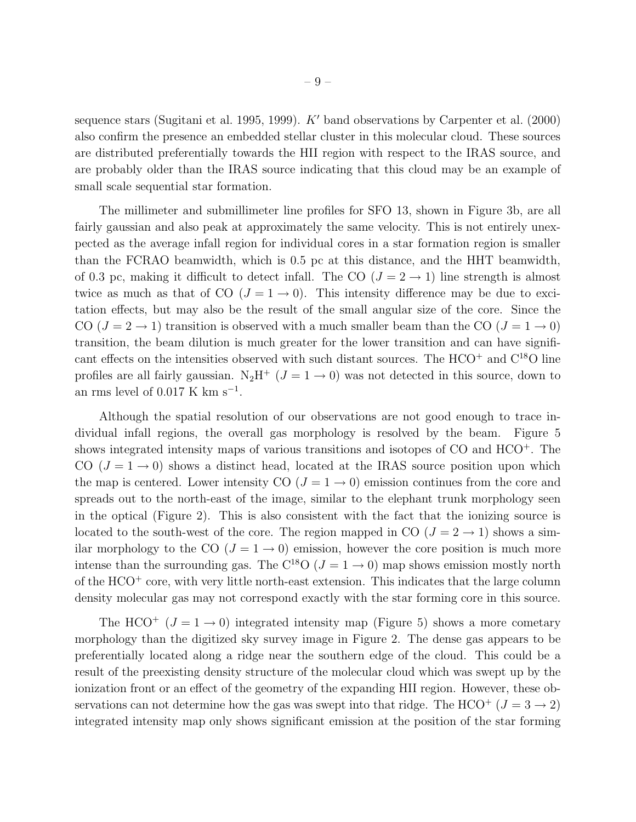sequence stars (Sugitani et al. 1995, 1999).  $K'$  band observations by Carpenter et al. (2000) also confirm the presence an embedded stellar cluster in this molecular cloud. These sources are distributed preferentially towards the HII region with respect to the IRAS source, and are probably older than the IRAS source indicating that this cloud may be an example of small scale sequential star formation.

The millimeter and submillimeter line profiles for SFO 13, shown in Figure 3b, are all fairly gaussian and also peak at approximately the same velocity. This is not entirely unexpected as the average infall region for individual cores in a star formation region is smaller than the FCRAO beamwidth, which is 0.5 pc at this distance, and the HHT beamwidth, of 0.3 pc, making it difficult to detect infall. The CO  $(J = 2 \rightarrow 1)$  line strength is almost twice as much as that of CO  $(J = 1 \rightarrow 0)$ . This intensity difference may be due to excitation effects, but may also be the result of the small angular size of the core. Since the CO  $(J = 2 \rightarrow 1)$  transition is observed with a much smaller beam than the CO  $(J = 1 \rightarrow 0)$ transition, the beam dilution is much greater for the lower transition and can have significant effects on the intensities observed with such distant sources. The  $HCO<sup>+</sup>$  and  $C<sup>18</sup>O$  line profiles are all fairly gaussian.  $N_2H^+$  ( $J = 1 \rightarrow 0$ ) was not detected in this source, down to an rms level of  $0.017 \text{ K km s}^{-1}$ .

Although the spatial resolution of our observations are not good enough to trace individual infall regions, the overall gas morphology is resolved by the beam. Figure 5 shows integrated intensity maps of various transitions and isotopes of CO and HCO<sup>+</sup>. The CO  $(J = 1 \rightarrow 0)$  shows a distinct head, located at the IRAS source position upon which the map is centered. Lower intensity CO  $(J = 1 \rightarrow 0)$  emission continues from the core and spreads out to the north-east of the image, similar to the elephant trunk morphology seen in the optical (Figure 2). This is also consistent with the fact that the ionizing source is located to the south-west of the core. The region mapped in CO  $(J = 2 \rightarrow 1)$  shows a similar morphology to the CO  $(J = 1 \rightarrow 0)$  emission, however the core position is much more intense than the surrounding gas. The C<sup>18</sup>O ( $J = 1 \rightarrow 0$ ) map shows emission mostly north of the  $HCO<sup>+</sup>$  core, with very little north-east extension. This indicates that the large column density molecular gas may not correspond exactly with the star forming core in this source.

The HCO<sup>+</sup> ( $J = 1 \rightarrow 0$ ) integrated intensity map (Figure 5) shows a more cometary morphology than the digitized sky survey image in Figure 2. The dense gas appears to be preferentially located along a ridge near the southern edge of the cloud. This could be a result of the preexisting density structure of the molecular cloud which was swept up by the ionization front or an effect of the geometry of the expanding HII region. However, these observations can not determine how the gas was swept into that ridge. The HCO<sup>+</sup> ( $J = 3 \rightarrow 2$ ) integrated intensity map only shows significant emission at the position of the star forming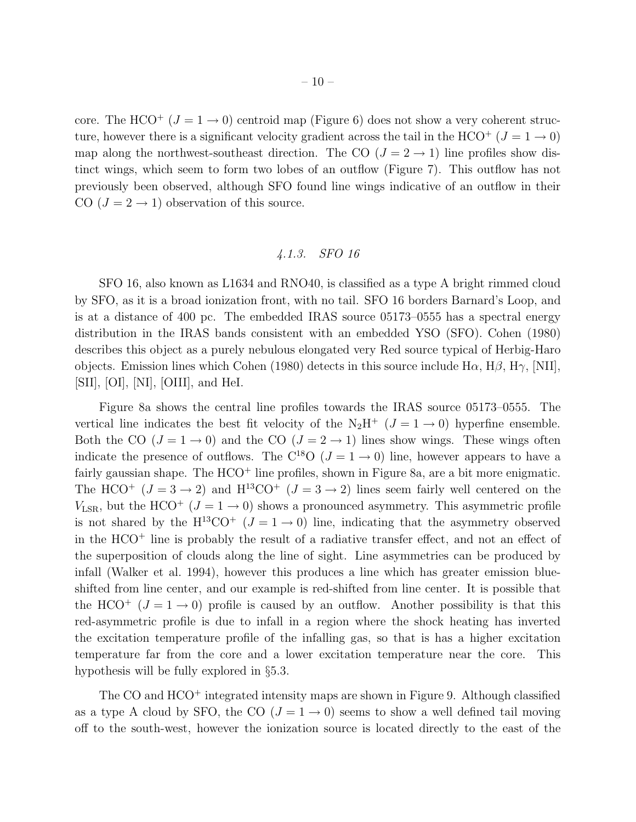core. The HCO<sup>+</sup> ( $J = 1 \rightarrow 0$ ) centroid map (Figure 6) does not show a very coherent structure, however there is a significant velocity gradient across the tail in the HCO<sup>+</sup> ( $J = 1 \rightarrow 0$ ) map along the northwest-southeast direction. The CO  $(J = 2 \rightarrow 1)$  line profiles show distinct wings, which seem to form two lobes of an outflow (Figure 7). This outflow has not previously been observed, although SFO found line wings indicative of an outflow in their CO  $(J = 2 \rightarrow 1)$  observation of this source.

# *4.1.3. SFO 16*

SFO 16, also known as L1634 and RNO40, is classified as a type A bright rimmed cloud by SFO, as it is a broad ionization front, with no tail. SFO 16 borders Barnard's Loop, and is at a distance of 400 pc. The embedded IRAS source 05173–0555 has a spectral energy distribution in the IRAS bands consistent with an embedded YSO (SFO). Cohen (1980) describes this object as a purely nebulous elongated very Red source typical of Herbig-Haro objects. Emission lines which Cohen (1980) detects in this source include  $H\alpha$ ,  $H\beta$ ,  $H\gamma$ ,  $[NII]$ , [SII], [OI], [NI], [OIII], and HeI.

Figure 8a shows the central line profiles towards the IRAS source 05173–0555. The vertical line indicates the best fit velocity of the  $N_2H^+$  ( $J=1\rightarrow 0$ ) hyperfine ensemble. Both the CO ( $J = 1 \rightarrow 0$ ) and the CO ( $J = 2 \rightarrow 1$ ) lines show wings. These wings often indicate the presence of outflows. The C<sup>18</sup>O ( $J = 1 \rightarrow 0$ ) line, however appears to have a fairly gaussian shape. The  $HCO<sup>+</sup>$  line profiles, shown in Figure 8a, are a bit more enigmatic. The HCO<sup>+</sup>  $(J = 3 \rightarrow 2)$  and H<sup>13</sup>CO<sup>+</sup>  $(J = 3 \rightarrow 2)$  lines seem fairly well centered on the  $V_{\text{LSR}}$ , but the HCO<sup>+</sup> ( $J = 1 \rightarrow 0$ ) shows a pronounced asymmetry. This asymmetric profile is not shared by the  $H^{13}CO^{+}$  ( $J = 1 \rightarrow 0$ ) line, indicating that the asymmetry observed in the  $HCO<sup>+</sup>$  line is probably the result of a radiative transfer effect, and not an effect of the superposition of clouds along the line of sight. Line asymmetries can be produced by infall (Walker et al. 1994), however this produces a line which has greater emission blueshifted from line center, and our example is red-shifted from line center. It is possible that the HCO<sup>+</sup>  $(J = 1 \rightarrow 0)$  profile is caused by an outflow. Another possibility is that this red-asymmetric profile is due to infall in a region where the shock heating has inverted the excitation temperature profile of the infalling gas, so that is has a higher excitation temperature far from the core and a lower excitation temperature near the core. This hypothesis will be fully explored in §5.3.

The CO and HCO<sup>+</sup> integrated intensity maps are shown in Figure 9. Although classified as a type A cloud by SFO, the CO  $(J = 1 \rightarrow 0)$  seems to show a well defined tail moving off to the south-west, however the ionization source is located directly to the east of the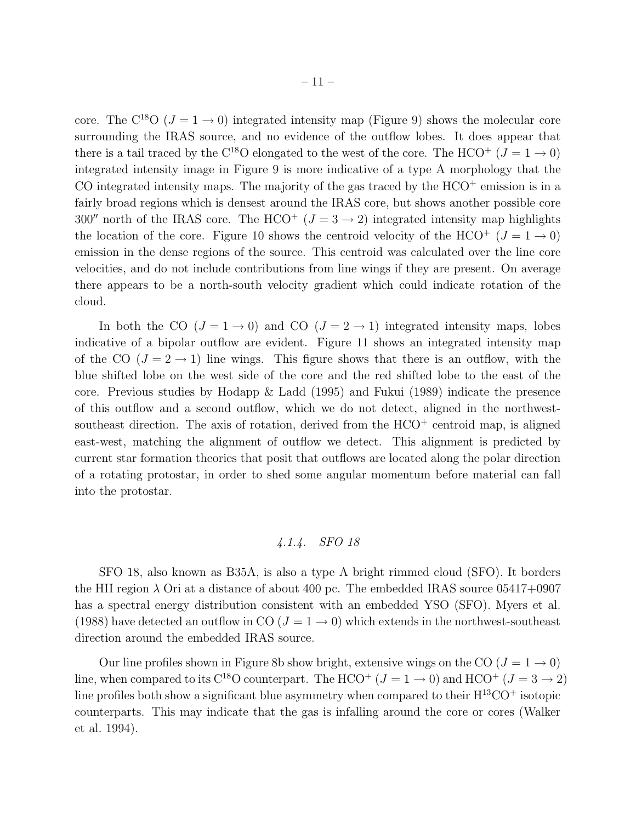core. The C<sup>18</sup>O ( $J = 1 \rightarrow 0$ ) integrated intensity map (Figure 9) shows the molecular core surrounding the IRAS source, and no evidence of the outflow lobes. It does appear that there is a tail traced by the C<sup>18</sup>O elongated to the west of the core. The HCO<sup>+</sup> ( $J = 1 \rightarrow 0$ ) integrated intensity image in Figure 9 is more indicative of a type A morphology that the CO integrated intensity maps. The majority of the gas traced by the  $HCO<sup>+</sup>$  emission is in a fairly broad regions which is densest around the IRAS core, but shows another possible core 300″ north of the IRAS core. The HCO<sup>+</sup> ( $J = 3 \rightarrow 2$ ) integrated intensity map highlights the location of the core. Figure 10 shows the centroid velocity of the HCO<sup>+</sup>  $(J = 1 \rightarrow 0)$ emission in the dense regions of the source. This centroid was calculated over the line core velocities, and do not include contributions from line wings if they are present. On average there appears to be a north-south velocity gradient which could indicate rotation of the cloud.

In both the CO  $(J = 1 \rightarrow 0)$  and CO  $(J = 2 \rightarrow 1)$  integrated intensity maps, lobes indicative of a bipolar outflow are evident. Figure 11 shows an integrated intensity map of the CO  $(J = 2 \rightarrow 1)$  line wings. This figure shows that there is an outflow, with the blue shifted lobe on the west side of the core and the red shifted lobe to the east of the core. Previous studies by Hodapp & Ladd (1995) and Fukui (1989) indicate the presence of this outflow and a second outflow, which we do not detect, aligned in the northwestsoutheast direction. The axis of rotation, derived from the  $HCO<sup>+</sup>$  centroid map, is aligned east-west, matching the alignment of outflow we detect. This alignment is predicted by current star formation theories that posit that outflows are located along the polar direction of a rotating protostar, in order to shed some angular momentum before material can fall into the protostar.

# *4.1.4. SFO 18*

SFO 18, also known as B35A, is also a type A bright rimmed cloud (SFO). It borders the HII region  $\lambda$  Ori at a distance of about 400 pc. The embedded IRAS source 05417+0907 has a spectral energy distribution consistent with an embedded YSO (SFO). Myers et al. (1988) have detected an outflow in CO  $(J = 1 \rightarrow 0)$  which extends in the northwest-southeast direction around the embedded IRAS source.

Our line profiles shown in Figure 8b show bright, extensive wings on the CO  $(J = 1 \rightarrow 0)$ line, when compared to its C<sup>18</sup>O counterpart. The HCO<sup>+</sup> ( $J = 1 \rightarrow 0$ ) and HCO<sup>+</sup> ( $J = 3 \rightarrow 2$ ) line profiles both show a significant blue asymmetry when compared to their  $H^{13}CO^+$  isotopic counterparts. This may indicate that the gas is infalling around the core or cores (Walker et al. 1994).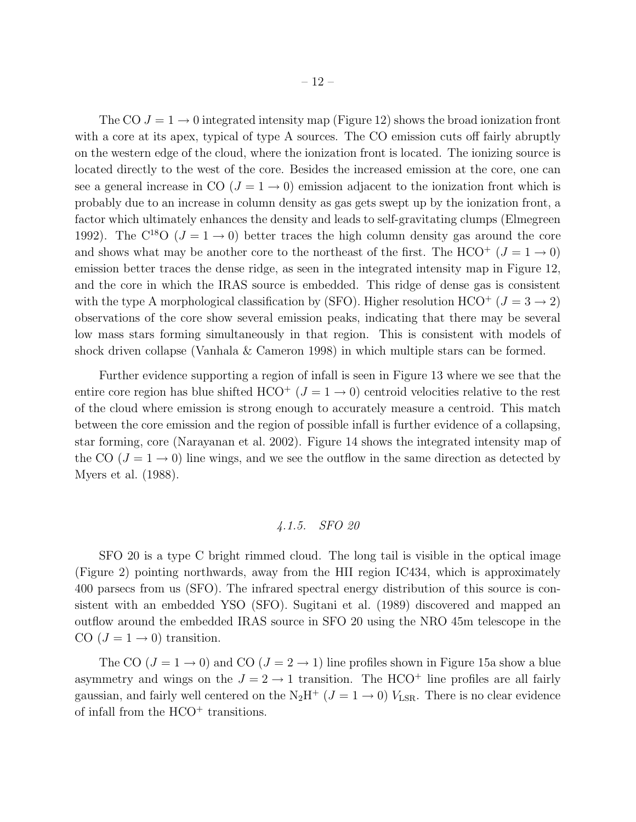The CO  $J = 1 \rightarrow 0$  integrated intensity map (Figure 12) shows the broad ionization front with a core at its apex, typical of type A sources. The CO emission cuts off fairly abruptly on the western edge of the cloud, where the ionization front is located. The ionizing source is located directly to the west of the core. Besides the increased emission at the core, one can see a general increase in CO  $(J = 1 \rightarrow 0)$  emission adjacent to the ionization front which is probably due to an increase in column density as gas gets swept up by the ionization front, a factor which ultimately enhances the density and leads to self-gravitating clumps (Elmegreen 1992). The C<sup>18</sup>O ( $J = 1 \rightarrow 0$ ) better traces the high column density gas around the core and shows what may be another core to the northeast of the first. The HCO<sup>+</sup> ( $J = 1 \rightarrow 0$ ) emission better traces the dense ridge, as seen in the integrated intensity map in Figure 12, and the core in which the IRAS source is embedded. This ridge of dense gas is consistent with the type A morphological classification by (SFO). Higher resolution HCO<sup>+</sup> ( $J = 3 \rightarrow 2$ ) observations of the core show several emission peaks, indicating that there may be several low mass stars forming simultaneously in that region. This is consistent with models of shock driven collapse (Vanhala & Cameron 1998) in which multiple stars can be formed.

Further evidence supporting a region of infall is seen in Figure 13 where we see that the entire core region has blue shifted  $HCO^+$  ( $J = 1 \rightarrow 0$ ) centroid velocities relative to the rest of the cloud where emission is strong enough to accurately measure a centroid. This match between the core emission and the region of possible infall is further evidence of a collapsing, star forming, core (Narayanan et al. 2002). Figure 14 shows the integrated intensity map of the CO ( $J = 1 \rightarrow 0$ ) line wings, and we see the outflow in the same direction as detected by Myers et al. (1988).

# *4.1.5. SFO 20*

SFO 20 is a type C bright rimmed cloud. The long tail is visible in the optical image (Figure 2) pointing northwards, away from the HII region IC434, which is approximately 400 parsecs from us (SFO). The infrared spectral energy distribution of this source is consistent with an embedded YSO (SFO). Sugitani et al. (1989) discovered and mapped an outflow around the embedded IRAS source in SFO 20 using the NRO 45m telescope in the CO  $(J = 1 \rightarrow 0)$  transition.

The CO  $(J = 1 \rightarrow 0)$  and CO  $(J = 2 \rightarrow 1)$  line profiles shown in Figure 15a show a blue asymmetry and wings on the  $J = 2 \rightarrow 1$  transition. The HCO<sup>+</sup> line profiles are all fairly gaussian, and fairly well centered on the N<sub>2</sub>H<sup>+</sup> ( $J = 1 \rightarrow 0$ )  $V_{LSR}$ . There is no clear evidence of infall from the  $HCO<sup>+</sup>$  transitions.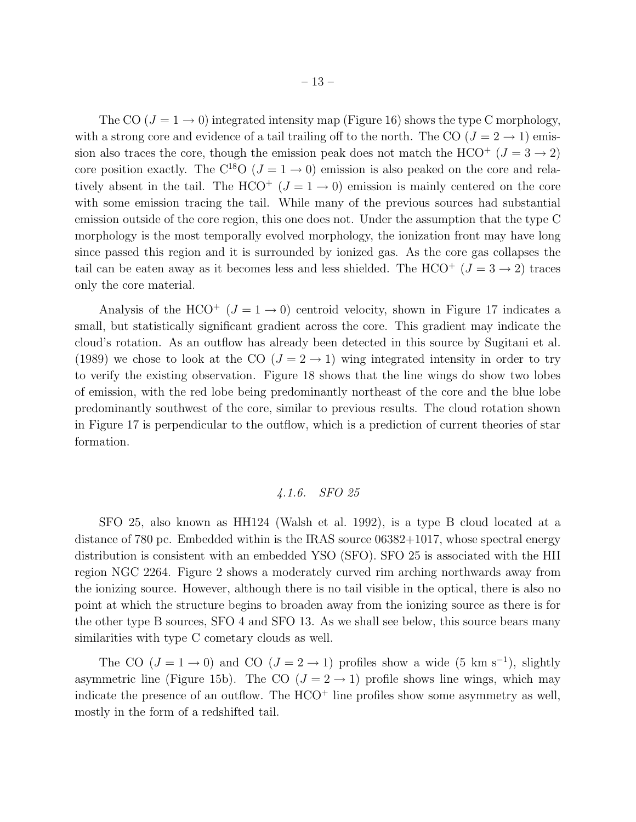The CO  $(J = 1 \rightarrow 0)$  integrated intensity map (Figure 16) shows the type C morphology, with a strong core and evidence of a tail trailing off to the north. The CO  $(J = 2 \rightarrow 1)$  emission also traces the core, though the emission peak does not match the HCO<sup>+</sup> ( $J = 3 \rightarrow 2$ ) core position exactly. The C<sup>18</sup>O ( $J = 1 \rightarrow 0$ ) emission is also peaked on the core and relatively absent in the tail. The HCO<sup>+</sup> ( $J = 1 \rightarrow 0$ ) emission is mainly centered on the core with some emission tracing the tail. While many of the previous sources had substantial emission outside of the core region, this one does not. Under the assumption that the type C morphology is the most temporally evolved morphology, the ionization front may have long since passed this region and it is surrounded by ionized gas. As the core gas collapses the tail can be eaten away as it becomes less and less shielded. The HCO<sup>+</sup> ( $J = 3 \rightarrow 2$ ) traces only the core material.

Analysis of the HCO<sup>+</sup> ( $J = 1 \rightarrow 0$ ) centroid velocity, shown in Figure 17 indicates a small, but statistically significant gradient across the core. This gradient may indicate the cloud's rotation. As an outflow has already been detected in this source by Sugitani et al. (1989) we chose to look at the CO  $(J = 2 \rightarrow 1)$  wing integrated intensity in order to try to verify the existing observation. Figure 18 shows that the line wings do show two lobes of emission, with the red lobe being predominantly northeast of the core and the blue lobe predominantly southwest of the core, similar to previous results. The cloud rotation shown in Figure 17 is perpendicular to the outflow, which is a prediction of current theories of star formation.

# *4.1.6. SFO 25*

SFO 25, also known as HH124 (Walsh et al. 1992), is a type B cloud located at a distance of 780 pc. Embedded within is the IRAS source 06382+1017, whose spectral energy distribution is consistent with an embedded YSO (SFO). SFO 25 is associated with the HII region NGC 2264. Figure 2 shows a moderately curved rim arching northwards away from the ionizing source. However, although there is no tail visible in the optical, there is also no point at which the structure begins to broaden away from the ionizing source as there is for the other type B sources, SFO 4 and SFO 13. As we shall see below, this source bears many similarities with type C cometary clouds as well.

The CO  $(J = 1 \rightarrow 0)$  and CO  $(J = 2 \rightarrow 1)$  profiles show a wide  $(5 \text{ km s}^{-1})$ , slightly asymmetric line (Figure 15b). The CO  $(J = 2 \rightarrow 1)$  profile shows line wings, which may indicate the presence of an outflow. The  $HCO<sup>+</sup>$  line profiles show some asymmetry as well, mostly in the form of a redshifted tail.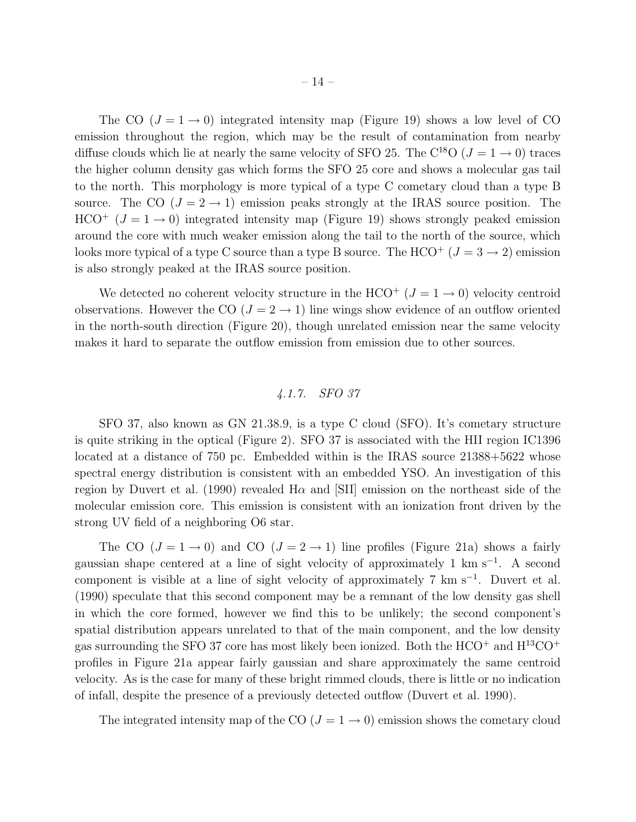The CO  $(J = 1 \rightarrow 0)$  integrated intensity map (Figure 19) shows a low level of CO emission throughout the region, which may be the result of contamination from nearby diffuse clouds which lie at nearly the same velocity of SFO 25. The C<sup>18</sup>O ( $J = 1 \rightarrow 0$ ) traces the higher column density gas which forms the SFO 25 core and shows a molecular gas tail to the north. This morphology is more typical of a type C cometary cloud than a type B source. The CO  $(J = 2 \rightarrow 1)$  emission peaks strongly at the IRAS source position. The  $HCO^{+}$  ( $J = 1 \rightarrow 0$ ) integrated intensity map (Figure 19) shows strongly peaked emission around the core with much weaker emission along the tail to the north of the source, which looks more typical of a type C source than a type B source. The  $HCO<sup>+</sup> (J = 3 \rightarrow 2)$  emission is also strongly peaked at the IRAS source position.

We detected no coherent velocity structure in the HCO<sup>+</sup>  $(J = 1 \rightarrow 0)$  velocity centroid observations. However the CO  $(J = 2 \rightarrow 1)$  line wings show evidence of an outflow oriented in the north-south direction (Figure 20), though unrelated emission near the same velocity makes it hard to separate the outflow emission from emission due to other sources.

# *4.1.7. SFO 37*

SFO 37, also known as GN 21.38.9, is a type C cloud (SFO). It's cometary structure is quite striking in the optical (Figure 2). SFO 37 is associated with the HII region IC1396 located at a distance of 750 pc. Embedded within is the IRAS source 21388+5622 whose spectral energy distribution is consistent with an embedded YSO. An investigation of this region by Duvert et al. (1990) revealed H $\alpha$  and [SII] emission on the northeast side of the molecular emission core. This emission is consistent with an ionization front driven by the strong UV field of a neighboring O6 star.

The CO  $(J = 1 \rightarrow 0)$  and CO  $(J = 2 \rightarrow 1)$  line profiles (Figure 21a) shows a fairly gaussian shape centered at a line of sight velocity of approximately 1 km s<sup>-1</sup>. A second component is visible at a line of sight velocity of approximately 7 km s<sup>−</sup><sup>1</sup> . Duvert et al. (1990) speculate that this second component may be a remnant of the low density gas shell in which the core formed, however we find this to be unlikely; the second component's spatial distribution appears unrelated to that of the main component, and the low density gas surrounding the SFO 37 core has most likely been ionized. Both the  $HCO<sup>+</sup>$  and  $H<sup>13</sup>CO<sup>+</sup>$ profiles in Figure 21a appear fairly gaussian and share approximately the same centroid velocity. As is the case for many of these bright rimmed clouds, there is little or no indication of infall, despite the presence of a previously detected outflow (Duvert et al. 1990).

The integrated intensity map of the CO  $(J = 1 \rightarrow 0)$  emission shows the cometary cloud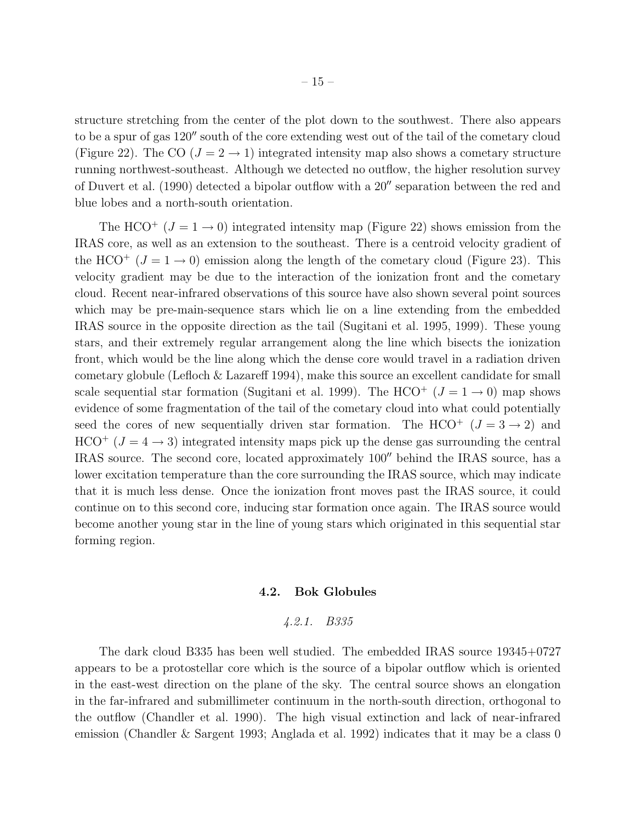structure stretching from the center of the plot down to the southwest. There also appears to be a spur of gas 120′′ south of the core extending west out of the tail of the cometary cloud (Figure 22). The CO ( $J = 2 \rightarrow 1$ ) integrated intensity map also shows a cometary structure running northwest-southeast. Although we detected no outflow, the higher resolution survey of Duvert et al. (1990) detected a bipolar outflow with a 20′′ separation between the red and blue lobes and a north-south orientation.

The HCO<sup>+</sup> ( $J = 1 \rightarrow 0$ ) integrated intensity map (Figure 22) shows emission from the IRAS core, as well as an extension to the southeast. There is a centroid velocity gradient of the HCO<sup>+</sup>  $(J = 1 \rightarrow 0)$  emission along the length of the cometary cloud (Figure 23). This velocity gradient may be due to the interaction of the ionization front and the cometary cloud. Recent near-infrared observations of this source have also shown several point sources which may be pre-main-sequence stars which lie on a line extending from the embedded IRAS source in the opposite direction as the tail (Sugitani et al. 1995, 1999). These young stars, and their extremely regular arrangement along the line which bisects the ionization front, which would be the line along which the dense core would travel in a radiation driven cometary globule (Lefloch & Lazareff 1994), make this source an excellent candidate for small scale sequential star formation (Sugitani et al. 1999). The HCO<sup>+</sup> ( $J = 1 \rightarrow 0$ ) map shows evidence of some fragmentation of the tail of the cometary cloud into what could potentially seed the cores of new sequentially driven star formation. The HCO<sup>+</sup>  $(J = 3 \rightarrow 2)$  and  $HCO^{+}$  ( $J = 4 \rightarrow 3$ ) integrated intensity maps pick up the dense gas surrounding the central IRAS source. The second core, located approximately 100′′ behind the IRAS source, has a lower excitation temperature than the core surrounding the IRAS source, which may indicate that it is much less dense. Once the ionization front moves past the IRAS source, it could continue on to this second core, inducing star formation once again. The IRAS source would become another young star in the line of young stars which originated in this sequential star forming region.

## 4.2. Bok Globules

#### *4.2.1. B335*

The dark cloud B335 has been well studied. The embedded IRAS source 19345+0727 appears to be a protostellar core which is the source of a bipolar outflow which is oriented in the east-west direction on the plane of the sky. The central source shows an elongation in the far-infrared and submillimeter continuum in the north-south direction, orthogonal to the outflow (Chandler et al. 1990). The high visual extinction and lack of near-infrared emission (Chandler & Sargent 1993; Anglada et al. 1992) indicates that it may be a class 0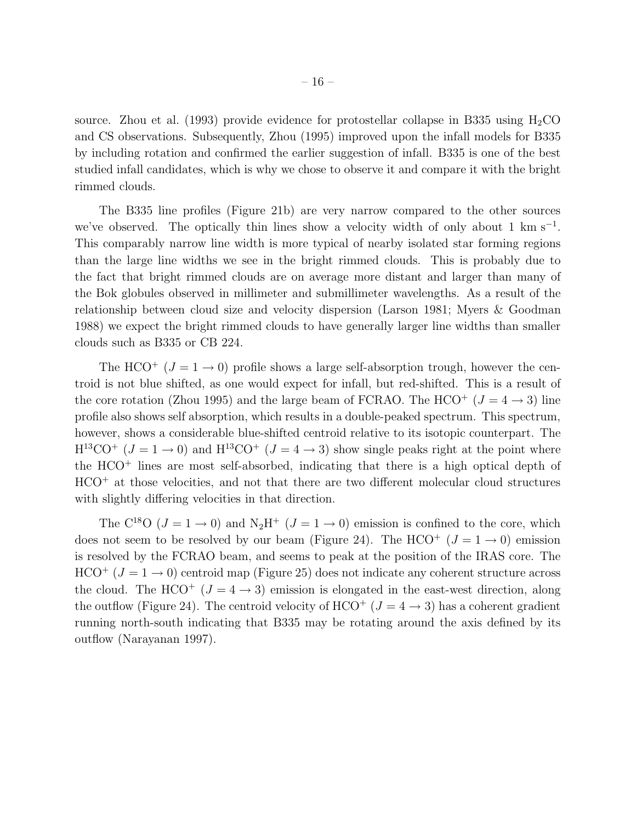source. Zhou et al. (1993) provide evidence for protostellar collapse in B335 using  $H_2CO$ and CS observations. Subsequently, Zhou (1995) improved upon the infall models for B335 by including rotation and confirmed the earlier suggestion of infall. B335 is one of the best studied infall candidates, which is why we chose to observe it and compare it with the bright rimmed clouds.

The B335 line profiles (Figure 21b) are very narrow compared to the other sources we've observed. The optically thin lines show a velocity width of only about 1  $\text{km s}^{-1}$ . This comparably narrow line width is more typical of nearby isolated star forming regions than the large line widths we see in the bright rimmed clouds. This is probably due to the fact that bright rimmed clouds are on average more distant and larger than many of the Bok globules observed in millimeter and submillimeter wavelengths. As a result of the relationship between cloud size and velocity dispersion (Larson 1981; Myers & Goodman 1988) we expect the bright rimmed clouds to have generally larger line widths than smaller clouds such as B335 or CB 224.

The HCO<sup>+</sup> ( $J = 1 \rightarrow 0$ ) profile shows a large self-absorption trough, however the centroid is not blue shifted, as one would expect for infall, but red-shifted. This is a result of the core rotation (Zhou 1995) and the large beam of FCRAO. The HCO<sup>+</sup> ( $J = 4 \rightarrow 3$ ) line profile also shows self absorption, which results in a double-peaked spectrum. This spectrum, however, shows a considerable blue-shifted centroid relative to its isotopic counterpart. The  $H^{13}CO^{+}$  ( $J = 1 \rightarrow 0$ ) and  $H^{13}CO^{+}$  ( $J = 4 \rightarrow 3$ ) show single peaks right at the point where the  $HCO<sup>+</sup>$  lines are most self-absorbed, indicating that there is a high optical depth of HCO<sup>+</sup> at those velocities, and not that there are two different molecular cloud structures with slightly differing velocities in that direction.

The C<sup>18</sup>O ( $J = 1 \rightarrow 0$ ) and N<sub>2</sub>H<sup>+</sup> ( $J = 1 \rightarrow 0$ ) emission is confined to the core, which does not seem to be resolved by our beam (Figure 24). The HCO<sup>+</sup> ( $J = 1 \rightarrow 0$ ) emission is resolved by the FCRAO beam, and seems to peak at the position of the IRAS core. The  $HCO<sup>+</sup>$  ( $J = 1 \rightarrow 0$ ) centroid map (Figure 25) does not indicate any coherent structure across the cloud. The HCO<sup>+</sup> ( $J = 4 \rightarrow 3$ ) emission is elongated in the east-west direction, along the outflow (Figure 24). The centroid velocity of  $HCO<sup>+</sup> (J = 4 \rightarrow 3)$  has a coherent gradient running north-south indicating that B335 may be rotating around the axis defined by its outflow (Narayanan 1997).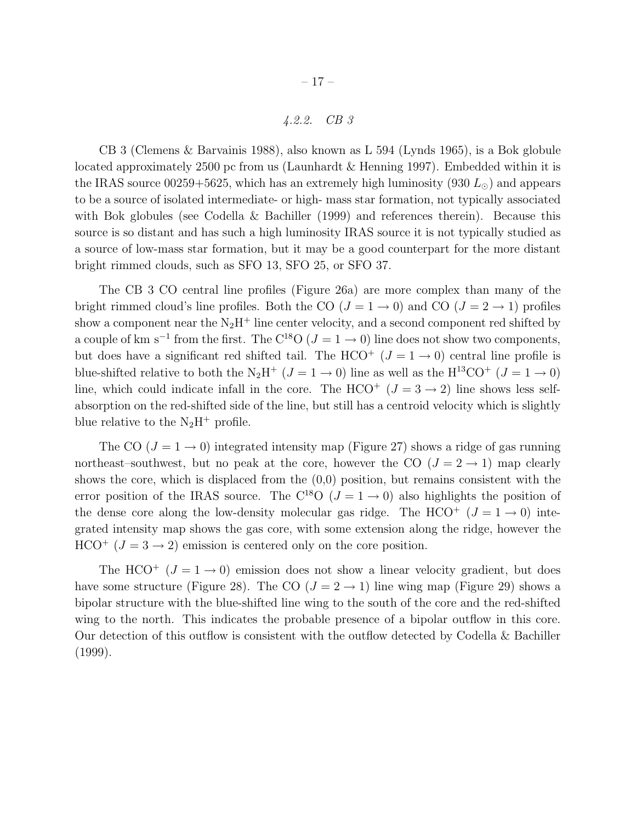# *4.2.2. CB 3*

CB 3 (Clemens & Barvainis 1988), also known as L 594 (Lynds 1965), is a Bok globule located approximately 2500 pc from us (Launhardt & Henning 1997). Embedded within it is the IRAS source 00259+5625, which has an extremely high luminosity (930  $L_{\odot}$ ) and appears to be a source of isolated intermediate- or high- mass star formation, not typically associated with Bok globules (see Codella & Bachiller (1999) and references therein). Because this source is so distant and has such a high luminosity IRAS source it is not typically studied as a source of low-mass star formation, but it may be a good counterpart for the more distant bright rimmed clouds, such as SFO 13, SFO 25, or SFO 37.

The CB 3 CO central line profiles (Figure 26a) are more complex than many of the bright rimmed cloud's line profiles. Both the CO  $(J = 1 \rightarrow 0)$  and CO  $(J = 2 \rightarrow 1)$  profiles show a component near the  $N_2H^+$  line center velocity, and a second component red shifted by a couple of km s<sup>-1</sup> from the first. The C<sup>18</sup>O ( $J = 1 \rightarrow 0$ ) line does not show two components, but does have a significant red shifted tail. The HCO<sup>+</sup>  $(J = 1 \rightarrow 0)$  central line profile is blue-shifted relative to both the N<sub>2</sub>H<sup>+</sup> ( $J = 1 \rightarrow 0$ ) line as well as the H<sup>13</sup>CO<sup>+</sup> ( $J = 1 \rightarrow 0$ ) line, which could indicate infall in the core. The HCO<sup>+</sup>  $(J = 3 \rightarrow 2)$  line shows less selfabsorption on the red-shifted side of the line, but still has a centroid velocity which is slightly blue relative to the  $N_2H^+$  profile.

The CO  $(J = 1 \rightarrow 0)$  integrated intensity map (Figure 27) shows a ridge of gas running northeast–southwest, but no peak at the core, however the CO  $(J = 2 \rightarrow 1)$  map clearly shows the core, which is displaced from the (0,0) position, but remains consistent with the error position of the IRAS source. The C<sup>18</sup>O ( $J = 1 \rightarrow 0$ ) also highlights the position of the dense core along the low-density molecular gas ridge. The HCO<sup>+</sup>  $(J = 1 \rightarrow 0)$  integrated intensity map shows the gas core, with some extension along the ridge, however the  $HCO<sup>+</sup>$  ( $J = 3 \rightarrow 2$ ) emission is centered only on the core position.

The HCO<sup>+</sup> ( $J = 1 \rightarrow 0$ ) emission does not show a linear velocity gradient, but does have some structure (Figure 28). The CO ( $J = 2 \rightarrow 1$ ) line wing map (Figure 29) shows a bipolar structure with the blue-shifted line wing to the south of the core and the red-shifted wing to the north. This indicates the probable presence of a bipolar outflow in this core. Our detection of this outflow is consistent with the outflow detected by Codella & Bachiller (1999).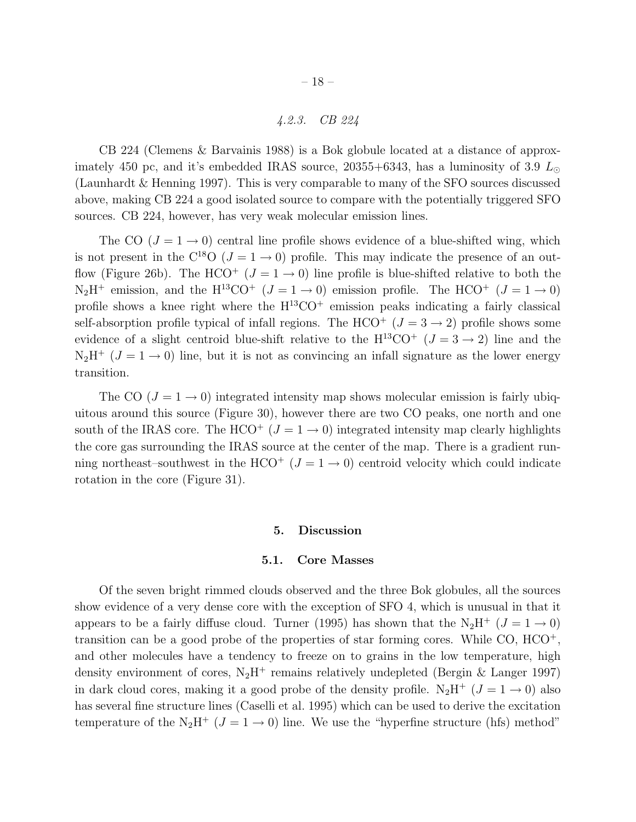# *4.2.3. CB 224*

CB 224 (Clemens & Barvainis 1988) is a Bok globule located at a distance of approximately 450 pc, and it's embedded IRAS source, 20355+6343, has a luminosity of 3.9  $L_{\odot}$ (Launhardt & Henning 1997). This is very comparable to many of the SFO sources discussed above, making CB 224 a good isolated source to compare with the potentially triggered SFO sources. CB 224, however, has very weak molecular emission lines.

The CO  $(J = 1 \rightarrow 0)$  central line profile shows evidence of a blue-shifted wing, which is not present in the  $C^{18}O$  ( $J=1\rightarrow 0$ ) profile. This may indicate the presence of an outflow (Figure 26b). The HCO<sup>+</sup> ( $J = 1 \rightarrow 0$ ) line profile is blue-shifted relative to both the  $N_2H^+$  emission, and the  $H^{13}CO^+$  ( $J = 1 \rightarrow 0$ ) emission profile. The HCO<sup>+</sup> ( $J = 1 \rightarrow 0$ ) profile shows a knee right where the  $H^{13}CO<sup>+</sup>$  emission peaks indicating a fairly classical self-absorption profile typical of infall regions. The HCO<sup>+</sup>  $(J = 3 \rightarrow 2)$  profile shows some evidence of a slight centroid blue-shift relative to the  $H^{13}CO^{+}$  ( $J = 3 \rightarrow 2$ ) line and the  $N_2H^+$  ( $J = 1 \rightarrow 0$ ) line, but it is not as convincing an infall signature as the lower energy transition.

The CO  $(J = 1 \rightarrow 0)$  integrated intensity map shows molecular emission is fairly ubiquitous around this source (Figure 30), however there are two CO peaks, one north and one south of the IRAS core. The HCO<sup>+</sup> ( $J = 1 \rightarrow 0$ ) integrated intensity map clearly highlights the core gas surrounding the IRAS source at the center of the map. There is a gradient running northeast–southwest in the HCO<sup>+</sup> ( $J = 1 \rightarrow 0$ ) centroid velocity which could indicate rotation in the core (Figure 31).

#### 5. Discussion

#### 5.1. Core Masses

Of the seven bright rimmed clouds observed and the three Bok globules, all the sources show evidence of a very dense core with the exception of SFO 4, which is unusual in that it appears to be a fairly diffuse cloud. Turner (1995) has shown that the N<sub>2</sub>H<sup>+</sup> ( $J = 1 \rightarrow 0$ ) transition can be a good probe of the properties of star forming cores. While CO, HCO<sup>+</sup>, and other molecules have a tendency to freeze on to grains in the low temperature, high density environment of cores,  $N_2H^+$  remains relatively undepleted (Bergin & Langer 1997) in dark cloud cores, making it a good probe of the density profile.  $N_2H^+$   $(J = 1 \rightarrow 0)$  also has several fine structure lines (Caselli et al. 1995) which can be used to derive the excitation temperature of the  $N_2H^+$  ( $J=1\rightarrow 0$ ) line. We use the "hyperfine structure (hfs) method"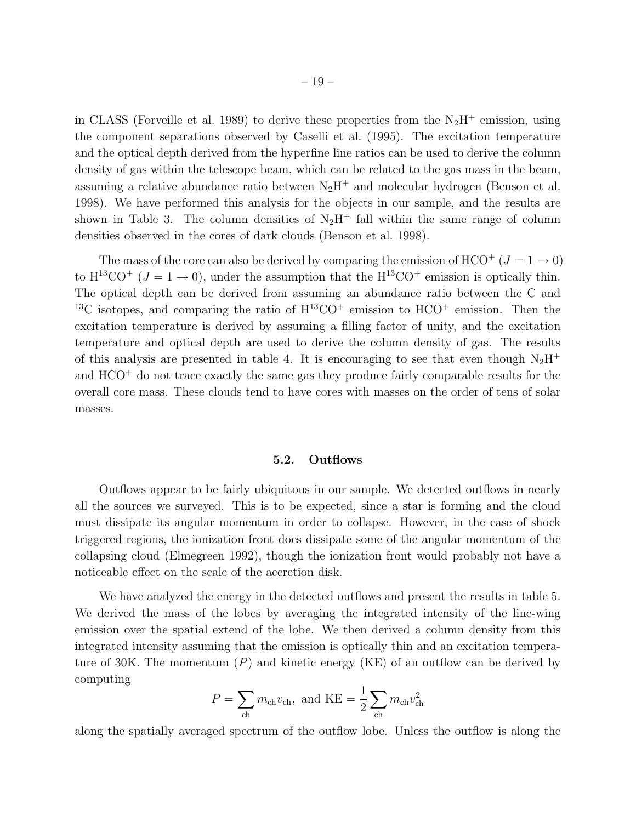in CLASS (Forveille et al. 1989) to derive these properties from the  $N_2H^+$  emission, using the component separations observed by Caselli et al. (1995). The excitation temperature and the optical depth derived from the hyperfine line ratios can be used to derive the column density of gas within the telescope beam, which can be related to the gas mass in the beam, assuming a relative abundance ratio between  $N_2H^+$  and molecular hydrogen (Benson et al. 1998). We have performed this analysis for the objects in our sample, and the results are shown in Table 3. The column densities of  $N_2H^+$  fall within the same range of column densities observed in the cores of dark clouds (Benson et al. 1998).

The mass of the core can also be derived by comparing the emission of HCO<sup>+</sup> ( $J = 1 \rightarrow 0$ ) to  $H^{13}CO^{+}$  ( $J = 1 \rightarrow 0$ ), under the assumption that the  $H^{13}CO^{+}$  emission is optically thin. The optical depth can be derived from assuming an abundance ratio between the C and <sup>13</sup>C isotopes, and comparing the ratio of  $H^{13}CO<sup>+</sup>$  emission to  $HCO<sup>+</sup>$  emission. Then the excitation temperature is derived by assuming a filling factor of unity, and the excitation temperature and optical depth are used to derive the column density of gas. The results of this analysis are presented in table 4. It is encouraging to see that even though  $N_2H^+$ and HCO<sup>+</sup> do not trace exactly the same gas they produce fairly comparable results for the overall core mass. These clouds tend to have cores with masses on the order of tens of solar masses.

#### 5.2. Outflows

Outflows appear to be fairly ubiquitous in our sample. We detected outflows in nearly all the sources we surveyed. This is to be expected, since a star is forming and the cloud must dissipate its angular momentum in order to collapse. However, in the case of shock triggered regions, the ionization front does dissipate some of the angular momentum of the collapsing cloud (Elmegreen 1992), though the ionization front would probably not have a noticeable effect on the scale of the accretion disk.

We have analyzed the energy in the detected outflows and present the results in table 5. We derived the mass of the lobes by averaging the integrated intensity of the line-wing emission over the spatial extend of the lobe. We then derived a column density from this integrated intensity assuming that the emission is optically thin and an excitation temperature of 30K. The momentum  $(P)$  and kinetic energy  $(KE)$  of an outflow can be derived by computing

$$
P = \sum_{\text{ch}} m_{\text{ch}} v_{\text{ch}}, \text{ and KE} = \frac{1}{2} \sum_{\text{ch}} m_{\text{ch}} v_{\text{ch}}^2
$$

along the spatially averaged spectrum of the outflow lobe. Unless the outflow is along the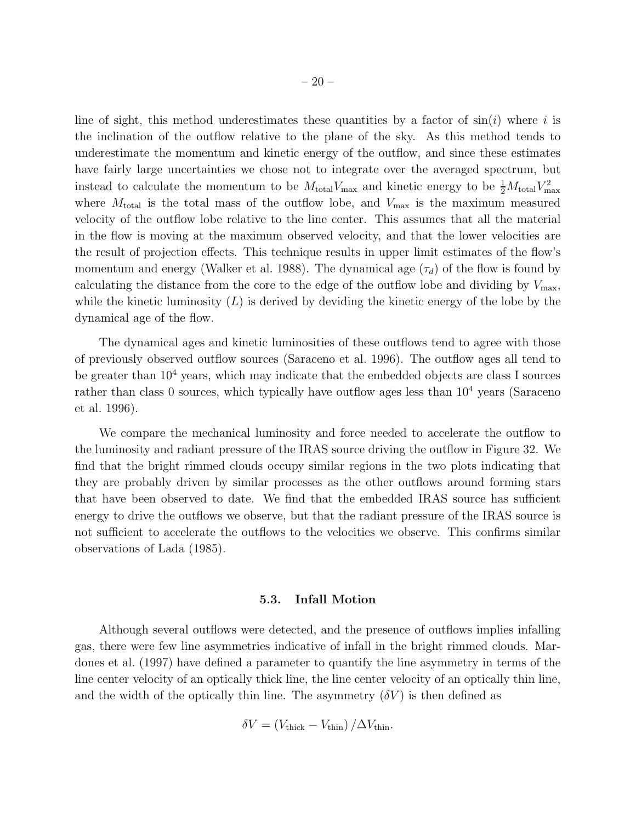line of sight, this method underestimates these quantities by a factor of  $sin(i)$  where i is the inclination of the outflow relative to the plane of the sky. As this method tends to underestimate the momentum and kinetic energy of the outflow, and since these estimates have fairly large uncertainties we chose not to integrate over the averaged spectrum, but instead to calculate the momentum to be  $M_{\text{total}}V_{\text{max}}$  and kinetic energy to be  $\frac{1}{2}M_{\text{total}}V_{\text{max}}^2$ where  $M_{\text{total}}$  is the total mass of the outflow lobe, and  $V_{\text{max}}$  is the maximum measured velocity of the outflow lobe relative to the line center. This assumes that all the material in the flow is moving at the maximum observed velocity, and that the lower velocities are the result of projection effects. This technique results in upper limit estimates of the flow's momentum and energy (Walker et al. 1988). The dynamical age  $(\tau_d)$  of the flow is found by calculating the distance from the core to the edge of the outflow lobe and dividing by  $V_{\text{max}}$ , while the kinetic luminosity  $(L)$  is derived by deviding the kinetic energy of the lobe by the dynamical age of the flow.

The dynamical ages and kinetic luminosities of these outflows tend to agree with those of previously observed outflow sources (Saraceno et al. 1996). The outflow ages all tend to be greater than  $10<sup>4</sup>$  years, which may indicate that the embedded objects are class I sources rather than class 0 sources, which typically have outflow ages less than  $10<sup>4</sup>$  years (Saraceno et al. 1996).

We compare the mechanical luminosity and force needed to accelerate the outflow to the luminosity and radiant pressure of the IRAS source driving the outflow in Figure 32. We find that the bright rimmed clouds occupy similar regions in the two plots indicating that they are probably driven by similar processes as the other outflows around forming stars that have been observed to date. We find that the embedded IRAS source has sufficient energy to drive the outflows we observe, but that the radiant pressure of the IRAS source is not sufficient to accelerate the outflows to the velocities we observe. This confirms similar observations of Lada (1985).

#### 5.3. Infall Motion

Although several outflows were detected, and the presence of outflows implies infalling gas, there were few line asymmetries indicative of infall in the bright rimmed clouds. Mardones et al. (1997) have defined a parameter to quantify the line asymmetry in terms of the line center velocity of an optically thick line, the line center velocity of an optically thin line, and the width of the optically thin line. The asymmetry  $(\delta V)$  is then defined as

$$
\delta V = (V_{\text{thick}} - V_{\text{thin}}) / \Delta V_{\text{thin}}.
$$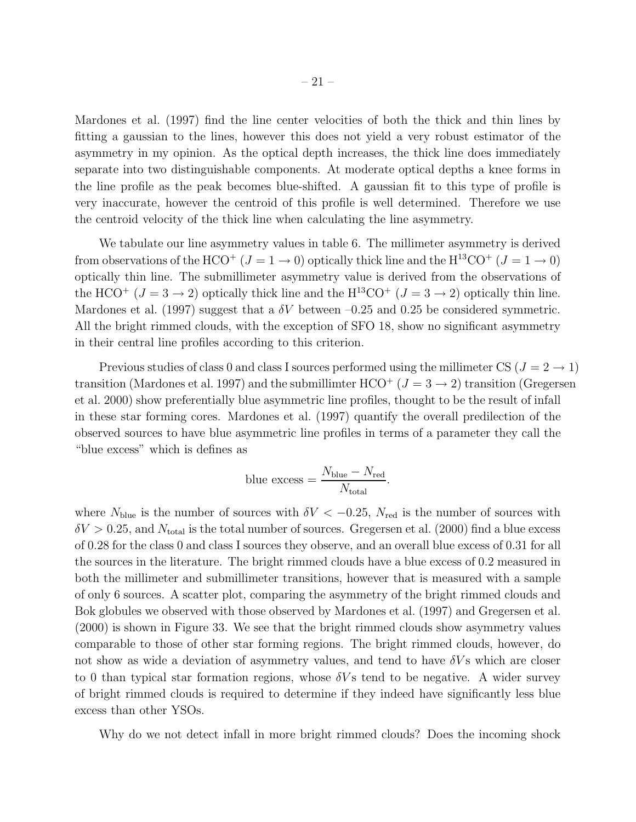Mardones et al. (1997) find the line center velocities of both the thick and thin lines by fitting a gaussian to the lines, however this does not yield a very robust estimator of the asymmetry in my opinion. As the optical depth increases, the thick line does immediately separate into two distinguishable components. At moderate optical depths a knee forms in the line profile as the peak becomes blue-shifted. A gaussian fit to this type of profile is very inaccurate, however the centroid of this profile is well determined. Therefore we use the centroid velocity of the thick line when calculating the line asymmetry.

We tabulate our line asymmetry values in table 6. The millimeter asymmetry is derived from observations of the HCO<sup>+</sup> ( $J = 1 \rightarrow 0$ ) optically thick line and the H<sup>13</sup>CO<sup>+</sup> ( $J = 1 \rightarrow 0$ ) optically thin line. The submillimeter asymmetry value is derived from the observations of the HCO<sup>+</sup> ( $J = 3 \rightarrow 2$ ) optically thick line and the H<sup>13</sup>CO<sup>+</sup> ( $J = 3 \rightarrow 2$ ) optically thin line. Mardones et al. (1997) suggest that a  $\delta V$  between -0.25 and 0.25 be considered symmetric. All the bright rimmed clouds, with the exception of SFO 18, show no significant asymmetry in their central line profiles according to this criterion.

Previous studies of class 0 and class I sources performed using the millimeter CS ( $J = 2 \rightarrow 1$ ) transition (Mardones et al. 1997) and the submillimter  $HCO^{+}$  ( $J = 3 \rightarrow 2$ ) transition (Gregersen et al. 2000) show preferentially blue asymmetric line profiles, thought to be the result of infall in these star forming cores. Mardones et al. (1997) quantify the overall predilection of the observed sources to have blue asymmetric line profiles in terms of a parameter they call the "blue excess" which is defines as

blue excess = 
$$
\frac{N_{\text{blue}} - N_{\text{red}}}{N_{\text{total}}}.
$$

where  $N_{blue}$  is the number of sources with  $\delta V < -0.25$ ,  $N_{red}$  is the number of sources with  $\delta V > 0.25$ , and  $N_{\text{total}}$  is the total number of sources. Gregersen et al. (2000) find a blue excess of 0.28 for the class 0 and class I sources they observe, and an overall blue excess of 0.31 for all the sources in the literature. The bright rimmed clouds have a blue excess of 0.2 measured in both the millimeter and submillimeter transitions, however that is measured with a sample of only 6 sources. A scatter plot, comparing the asymmetry of the bright rimmed clouds and Bok globules we observed with those observed by Mardones et al. (1997) and Gregersen et al. (2000) is shown in Figure 33. We see that the bright rimmed clouds show asymmetry values comparable to those of other star forming regions. The bright rimmed clouds, however, do not show as wide a deviation of asymmetry values, and tend to have  $\delta V$ s which are closer to 0 than typical star formation regions, whose  $\delta V$ s tend to be negative. A wider survey of bright rimmed clouds is required to determine if they indeed have significantly less blue excess than other YSOs.

Why do we not detect infall in more bright rimmed clouds? Does the incoming shock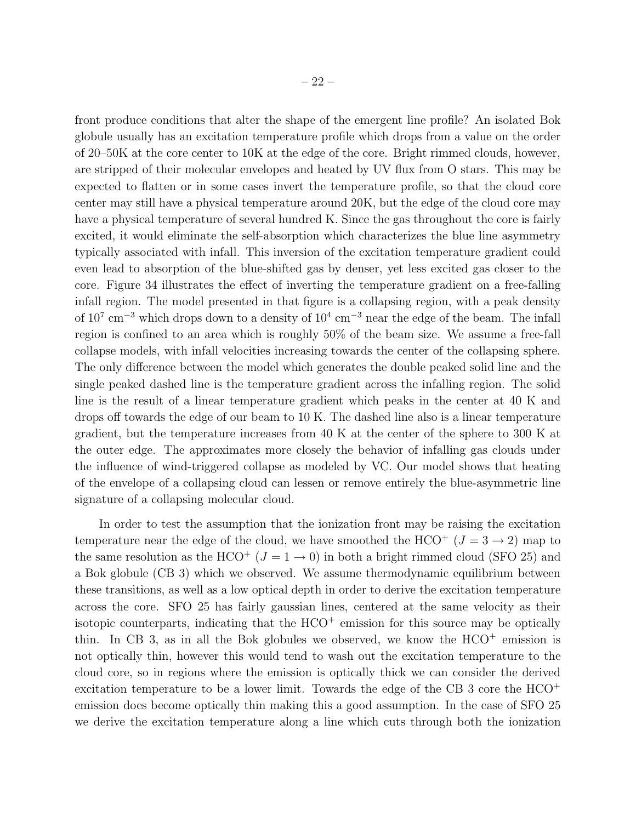front produce conditions that alter the shape of the emergent line profile? An isolated Bok globule usually has an excitation temperature profile which drops from a value on the order of 20–50K at the core center to 10K at the edge of the core. Bright rimmed clouds, however, are stripped of their molecular envelopes and heated by UV flux from O stars. This may be expected to flatten or in some cases invert the temperature profile, so that the cloud core center may still have a physical temperature around 20K, but the edge of the cloud core may have a physical temperature of several hundred K. Since the gas throughout the core is fairly excited, it would eliminate the self-absorption which characterizes the blue line asymmetry typically associated with infall. This inversion of the excitation temperature gradient could even lead to absorption of the blue-shifted gas by denser, yet less excited gas closer to the core. Figure 34 illustrates the effect of inverting the temperature gradient on a free-falling infall region. The model presented in that figure is a collapsing region, with a peak density of  $10^7 \text{ cm}^{-3}$  which drops down to a density of  $10^4 \text{ cm}^{-3}$  near the edge of the beam. The infall region is confined to an area which is roughly 50% of the beam size. We assume a free-fall collapse models, with infall velocities increasing towards the center of the collapsing sphere. The only difference between the model which generates the double peaked solid line and the single peaked dashed line is the temperature gradient across the infalling region. The solid line is the result of a linear temperature gradient which peaks in the center at 40 K and drops off towards the edge of our beam to 10 K. The dashed line also is a linear temperature gradient, but the temperature increases from 40 K at the center of the sphere to 300 K at the outer edge. The approximates more closely the behavior of infalling gas clouds under the influence of wind-triggered collapse as modeled by VC. Our model shows that heating of the envelope of a collapsing cloud can lessen or remove entirely the blue-asymmetric line signature of a collapsing molecular cloud.

In order to test the assumption that the ionization front may be raising the excitation temperature near the edge of the cloud, we have smoothed the HCO<sup>+</sup> ( $J = 3 \rightarrow 2$ ) map to the same resolution as the HCO<sup>+</sup> ( $J = 1 \rightarrow 0$ ) in both a bright rimmed cloud (SFO 25) and a Bok globule (CB 3) which we observed. We assume thermodynamic equilibrium between these transitions, as well as a low optical depth in order to derive the excitation temperature across the core. SFO 25 has fairly gaussian lines, centered at the same velocity as their isotopic counterparts, indicating that the  $HCO<sup>+</sup>$  emission for this source may be optically thin. In CB 3, as in all the Bok globules we observed, we know the  $HCO<sup>+</sup>$  emission is not optically thin, however this would tend to wash out the excitation temperature to the cloud core, so in regions where the emission is optically thick we can consider the derived excitation temperature to be a lower limit. Towards the edge of the CB 3 core the HCO<sup>+</sup> emission does become optically thin making this a good assumption. In the case of SFO 25 we derive the excitation temperature along a line which cuts through both the ionization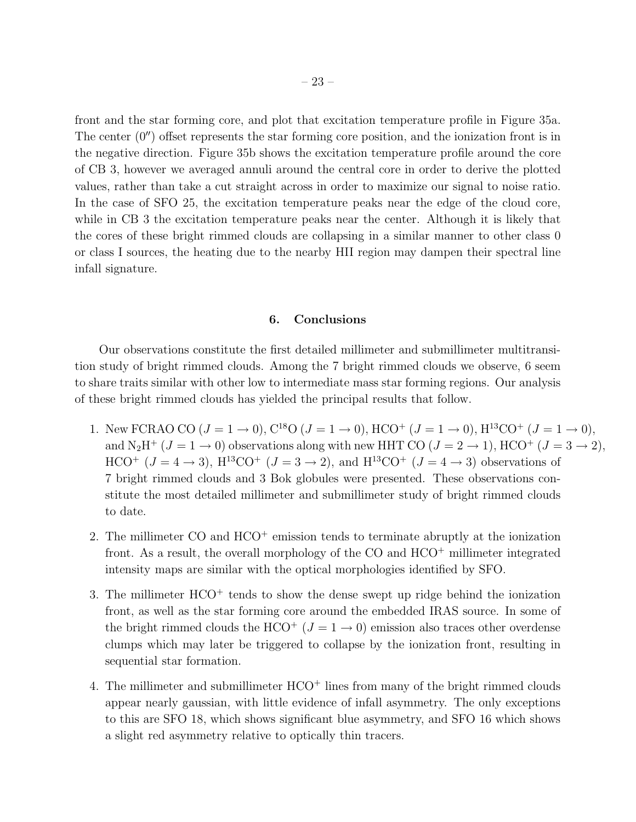front and the star forming core, and plot that excitation temperature profile in Figure 35a. The center  $(0'')$  offset represents the star forming core position, and the ionization front is in the negative direction. Figure 35b shows the excitation temperature profile around the core of CB 3, however we averaged annuli around the central core in order to derive the plotted values, rather than take a cut straight across in order to maximize our signal to noise ratio. In the case of SFO 25, the excitation temperature peaks near the edge of the cloud core, while in CB 3 the excitation temperature peaks near the center. Although it is likely that the cores of these bright rimmed clouds are collapsing in a similar manner to other class 0 or class I sources, the heating due to the nearby HII region may dampen their spectral line infall signature.

# 6. Conclusions

Our observations constitute the first detailed millimeter and submillimeter multitransition study of bright rimmed clouds. Among the 7 bright rimmed clouds we observe, 6 seem to share traits similar with other low to intermediate mass star forming regions. Our analysis of these bright rimmed clouds has yielded the principal results that follow.

- 1. New FCRAO CO  $(J = 1 \rightarrow 0)$ ,  $C^{18}O (J = 1 \rightarrow 0)$ ,  $HCO^{+} (J = 1 \rightarrow 0)$ ,  $H^{13}CO^{+} (J = 1 \rightarrow 0)$ , and  $N_2H^+$  ( $J = 1 \rightarrow 0$ ) observations along with new HHT CO ( $J = 2 \rightarrow 1$ ), HCO<sup>+</sup> ( $J = 3 \rightarrow 2$ ), HCO<sup>+</sup>  $(J = 4 \rightarrow 3)$ , H<sup>13</sup>CO<sup>+</sup>  $(J = 3 \rightarrow 2)$ , and H<sup>13</sup>CO<sup>+</sup>  $(J = 4 \rightarrow 3)$  observations of 7 bright rimmed clouds and 3 Bok globules were presented. These observations constitute the most detailed millimeter and submillimeter study of bright rimmed clouds to date.
- 2. The millimeter CO and HCO<sup>+</sup> emission tends to terminate abruptly at the ionization front. As a result, the overall morphology of the  $CO$  and  $HCO<sup>+</sup>$  millimeter integrated intensity maps are similar with the optical morphologies identified by SFO.
- 3. The millimeter  $HCO<sup>+</sup>$  tends to show the dense swept up ridge behind the ionization front, as well as the star forming core around the embedded IRAS source. In some of the bright rimmed clouds the HCO<sup>+</sup> ( $J = 1 \rightarrow 0$ ) emission also traces other overdense clumps which may later be triggered to collapse by the ionization front, resulting in sequential star formation.
- 4. The millimeter and submillimeter HCO<sup>+</sup> lines from many of the bright rimmed clouds appear nearly gaussian, with little evidence of infall asymmetry. The only exceptions to this are SFO 18, which shows significant blue asymmetry, and SFO 16 which shows a slight red asymmetry relative to optically thin tracers.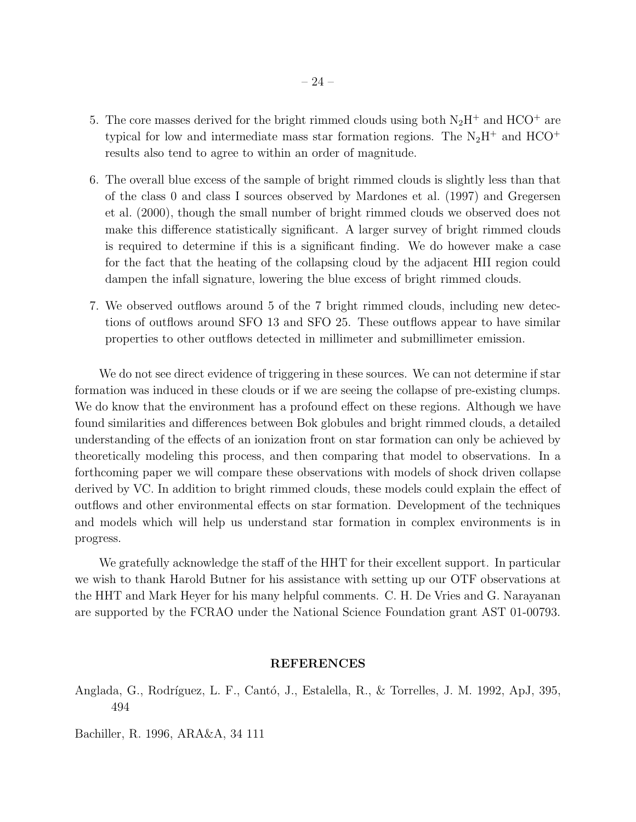- 5. The core masses derived for the bright rimmed clouds using both  $N_2H^+$  and  $HCO^+$  are typical for low and intermediate mass star formation regions. The  $N_2H^+$  and  $HCO^+$ results also tend to agree to within an order of magnitude.
- 6. The overall blue excess of the sample of bright rimmed clouds is slightly less than that of the class 0 and class I sources observed by Mardones et al. (1997) and Gregersen et al. (2000), though the small number of bright rimmed clouds we observed does not make this difference statistically significant. A larger survey of bright rimmed clouds is required to determine if this is a significant finding. We do however make a case for the fact that the heating of the collapsing cloud by the adjacent HII region could dampen the infall signature, lowering the blue excess of bright rimmed clouds.
- 7. We observed outflows around 5 of the 7 bright rimmed clouds, including new detections of outflows around SFO 13 and SFO 25. These outflows appear to have similar properties to other outflows detected in millimeter and submillimeter emission.

We do not see direct evidence of triggering in these sources. We can not determine if star formation was induced in these clouds or if we are seeing the collapse of pre-existing clumps. We do know that the environment has a profound effect on these regions. Although we have found similarities and differences between Bok globules and bright rimmed clouds, a detailed understanding of the effects of an ionization front on star formation can only be achieved by theoretically modeling this process, and then comparing that model to observations. In a forthcoming paper we will compare these observations with models of shock driven collapse derived by VC. In addition to bright rimmed clouds, these models could explain the effect of outflows and other environmental effects on star formation. Development of the techniques and models which will help us understand star formation in complex environments is in progress.

We gratefully acknowledge the staff of the HHT for their excellent support. In particular we wish to thank Harold Butner for his assistance with setting up our OTF observations at the HHT and Mark Heyer for his many helpful comments. C. H. De Vries and G. Narayanan are supported by the FCRAO under the National Science Foundation grant AST 01-00793.

# REFERENCES

Anglada, G., Rodríguez, L. F., Cantó, J., Estalella, R., & Torrelles, J. M. 1992, ApJ, 395, 494

Bachiller, R. 1996, ARA&A, 34 111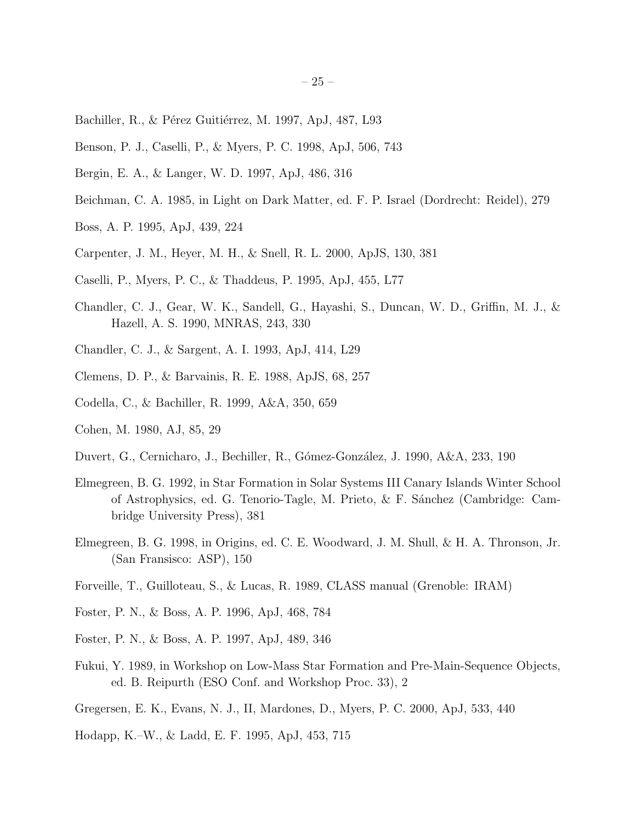- Bachiller, R., & Pérez Guitiérrez, M. 1997, ApJ, 487, L93
- Benson, P. J., Caselli, P., & Myers, P. C. 1998, ApJ, 506, 743
- Bergin, E. A., & Langer, W. D. 1997, ApJ, 486, 316
- Beichman, C. A. 1985, in Light on Dark Matter, ed. F. P. Israel (Dordrecht: Reidel), 279
- Boss, A. P. 1995, ApJ, 439, 224
- Carpenter, J. M., Heyer, M. H., & Snell, R. L. 2000, ApJS, 130, 381
- Caselli, P., Myers, P. C., & Thaddeus, P. 1995, ApJ, 455, L77
- Chandler, C. J., Gear, W. K., Sandell, G., Hayashi, S., Duncan, W. D., Griffin, M. J., & Hazell, A. S. 1990, MNRAS, 243, 330
- Chandler, C. J., & Sargent, A. I. 1993, ApJ, 414, L29
- Clemens, D. P., & Barvainis, R. E. 1988, ApJS, 68, 257
- Codella, C., & Bachiller, R. 1999, A&A, 350, 659
- Cohen, M. 1980, AJ, 85, 29
- Duvert, G., Cernicharo, J., Bechiller, R., Gómez-González, J. 1990, A&A, 233, 190
- Elmegreen, B. G. 1992, in Star Formation in Solar Systems III Canary Islands Winter School of Astrophysics, ed. G. Tenorio-Tagle, M. Prieto, & F. S´anchez (Cambridge: Cambridge University Press), 381
- Elmegreen, B. G. 1998, in Origins, ed. C. E. Woodward, J. M. Shull, & H. A. Thronson, Jr. (San Fransisco: ASP), 150
- Forveille, T., Guilloteau, S., & Lucas, R. 1989, CLASS manual (Grenoble: IRAM)
- Foster, P. N., & Boss, A. P. 1996, ApJ, 468, 784
- Foster, P. N., & Boss, A. P. 1997, ApJ, 489, 346
- Fukui, Y. 1989, in Workshop on Low-Mass Star Formation and Pre-Main-Sequence Objects, ed. B. Reipurth (ESO Conf. and Workshop Proc. 33), 2
- Gregersen, E. K., Evans, N. J., II, Mardones, D., Myers, P. C. 2000, ApJ, 533, 440
- Hodapp, K.–W., & Ladd, E. F. 1995, ApJ, 453, 715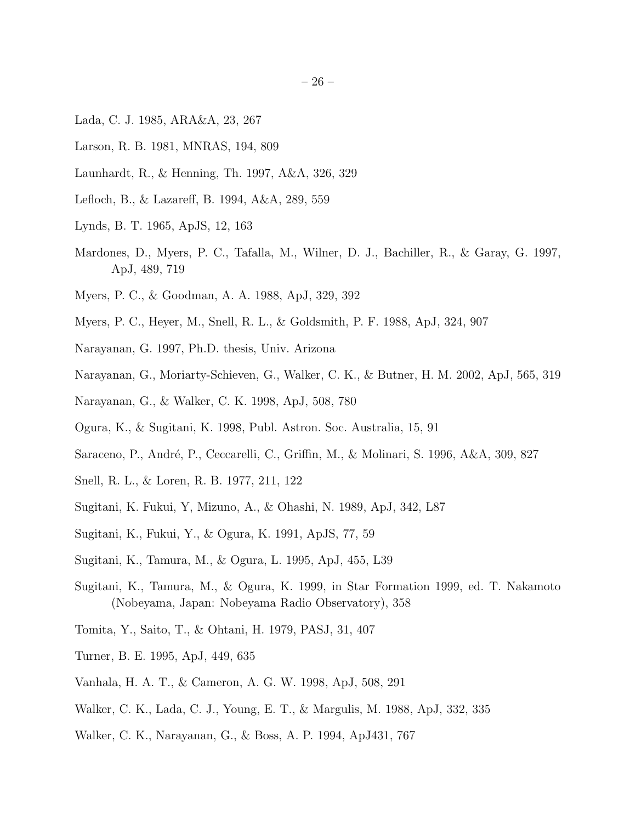- Lada, C. J. 1985, ARA&A, 23, 267
- Larson, R. B. 1981, MNRAS, 194, 809
- Launhardt, R., & Henning, Th. 1997, A&A, 326, 329
- Lefloch, B., & Lazareff, B. 1994, A&A, 289, 559
- Lynds, B. T. 1965, ApJS, 12, 163
- Mardones, D., Myers, P. C., Tafalla, M., Wilner, D. J., Bachiller, R., & Garay, G. 1997, ApJ, 489, 719
- Myers, P. C., & Goodman, A. A. 1988, ApJ, 329, 392
- Myers, P. C., Heyer, M., Snell, R. L., & Goldsmith, P. F. 1988, ApJ, 324, 907
- Narayanan, G. 1997, Ph.D. thesis, Univ. Arizona
- Narayanan, G., Moriarty-Schieven, G., Walker, C. K., & Butner, H. M. 2002, ApJ, 565, 319
- Narayanan, G., & Walker, C. K. 1998, ApJ, 508, 780
- Ogura, K., & Sugitani, K. 1998, Publ. Astron. Soc. Australia, 15, 91
- Saraceno, P., André, P., Ceccarelli, C., Griffin, M., & Molinari, S. 1996, A&A, 309, 827
- Snell, R. L., & Loren, R. B. 1977, 211, 122
- Sugitani, K. Fukui, Y, Mizuno, A., & Ohashi, N. 1989, ApJ, 342, L87
- Sugitani, K., Fukui, Y., & Ogura, K. 1991, ApJS, 77, 59
- Sugitani, K., Tamura, M., & Ogura, L. 1995, ApJ, 455, L39
- Sugitani, K., Tamura, M., & Ogura, K. 1999, in Star Formation 1999, ed. T. Nakamoto (Nobeyama, Japan: Nobeyama Radio Observatory), 358
- Tomita, Y., Saito, T., & Ohtani, H. 1979, PASJ, 31, 407
- Turner, B. E. 1995, ApJ, 449, 635
- Vanhala, H. A. T., & Cameron, A. G. W. 1998, ApJ, 508, 291
- Walker, C. K., Lada, C. J., Young, E. T., & Margulis, M. 1988, ApJ, 332, 335
- Walker, C. K., Narayanan, G., & Boss, A. P. 1994, ApJ431, 767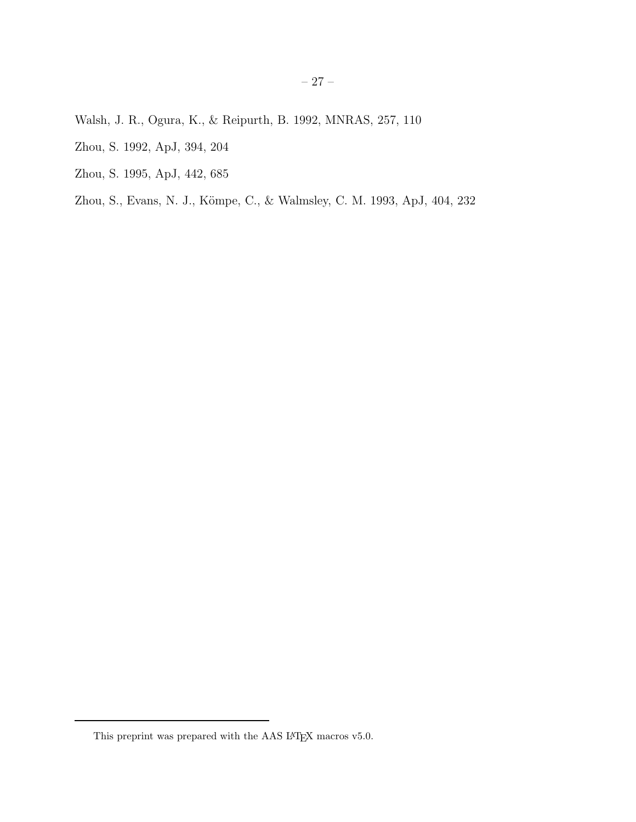- Walsh, J. R., Ogura, K., & Reipurth, B. 1992, MNRAS, 257, 110
- Zhou, S. 1992, ApJ, 394, 204
- Zhou, S. 1995, ApJ, 442, 685
- Zhou, S., Evans, N. J., Kömpe, C., & Walmsley, C. M. 1993, ApJ, 404, 232

This preprint was prepared with the AAS  $\rm \emph{L4}$  macros v5.0.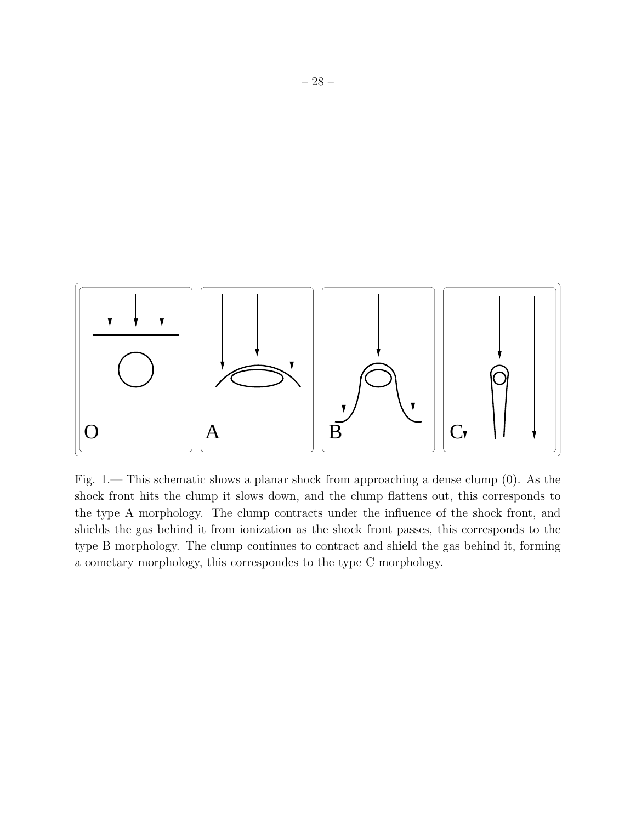

Fig. 1.— This schematic shows a planar shock from approaching a dense clump (0). As the shock front hits the clump it slows down, and the clump flattens out, this corresponds to the type A morphology. The clump contracts under the influence of the shock front, and shields the gas behind it from ionization as the shock front passes, this corresponds to the type B morphology. The clump continues to contract and shield the gas behind it, forming a cometary morphology, this correspondes to the type C morphology.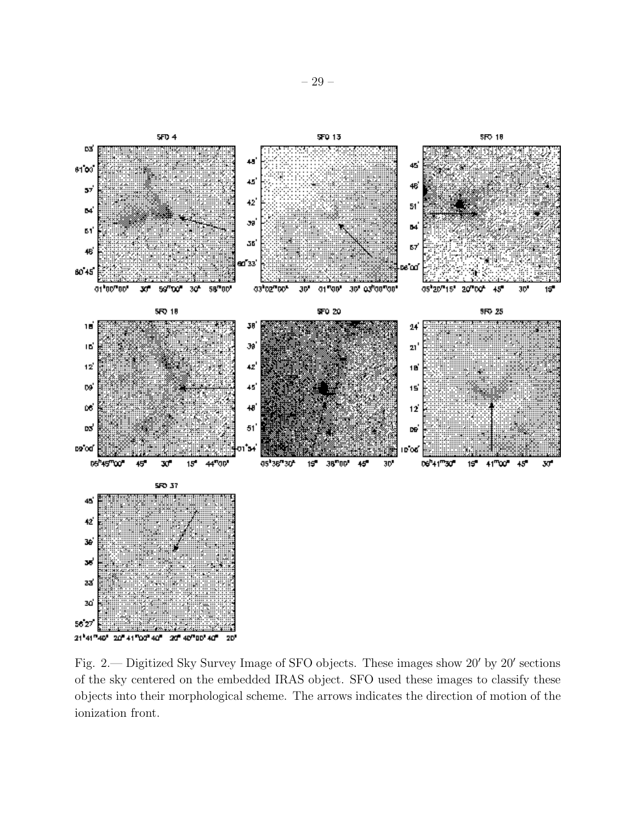

Fig. 2.— Digitized Sky Survey Image of SFO objects. These images show 20′ by 20′ sections of the sky centered on the embedded IRAS object. SFO used these images to classify these objects into their morphological scheme. The arrows indicates the direction of motion of the ionization front.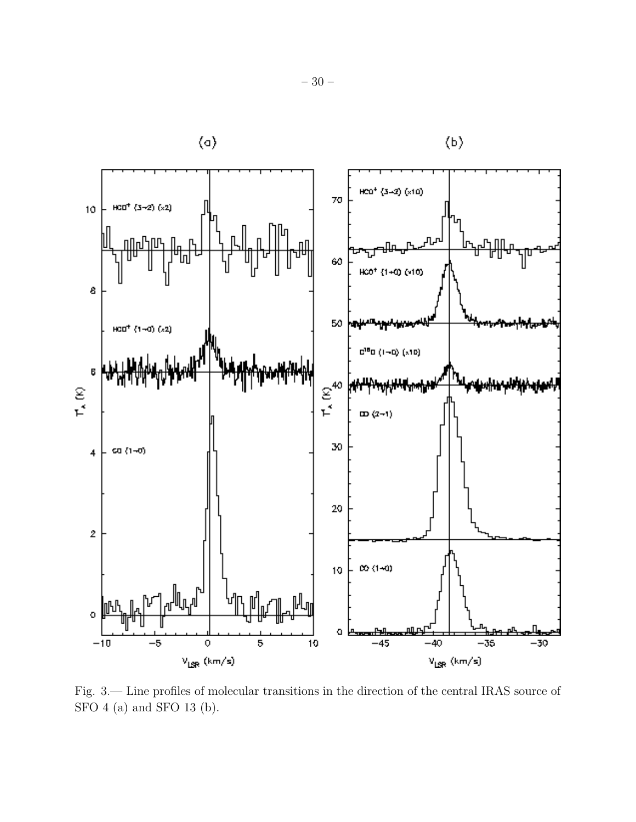

Fig. 3.— Line profiles of molecular transitions in the direction of the central IRAS source of SFO 4 (a) and SFO 13 (b).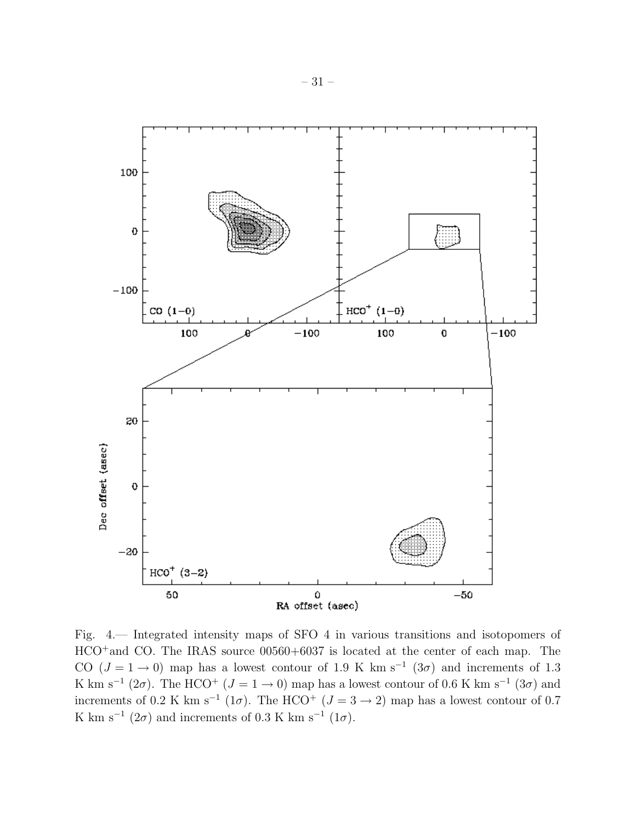

Fig. 4.— Integrated intensity maps of SFO 4 in various transitions and isotopomers of HCO<sup>+</sup>and CO. The IRAS source 00560+6037 is located at the center of each map. The CO ( $J = 1 \rightarrow 0$ ) map has a lowest contour of 1.9 K km s<sup>-1</sup> (3 $\sigma$ ) and increments of 1.3 K km s<sup>-1</sup> (2 $\sigma$ ). The HCO<sup>+</sup> ( $J = 1 \rightarrow 0$ ) map has a lowest contour of 0.6 K km s<sup>-1</sup> (3 $\sigma$ ) and increments of 0.2 K km s<sup>-1</sup> (1 $\sigma$ ). The HCO<sup>+</sup> ( $J = 3 \rightarrow 2$ ) map has a lowest contour of 0.7 K km s<sup>-1</sup> (2 $\sigma$ ) and increments of 0.3 K km s<sup>-1</sup> (1 $\sigma$ ).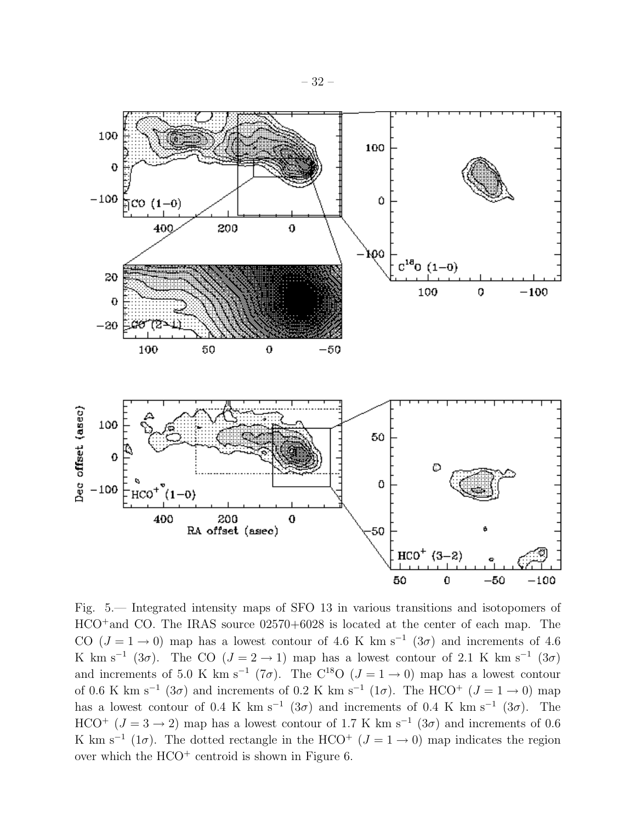

Fig. 5.— Integrated intensity maps of SFO 13 in various transitions and isotopomers of HCO<sup>+</sup>and CO. The IRAS source 02570+6028 is located at the center of each map. The CO ( $J = 1 \rightarrow 0$ ) map has a lowest contour of 4.6 K km s<sup>-1</sup> (3 $\sigma$ ) and increments of 4.6 K km s<sup>-1</sup> (3 $\sigma$ ). The CO (J = 2 → 1) map has a lowest contour of 2.1 K km s<sup>-1</sup> (3 $\sigma$ ) and increments of 5.0 K km s<sup>-1</sup> (7 $\sigma$ ). The C<sup>18</sup>O ( $J = 1 \rightarrow 0$ ) map has a lowest contour of 0.6 K km s<sup>-1</sup> (3 $\sigma$ ) and increments of 0.2 K km s<sup>-1</sup> (1 $\sigma$ ). The HCO<sup>+</sup> (J = 1 → 0) map has a lowest contour of 0.4 K km s<sup>-1</sup> (3 $\sigma$ ) and increments of 0.4 K km s<sup>-1</sup> (3 $\sigma$ ). The HCO<sup>+</sup> ( $J = 3 \rightarrow 2$ ) map has a lowest contour of 1.7 K km s<sup>-1</sup> (3 $\sigma$ ) and increments of 0.6 K km s<sup>-1</sup> (1 $\sigma$ ). The dotted rectangle in the HCO<sup>+</sup> ( $J = 1 \rightarrow 0$ ) map indicates the region over which the  $HCO<sup>+</sup>$  centroid is shown in Figure 6.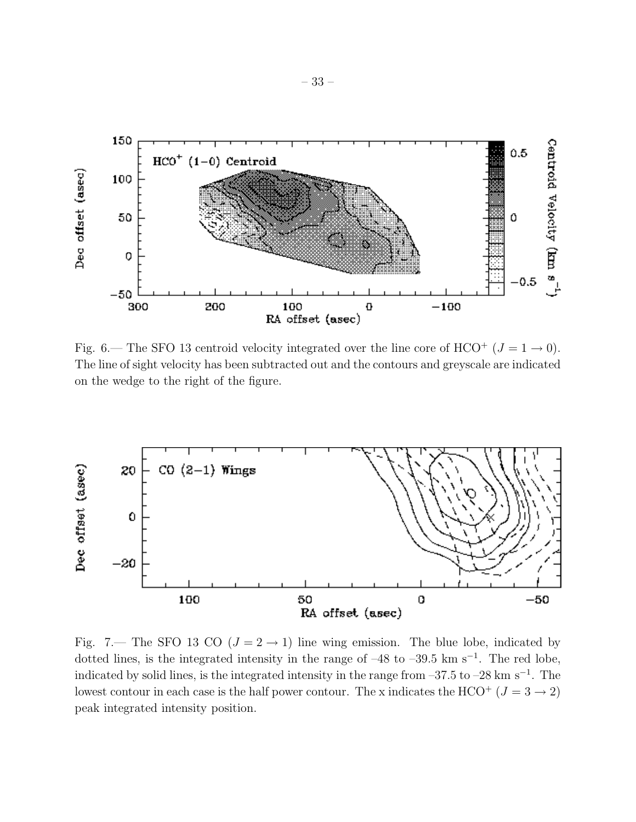

Fig. 6.— The SFO 13 centroid velocity integrated over the line core of HCO<sup>+</sup> ( $J = 1 \rightarrow 0$ ). The line of sight velocity has been subtracted out and the contours and greyscale are indicated on the wedge to the right of the figure.



Fig. 7.— The SFO 13 CO ( $J = 2 \rightarrow 1$ ) line wing emission. The blue lobe, indicated by dotted lines, is the integrated intensity in the range of  $-48$  to  $-39.5$  km s<sup>-1</sup>. The red lobe, indicated by solid lines, is the integrated intensity in the range from –37.5 to –28 km s<sup>−</sup><sup>1</sup> . The lowest contour in each case is the half power contour. The x indicates the HCO<sup>+</sup> ( $J = 3 \rightarrow 2$ ) peak integrated intensity position.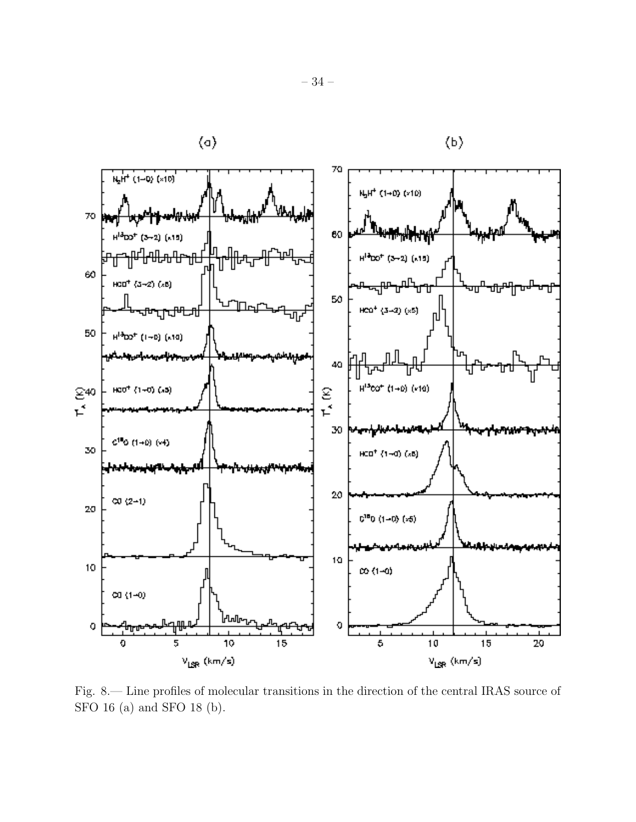

Fig. 8.— Line profiles of molecular transitions in the direction of the central IRAS source of SFO 16 (a) and SFO 18 (b).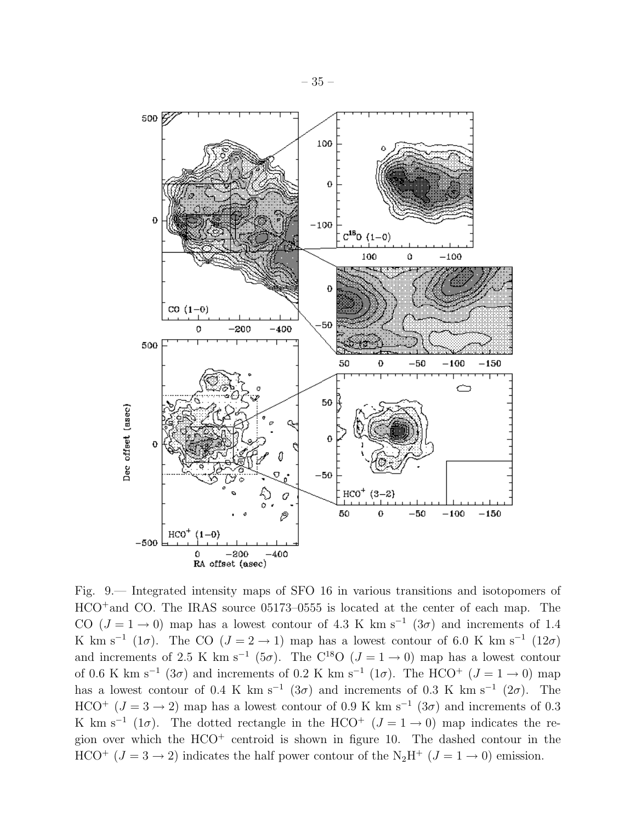

Fig. 9.— Integrated intensity maps of SFO 16 in various transitions and isotopomers of HCO<sup>+</sup>and CO. The IRAS source 05173–0555 is located at the center of each map. The CO  $(J = 1 \rightarrow 0)$  map has a lowest contour of 4.3 K km s<sup>-1</sup> (3 $\sigma$ ) and increments of 1.4 K km s<sup>-1</sup> (1 $\sigma$ ). The CO (J = 2 → 1) map has a lowest contour of 6.0 K km s<sup>-1</sup> (12 $\sigma$ ) and increments of 2.5 K km s<sup>-1</sup> (5 $\sigma$ ). The C<sup>18</sup>O ( $J = 1 \rightarrow 0$ ) map has a lowest contour of 0.6 K km s<sup>-1</sup> (3 $\sigma$ ) and increments of 0.2 K km s<sup>-1</sup> (1 $\sigma$ ). The HCO<sup>+</sup> (J = 1 → 0) map has a lowest contour of 0.4 K km s<sup>-1</sup> (3 $\sigma$ ) and increments of 0.3 K km s<sup>-1</sup> (2 $\sigma$ ). The HCO<sup>+</sup> ( $J = 3 \rightarrow 2$ ) map has a lowest contour of 0.9 K km s<sup>-1</sup> (3 $\sigma$ ) and increments of 0.3 K km s<sup>-1</sup> (1 $\sigma$ ). The dotted rectangle in the HCO<sup>+</sup> ( $J = 1 \rightarrow 0$ ) map indicates the region over which the  $HCO<sup>+</sup>$  centroid is shown in figure 10. The dashed contour in the HCO<sup>+</sup> ( $J = 3 \rightarrow 2$ ) indicates the half power contour of the N<sub>2</sub>H<sup>+</sup> ( $J = 1 \rightarrow 0$ ) emission.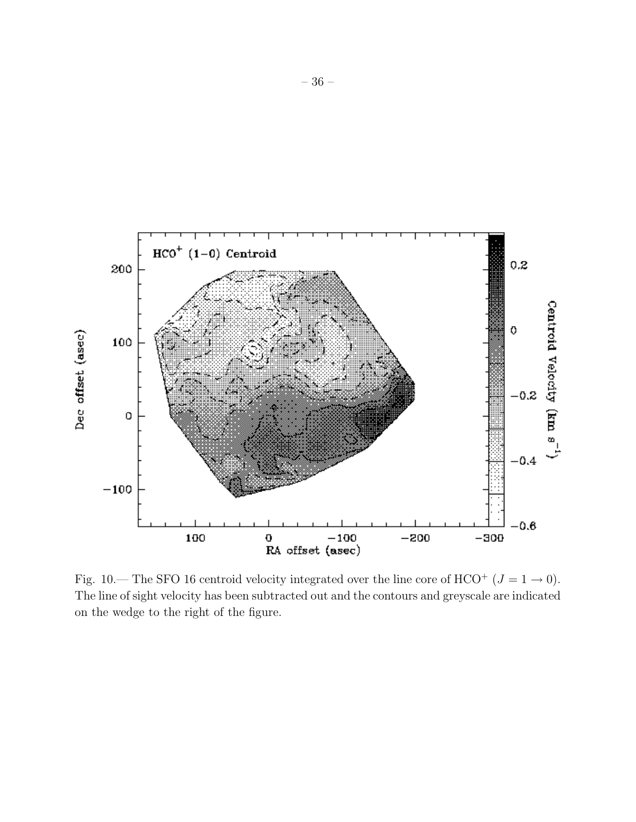

Fig. 10.— The SFO 16 centroid velocity integrated over the line core of HCO<sup>+</sup> ( $J = 1 \rightarrow 0$ ). The line of sight velocity has been subtracted out and the contours and greyscale are indicated on the wedge to the right of the figure.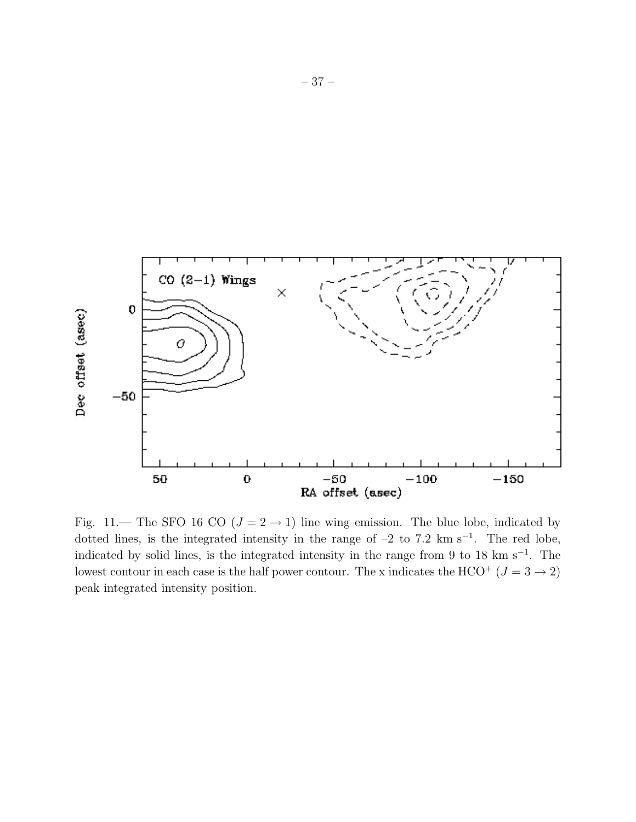

Fig. 11.— The SFO 16 CO ( $J = 2 \rightarrow 1$ ) line wing emission. The blue lobe, indicated by dotted lines, is the integrated intensity in the range of  $-2$  to 7.2 km s<sup> $-1$ </sup>. The red lobe, indicated by solid lines, is the integrated intensity in the range from 9 to 18 km s<sup>-1</sup>. The lowest contour in each case is the half power contour. The x indicates the HCO<sup>+</sup> ( $J = 3 \rightarrow 2$ ) peak integrated intensity position.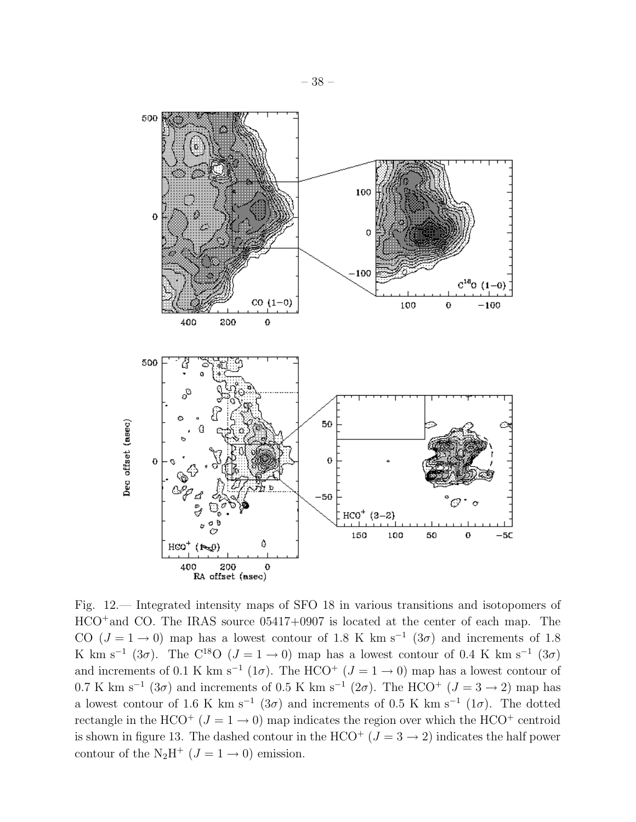

Fig. 12.— Integrated intensity maps of SFO 18 in various transitions and isotopomers of HCO<sup>+</sup>and CO. The IRAS source 05417+0907 is located at the center of each map. The CO  $(J = 1 \rightarrow 0)$  map has a lowest contour of 1.8 K km s<sup>-1</sup>  $(3\sigma)$  and increments of 1.8 K km s<sup>-1</sup> (3 $\sigma$ ). The C<sup>18</sup>O ( $J = 1 \rightarrow 0$ ) map has a lowest contour of 0.4 K km s<sup>-1</sup> (3 $\sigma$ ) and increments of 0.1 K km s<sup>-1</sup> (1 $\sigma$ ). The HCO<sup>+</sup> ( $J = 1 \rightarrow 0$ ) map has a lowest contour of 0.7 K km s<sup>-1</sup> (3 $\sigma$ ) and increments of 0.5 K km s<sup>-1</sup> (2 $\sigma$ ). The HCO<sup>+</sup> (J = 3  $\rightarrow$  2) map has a lowest contour of 1.6 K km s<sup>-1</sup> (3 $\sigma$ ) and increments of 0.5 K km s<sup>-1</sup> (1 $\sigma$ ). The dotted rectangle in the HCO<sup>+</sup> ( $J = 1 \rightarrow 0$ ) map indicates the region over which the HCO<sup>+</sup> centroid is shown in figure 13. The dashed contour in the HCO<sup>+</sup> ( $J = 3 \rightarrow 2$ ) indicates the half power contour of the N<sub>2</sub>H<sup>+</sup> ( $J = 1 \rightarrow 0$ ) emission.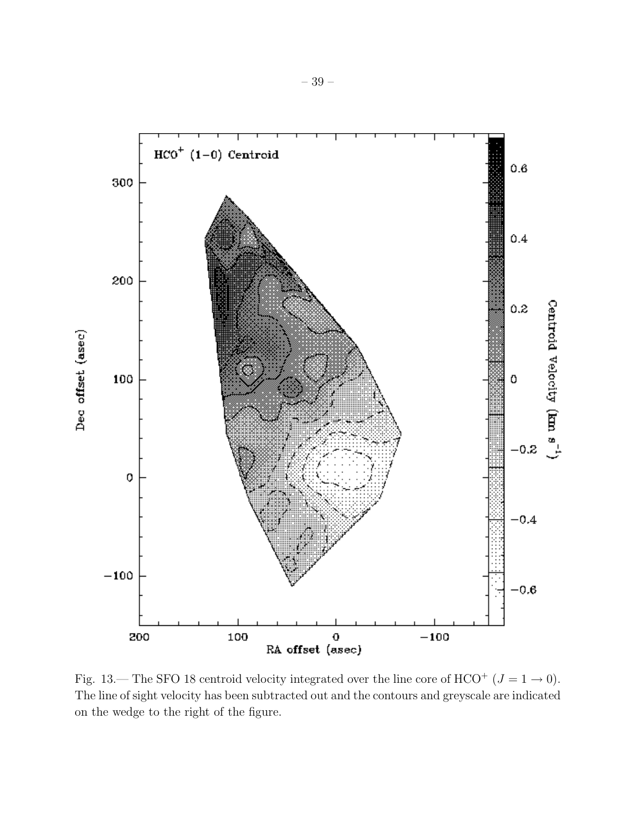

Fig. 13.— The SFO 18 centroid velocity integrated over the line core of HCO<sup>+</sup> ( $J = 1 \rightarrow 0$ ). The line of sight velocity has been subtracted out and the contours and greyscale are indicated on the wedge to the right of the figure.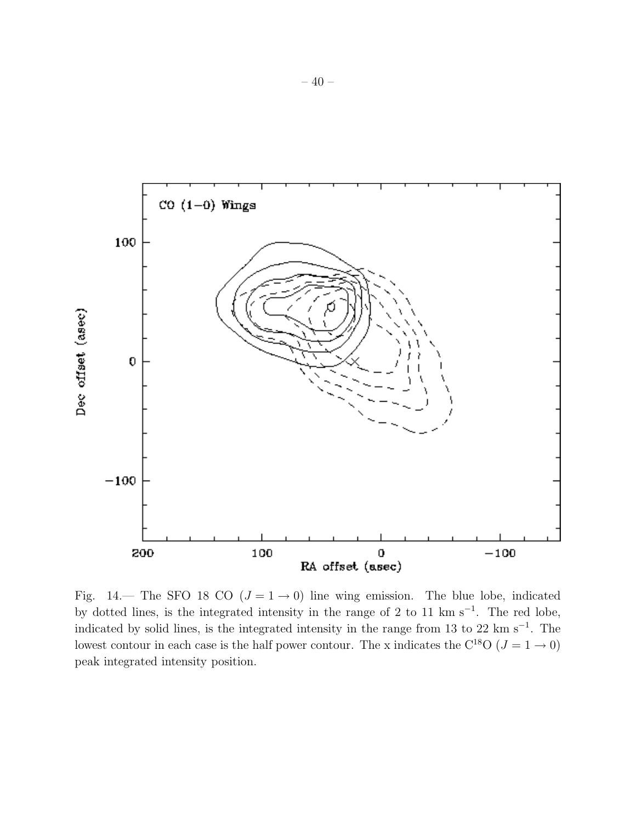

Fig. 14.— The SFO 18 CO ( $J = 1 \rightarrow 0$ ) line wing emission. The blue lobe, indicated by dotted lines, is the integrated intensity in the range of 2 to 11 km s<sup>-1</sup>. The red lobe, indicated by solid lines, is the integrated intensity in the range from 13 to 22 km s<sup>−</sup><sup>1</sup> . The lowest contour in each case is the half power contour. The x indicates the C<sup>18</sup>O ( $J = 1 \rightarrow 0$ ) peak integrated intensity position.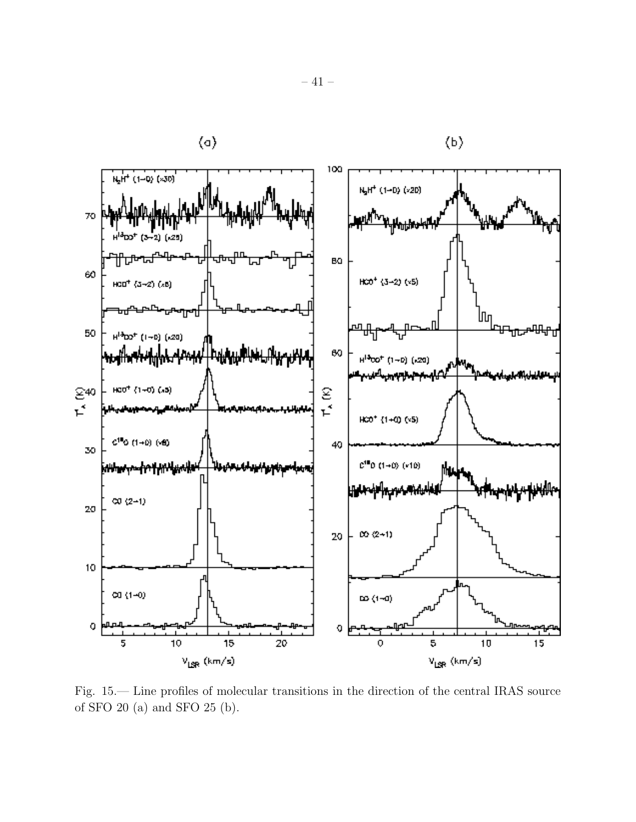

Fig. 15.— Line profiles of molecular transitions in the direction of the central IRAS source of SFO 20 (a) and SFO 25 (b).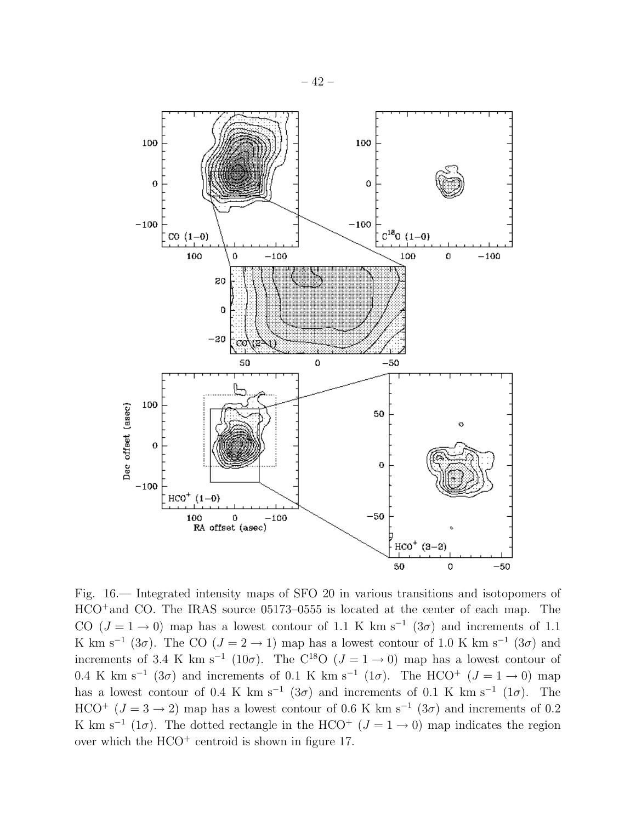

Fig. 16.— Integrated intensity maps of SFO 20 in various transitions and isotopomers of HCO<sup>+</sup>and CO. The IRAS source 05173–0555 is located at the center of each map. The CO  $(J = 1 \rightarrow 0)$  map has a lowest contour of 1.1 K km s<sup>-1</sup>  $(3\sigma)$  and increments of 1.1 K km s<sup>-1</sup> (3 $\sigma$ ). The CO (J = 2 → 1) map has a lowest contour of 1.0 K km s<sup>-1</sup> (3 $\sigma$ ) and increments of 3.4 K km s<sup>-1</sup> (10 $\sigma$ ). The C<sup>18</sup>O ( $J = 1 \rightarrow 0$ ) map has a lowest contour of 0.4 K km s<sup>-1</sup> (3 $\sigma$ ) and increments of 0.1 K km s<sup>-1</sup> (1 $\sigma$ ). The HCO<sup>+</sup> (J = 1 → 0) map has a lowest contour of 0.4 K km s<sup>-1</sup> (3 $\sigma$ ) and increments of 0.1 K km s<sup>-1</sup> (1 $\sigma$ ). The HCO<sup>+</sup> ( $J = 3 \rightarrow 2$ ) map has a lowest contour of 0.6 K km s<sup>-1</sup> (3 $\sigma$ ) and increments of 0.2 K km s<sup>-1</sup> (1 $\sigma$ ). The dotted rectangle in the HCO<sup>+</sup> ( $J = 1 \rightarrow 0$ ) map indicates the region over which the  $HCO<sup>+</sup>$  centroid is shown in figure 17.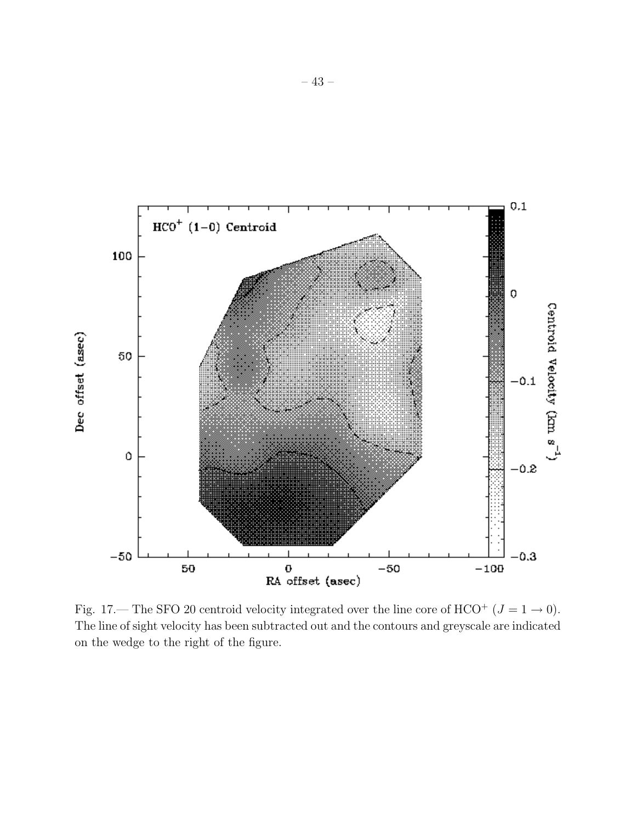

Fig. 17.— The SFO 20 centroid velocity integrated over the line core of HCO<sup>+</sup> ( $J = 1 \rightarrow 0$ ). The line of sight velocity has been subtracted out and the contours and greyscale are indicated on the wedge to the right of the figure.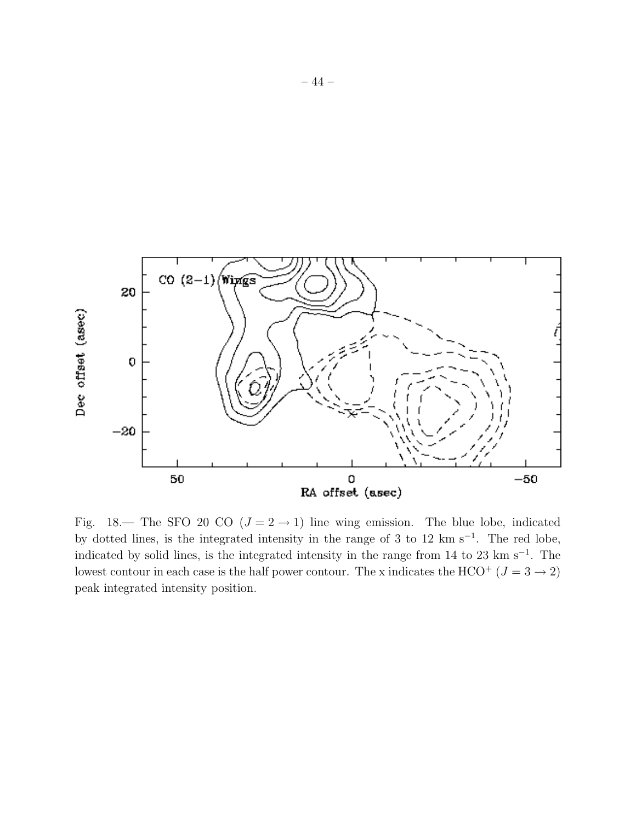

Fig. 18.— The SFO 20 CO  $(J = 2 \rightarrow 1)$  line wing emission. The blue lobe, indicated by dotted lines, is the integrated intensity in the range of 3 to 12 km s<sup>−</sup><sup>1</sup> . The red lobe, indicated by solid lines, is the integrated intensity in the range from 14 to 23 km s<sup>−</sup><sup>1</sup> . The lowest contour in each case is the half power contour. The x indicates the HCO<sup>+</sup> ( $J = 3 \rightarrow 2$ ) peak integrated intensity position.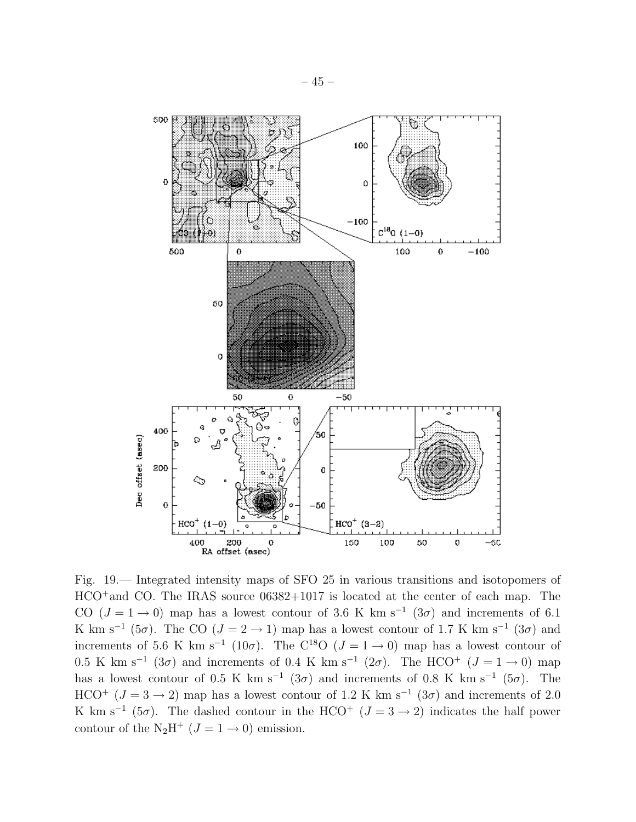

Fig. 19.— Integrated intensity maps of SFO 25 in various transitions and isotopomers of HCO<sup>+</sup>and CO. The IRAS source 06382+1017 is located at the center of each map. The CO ( $J = 1 \rightarrow 0$ ) map has a lowest contour of 3.6 K km s<sup>-1</sup> (3 $\sigma$ ) and increments of 6.1 K km s<sup>-1</sup> (5 $\sigma$ ). The CO (J = 2 → 1) map has a lowest contour of 1.7 K km s<sup>-1</sup> (3 $\sigma$ ) and increments of 5.6 K km s<sup>-1</sup> (10 $\sigma$ ). The C<sup>18</sup>O ( $J = 1 \rightarrow 0$ ) map has a lowest contour of 0.5 K km s<sup>-1</sup> (3 $\sigma$ ) and increments of 0.4 K km s<sup>-1</sup> (2 $\sigma$ ). The HCO<sup>+</sup> (J = 1 → 0) map has a lowest contour of 0.5 K km s<sup>-1</sup> (3 $\sigma$ ) and increments of 0.8 K km s<sup>-1</sup> (5 $\sigma$ ). The HCO<sup>+</sup> ( $J = 3 \rightarrow 2$ ) map has a lowest contour of 1.2 K km s<sup>-1</sup> (3 $\sigma$ ) and increments of 2.0 K km s<sup>-1</sup> (5 $\sigma$ ). The dashed contour in the HCO<sup>+</sup> ( $J = 3 \rightarrow 2$ ) indicates the half power contour of the N<sub>2</sub>H<sup>+</sup> ( $J = 1 \rightarrow 0$ ) emission.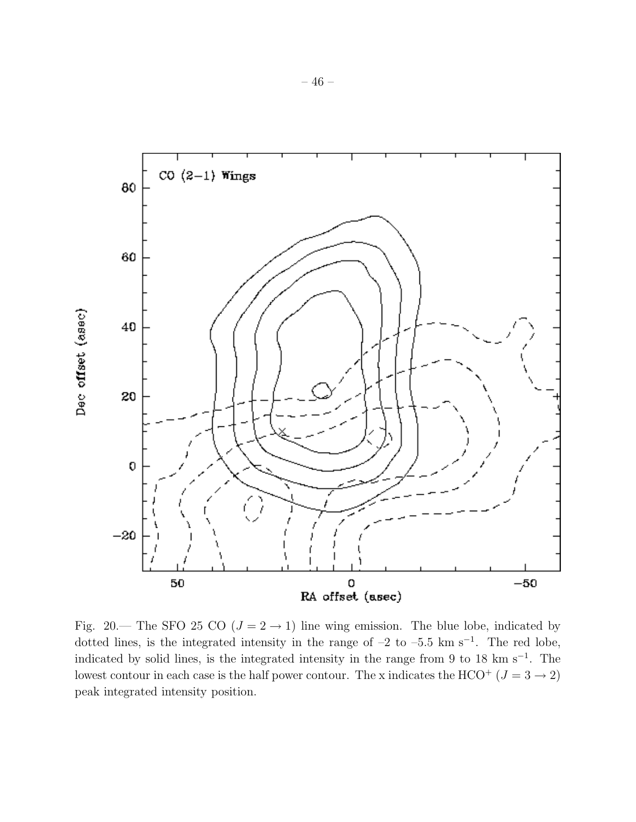

Fig. 20.— The SFO 25 CO ( $J = 2 \rightarrow 1$ ) line wing emission. The blue lobe, indicated by dotted lines, is the integrated intensity in the range of  $-2$  to  $-5.5$  km s<sup>-1</sup>. The red lobe, indicated by solid lines, is the integrated intensity in the range from 9 to 18 km s<sup>-1</sup>. The lowest contour in each case is the half power contour. The x indicates the HCO<sup>+</sup> ( $J = 3 \rightarrow 2$ ) peak integrated intensity position.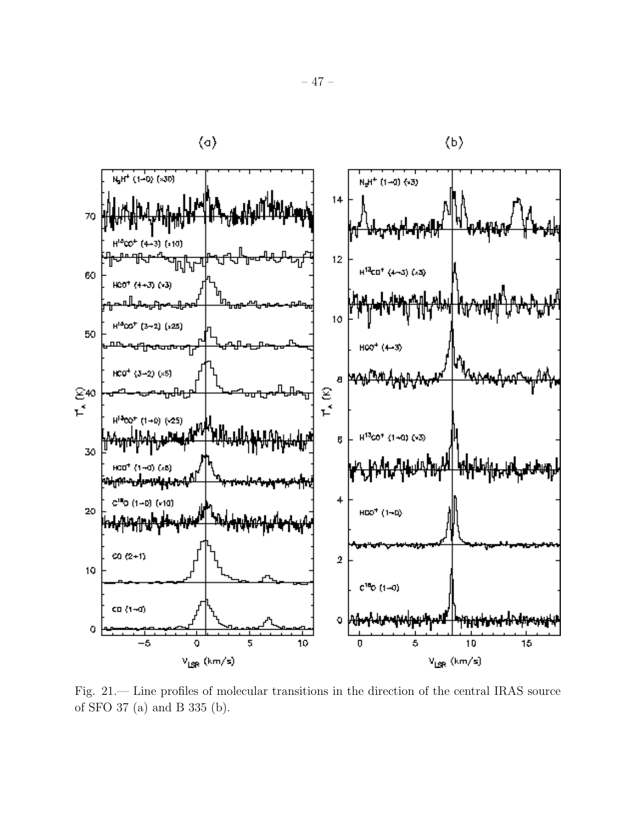

Fig. 21.— Line profiles of molecular transitions in the direction of the central IRAS source of SFO 37 (a) and B 335 (b).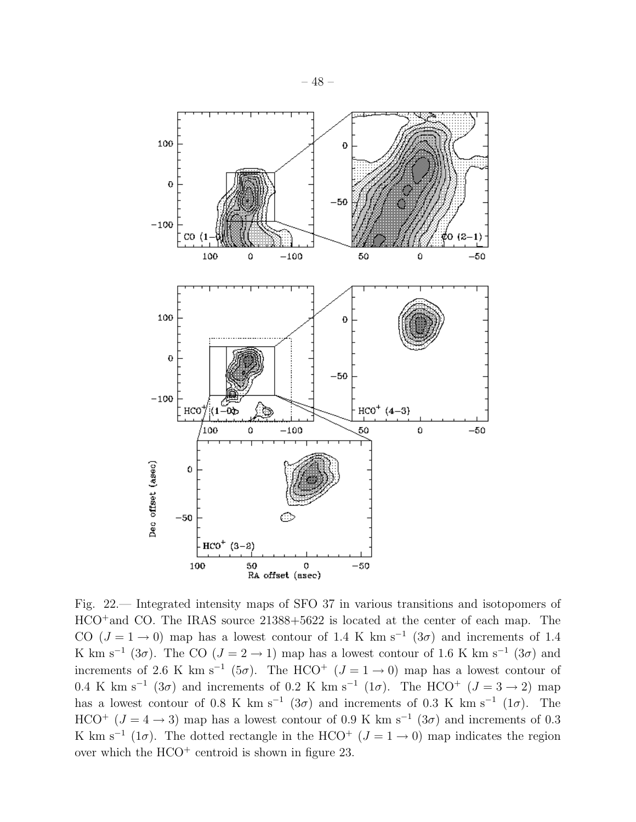

Fig. 22.— Integrated intensity maps of SFO 37 in various transitions and isotopomers of HCO<sup>+</sup>and CO. The IRAS source 21388+5622 is located at the center of each map. The CO  $(J = 1 \rightarrow 0)$  map has a lowest contour of 1.4 K km s<sup>-1</sup> (3 $\sigma$ ) and increments of 1.4 K km s<sup>-1</sup> (3 $\sigma$ ). The CO (J = 2 → 1) map has a lowest contour of 1.6 K km s<sup>-1</sup> (3 $\sigma$ ) and increments of 2.6 K km s<sup>-1</sup> (5 $\sigma$ ). The HCO<sup>+</sup> (J = 1 → 0) map has a lowest contour of 0.4 K km s<sup>-1</sup> (3 $\sigma$ ) and increments of 0.2 K km s<sup>-1</sup> (1 $\sigma$ ). The HCO<sup>+</sup> ( $J = 3 \rightarrow 2$ ) map has a lowest contour of 0.8 K km s<sup>-1</sup> (3 $\sigma$ ) and increments of 0.3 K km s<sup>-1</sup> (1 $\sigma$ ). The HCO<sup>+</sup> ( $J = 4 \rightarrow 3$ ) map has a lowest contour of 0.9 K km s<sup>-1</sup> (3 $\sigma$ ) and increments of 0.3 K km s<sup>-1</sup> (1 $\sigma$ ). The dotted rectangle in the HCO<sup>+</sup> ( $J = 1 \rightarrow 0$ ) map indicates the region over which the  $HCO<sup>+</sup>$  centroid is shown in figure 23.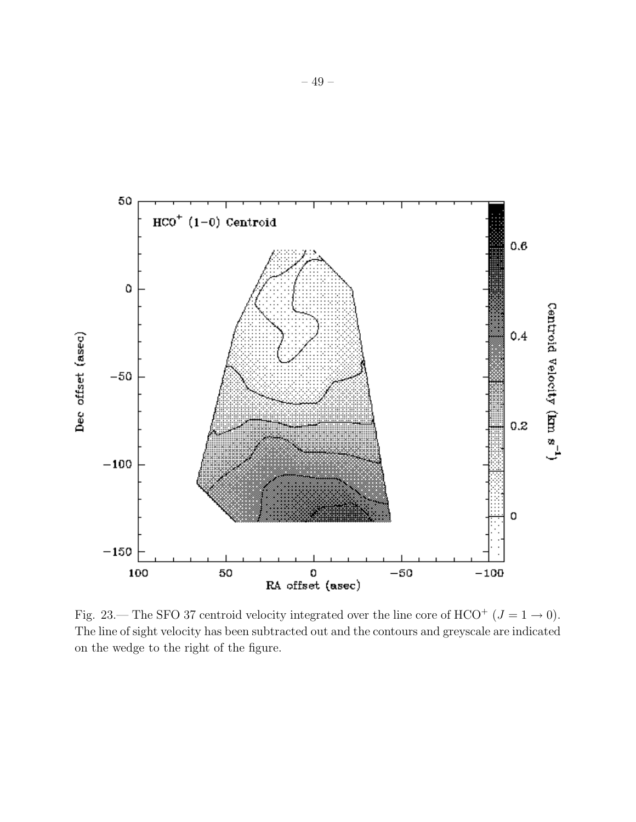

Fig. 23.— The SFO 37 centroid velocity integrated over the line core of HCO<sup>+</sup> ( $J = 1 \rightarrow 0$ ). The line of sight velocity has been subtracted out and the contours and greyscale are indicated on the wedge to the right of the figure.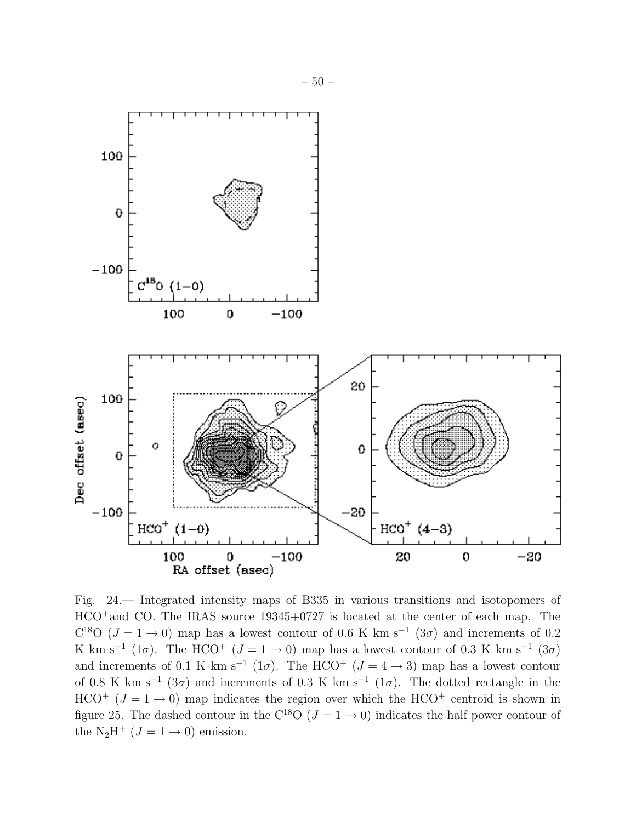

Fig. 24.— Integrated intensity maps of B335 in various transitions and isotopomers of HCO<sup>+</sup>and CO. The IRAS source 19345+0727 is located at the center of each map. The C<sup>18</sup>O ( $J = 1 \rightarrow 0$ ) map has a lowest contour of 0.6 K km s<sup>-1</sup> (3 $\sigma$ ) and increments of 0.2 K km s<sup>-1</sup> (1 $\sigma$ ). The HCO<sup>+</sup> ( $J = 1 \rightarrow 0$ ) map has a lowest contour of 0.3 K km s<sup>-1</sup> (3 $\sigma$ ) and increments of 0.1 K km s<sup>-1</sup> (1 $\sigma$ ). The HCO<sup>+</sup> ( $J = 4 \rightarrow 3$ ) map has a lowest contour of 0.8 K km s<sup>-1</sup> (3 $\sigma$ ) and increments of 0.3 K km s<sup>-1</sup> (1 $\sigma$ ). The dotted rectangle in the HCO<sup>+</sup> ( $J = 1 \rightarrow 0$ ) map indicates the region over which the HCO<sup>+</sup> centroid is shown in figure 25. The dashed contour in the C<sup>18</sup>O ( $J = 1 \rightarrow 0$ ) indicates the half power contour of the N<sub>2</sub>H<sup>+</sup> ( $J = 1 \rightarrow 0$ ) emission.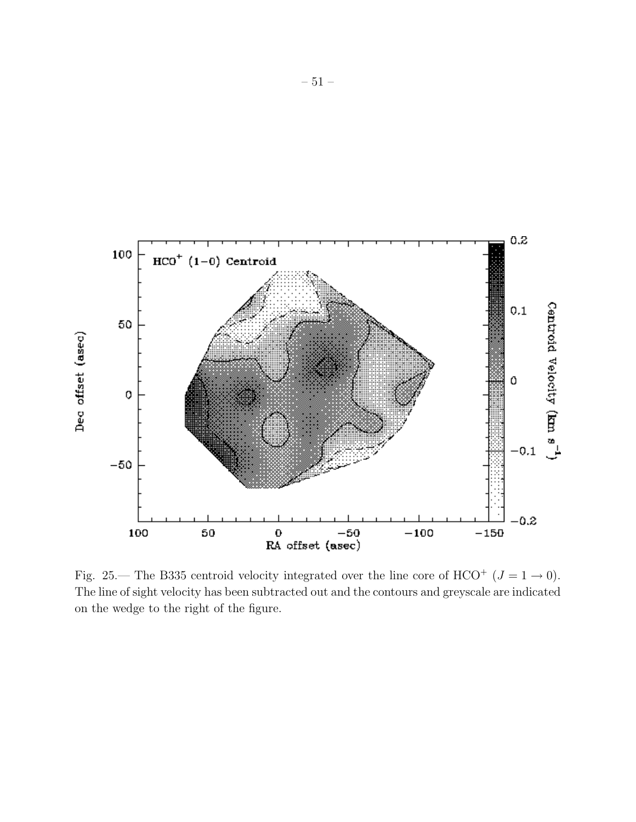

Fig. 25.— The B335 centroid velocity integrated over the line core of HCO<sup>+</sup> ( $J = 1 \rightarrow 0$ ). The line of sight velocity has been subtracted out and the contours and greyscale are indicated on the wedge to the right of the figure.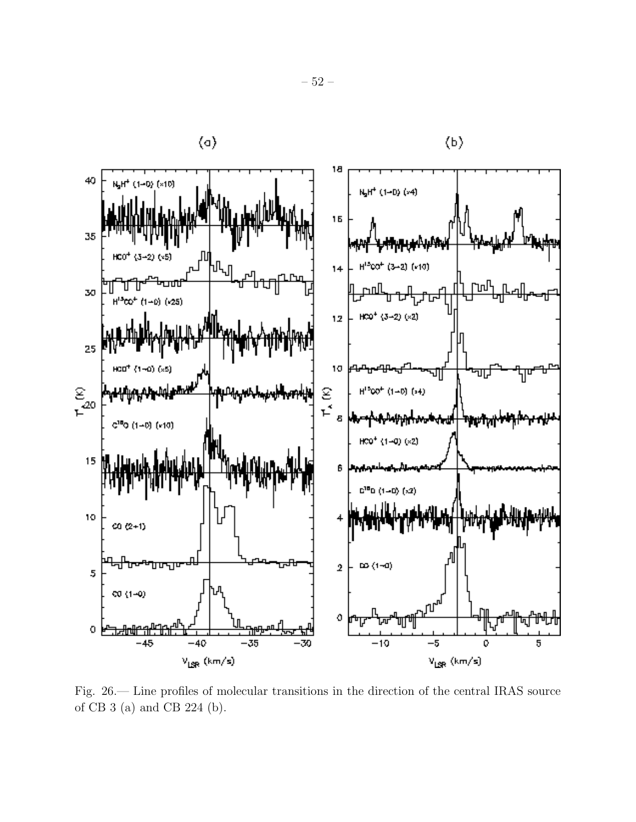

Fig. 26.— Line profiles of molecular transitions in the direction of the central IRAS source of CB 3 (a) and CB 224 (b).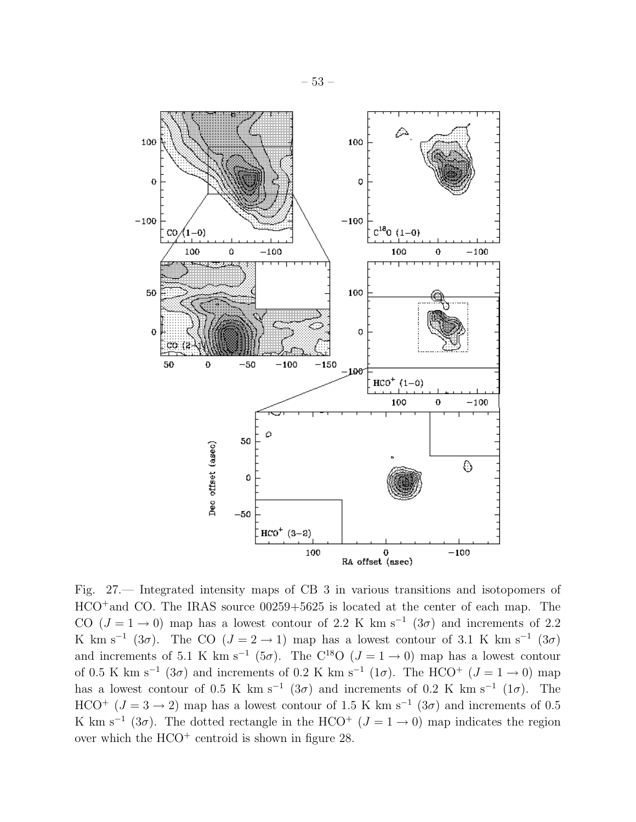

Fig. 27.— Integrated intensity maps of CB 3 in various transitions and isotopomers of HCO<sup>+</sup>and CO. The IRAS source 00259+5625 is located at the center of each map. The CO ( $J = 1 \rightarrow 0$ ) map has a lowest contour of 2.2 K km s<sup>-1</sup> (3 $\sigma$ ) and increments of 2.2 K km s<sup>-1</sup> (3 $\sigma$ ). The CO (J = 2 → 1) map has a lowest contour of 3.1 K km s<sup>-1</sup> (3 $\sigma$ ) and increments of 5.1 K km s<sup>-1</sup> (5 $\sigma$ ). The C<sup>18</sup>O ( $J = 1 \rightarrow 0$ ) map has a lowest contour of 0.5 K km s<sup>-1</sup> (3 $\sigma$ ) and increments of 0.2 K km s<sup>-1</sup> (1 $\sigma$ ). The HCO<sup>+</sup> (J = 1 → 0) map has a lowest contour of 0.5 K km s<sup>-1</sup> (3 $\sigma$ ) and increments of 0.2 K km s<sup>-1</sup> (1 $\sigma$ ). The HCO<sup>+</sup> ( $J = 3 \rightarrow 2$ ) map has a lowest contour of 1.5 K km s<sup>-1</sup> (3 $\sigma$ ) and increments of 0.5 K km s<sup>-1</sup> (3 $\sigma$ ). The dotted rectangle in the HCO<sup>+</sup> ( $J = 1 \rightarrow 0$ ) map indicates the region over which the  $HCO<sup>+</sup>$  centroid is shown in figure 28.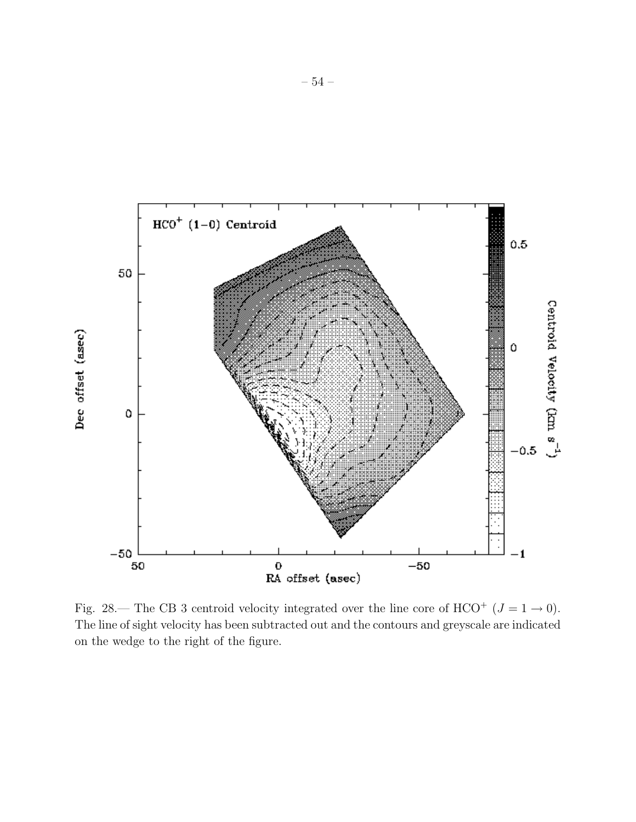

Fig. 28.— The CB 3 centroid velocity integrated over the line core of HCO<sup>+</sup> ( $J = 1 \rightarrow 0$ ). The line of sight velocity has been subtracted out and the contours and greyscale are indicated on the wedge to the right of the figure.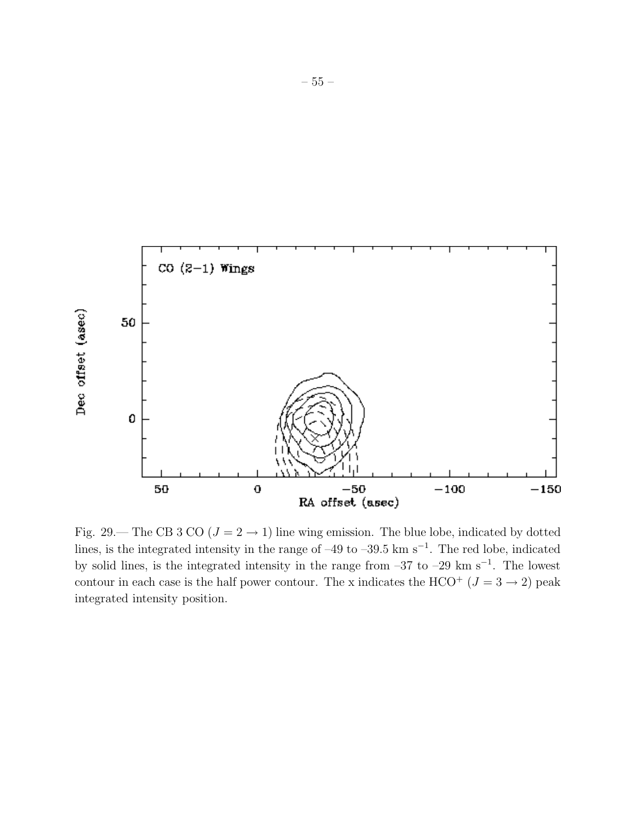

Fig. 29.— The CB 3 CO ( $J = 2 \rightarrow 1$ ) line wing emission. The blue lobe, indicated by dotted lines, is the integrated intensity in the range of –49 to –39.5 km s<sup>-1</sup>. The red lobe, indicated by solid lines, is the integrated intensity in the range from –37 to –29 km s<sup>−</sup><sup>1</sup> . The lowest contour in each case is the half power contour. The x indicates the HCO<sup>+</sup> ( $J = 3 \rightarrow 2$ ) peak integrated intensity position.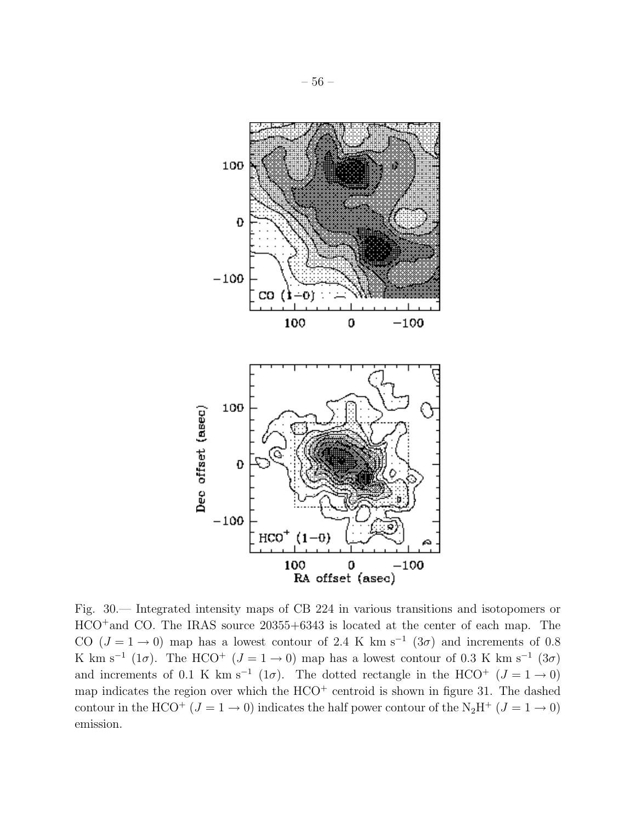

Fig. 30.— Integrated intensity maps of CB 224 in various transitions and isotopomers or HCO<sup>+</sup>and CO. The IRAS source 20355+6343 is located at the center of each map. The CO ( $J = 1 \rightarrow 0$ ) map has a lowest contour of 2.4 K km s<sup>-1</sup> (3 $\sigma$ ) and increments of 0.8 K km s<sup>-1</sup> (1 $\sigma$ ). The HCO<sup>+</sup> ( $J = 1 \rightarrow 0$ ) map has a lowest contour of 0.3 K km s<sup>-1</sup> (3 $\sigma$ ) and increments of 0.1 K km s<sup>-1</sup> (1 $\sigma$ ). The dotted rectangle in the HCO<sup>+</sup> ( $J = 1 \rightarrow 0$ ) map indicates the region over which the  $HCO<sup>+</sup>$  centroid is shown in figure 31. The dashed contour in the HCO<sup>+</sup> ( $J = 1 \rightarrow 0$ ) indicates the half power contour of the N<sub>2</sub>H<sup>+</sup> ( $J = 1 \rightarrow 0$ ) emission.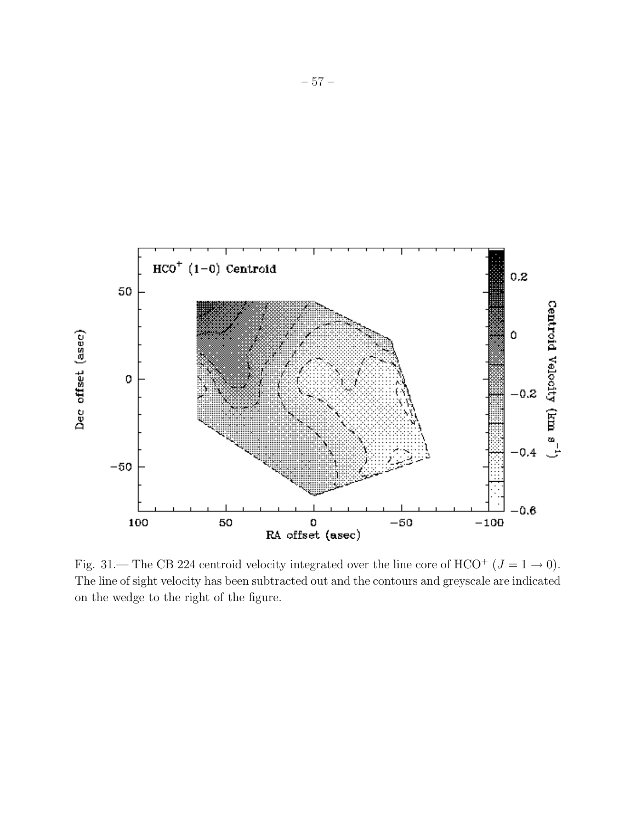

Fig. 31.— The CB 224 centroid velocity integrated over the line core of HCO<sup>+</sup> ( $J = 1 \rightarrow 0$ ). The line of sight velocity has been subtracted out and the contours and greyscale are indicated on the wedge to the right of the figure.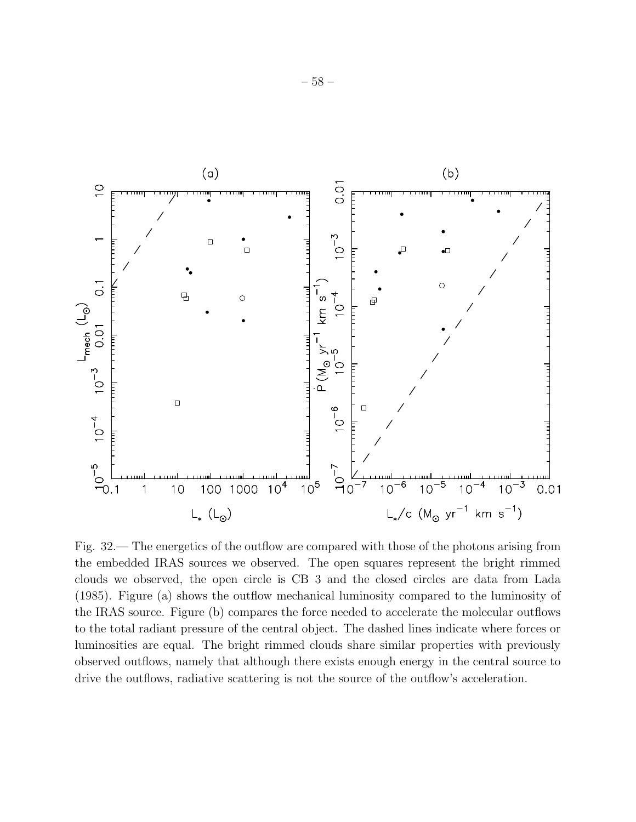

Fig. 32.— The energetics of the outflow are compared with those of the photons arising from the embedded IRAS sources we observed. The open squares represent the bright rimmed clouds we observed, the open circle is CB 3 and the closed circles are data from Lada (1985). Figure (a) shows the outflow mechanical luminosity compared to the luminosity of the IRAS source. Figure (b) compares the force needed to accelerate the molecular outflows to the total radiant pressure of the central object. The dashed lines indicate where forces or luminosities are equal. The bright rimmed clouds share similar properties with previously observed outflows, namely that although there exists enough energy in the central source to drive the outflows, radiative scattering is not the source of the outflow's acceleration.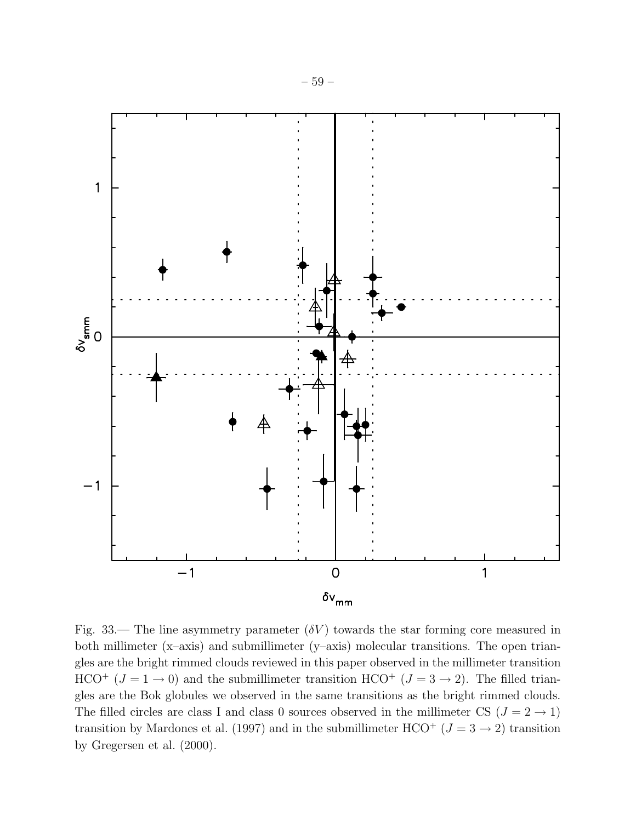

Fig. 33.— The line asymmetry parameter  $(\delta V)$  towards the star forming core measured in both millimeter (x–axis) and submillimeter (y–axis) molecular transitions. The open triangles are the bright rimmed clouds reviewed in this paper observed in the millimeter transition HCO<sup>+</sup> ( $J = 1 \rightarrow 0$ ) and the submillimeter transition HCO<sup>+</sup> ( $J = 3 \rightarrow 2$ ). The filled triangles are the Bok globules we observed in the same transitions as the bright rimmed clouds. The filled circles are class I and class 0 sources observed in the millimeter CS  $(J = 2 \rightarrow 1)$ transition by Mardones et al. (1997) and in the submillimeter HCO<sup>+</sup> ( $J = 3 \rightarrow 2$ ) transition by Gregersen et al. (2000).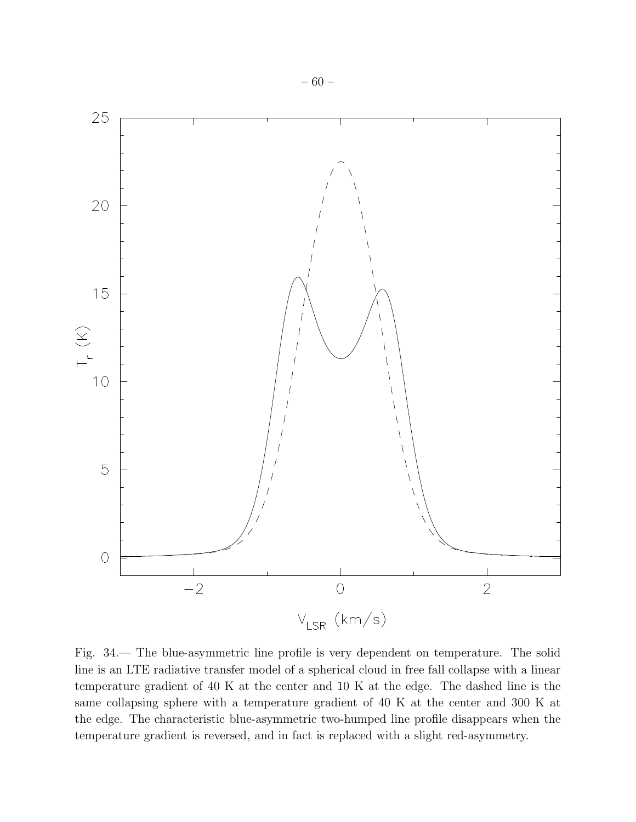

Fig. 34.— The blue-asymmetric line profile is very dependent on temperature. The solid line is an LTE radiative transfer model of a spherical cloud in free fall collapse with a linear temperature gradient of 40 K at the center and 10 K at the edge. The dashed line is the same collapsing sphere with a temperature gradient of 40 K at the center and 300 K at the edge. The characteristic blue-asymmetric two-humped line profile disappears when the temperature gradient is reversed, and in fact is replaced with a slight red-asymmetry.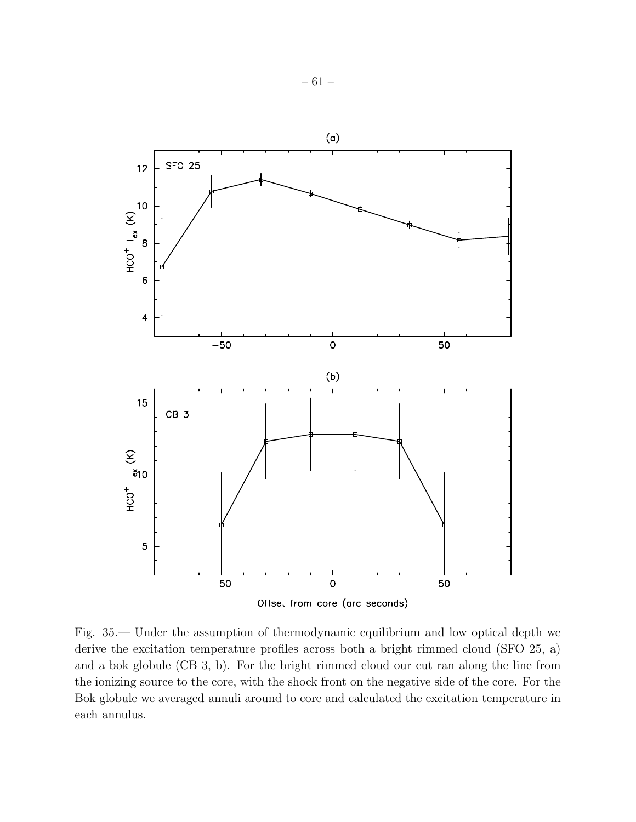

Fig. 35.— Under the assumption of thermodynamic equilibrium and low optical depth we derive the excitation temperature profiles across both a bright rimmed cloud (SFO 25, a) and a bok globule (CB 3, b). For the bright rimmed cloud our cut ran along the line from the ionizing source to the core, with the shock front on the negative side of the core. For the Bok globule we averaged annuli around to core and calculated the excitation temperature in each annulus.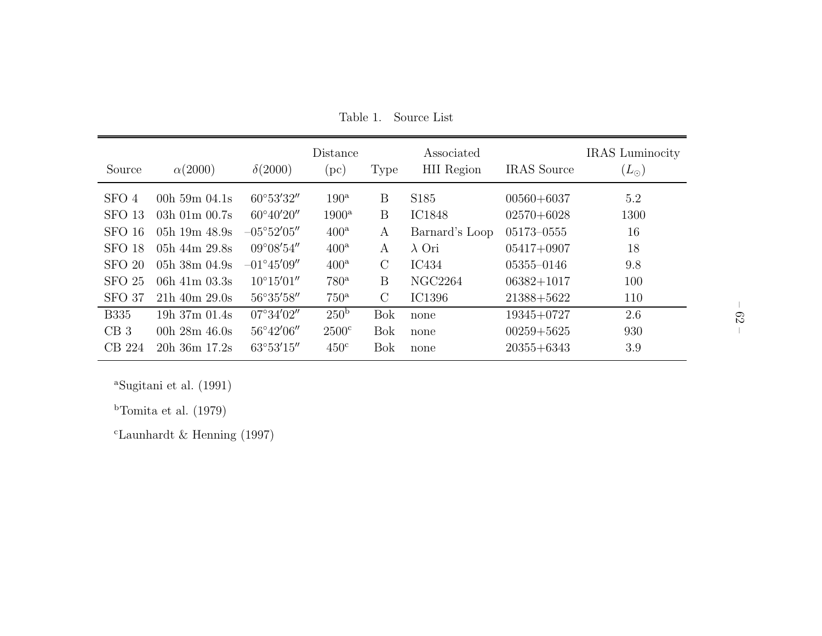| Source            | $\alpha(2000)$    | $\delta(2000)$       | Distance<br>$(\mathrm{pc})$ | <b>Type</b>   | Associated<br><b>HII</b> Region | <b>IRAS</b> Source | <b>IRAS</b> Luminocity<br>$(L_{\odot})$ |
|-------------------|-------------------|----------------------|-----------------------------|---------------|---------------------------------|--------------------|-----------------------------------------|
| SFO 4             | 00h $59m$ 04.1s   | 60°53'32"            | $190^{\rm a}$               | B             | S185                            | $00560 + 6037$     | 5.2                                     |
| SFO <sub>13</sub> | $03h$ 01m $00.7s$ | $60^{\circ}40'20''$  | $1900^{\mathrm{a}}$         | B             | <b>IC1848</b>                   | $02570 + 6028$     | 1300                                    |
| SFO 16            | 05h 19m $48.9s$   | $-05^{\circ}52'05''$ | 400 <sup>a</sup>            | A             | Barnard's Loop                  | 05173-0555         | 16                                      |
| SFO <sub>18</sub> | 05h $44m$ 29.8s   | $09^{\circ}08'54''$  | $400^{\mathrm{a}}$          | А             | $\lambda$ Ori                   | $05417+0907$       | 18                                      |
| SFO 20            | $05h$ 38m $04.9s$ | $-01^{\circ}45'09''$ | $400^{\rm a}$               | $\mathcal{C}$ | IC434                           | $05355 - 0146$     | 9.8                                     |
| <b>SFO 25</b>     | 06h $41m$ 03.3s   | $10^{\circ}15'01''$  | $780^{\mathrm{a}}$          | B             | <b>NGC2264</b>                  | $06382 + 1017$     | 100                                     |
| SFO 37            | $21h$ 40m $29.0s$ | 56°35'58"            | $750^{\rm a}$               | $\rm C$       | IC1396                          | 21388+5622         | 110                                     |
| <b>B335</b>       | 19h 37m 01.4s     | $07^{\circ}34'02''$  | 250 <sup>b</sup>            | <b>Bok</b>    | none                            | $19345 + 0727$     | 2.6                                     |
| CB3               | 00h $28m 46.0s$   | 56°42'06"            | $2500^{\circ}$              | <b>Bok</b>    | none                            | $00259 + 5625$     | 930                                     |
| CB 224            | 20h 36m 17.2s     | $63^{\circ}53'15''$  | 450 <sup>c</sup>            | <b>Bok</b>    | none                            | $20355 + 6343$     | 3.9                                     |

Table 1. Source List

<sup>a</sup>Sugitani et al.  $(1991)$ 

<sup>b</sup>Tomita et al. (1979)

 $^{\rm c}$  Launhardt & Henning (1997)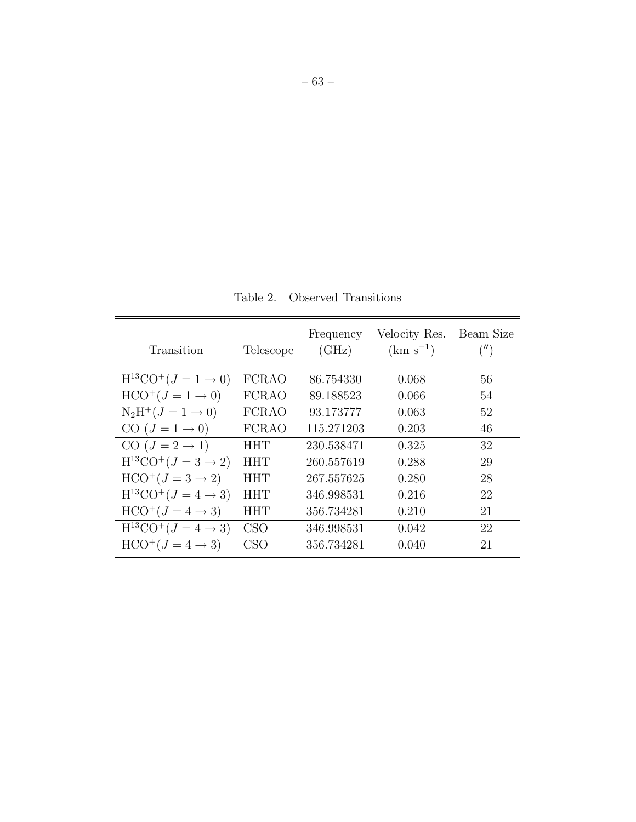Table 2. Observed Transitions

| Transition                           | Telescope    | Frequency<br>(GHz) | Velocity Res.<br>$(km s^{-1})$ | Beam Size<br>('') |
|--------------------------------------|--------------|--------------------|--------------------------------|-------------------|
| $H^{13}CO^{+}(J = 1 \rightarrow 0)$  | <b>FCRAO</b> | 86.754330          | 0.068                          | 56                |
| $HCO^{+}(J = 1 \rightarrow 0)$       | <b>FCRAO</b> | 89.188523          | 0.066                          | 54                |
| $N_2H^+(J = 1 \to 0)$                | <b>FCRAO</b> | 93.173777          | 0.063                          | 52                |
| CO $(J = 1 \rightarrow 0)$           | <b>FCRAO</b> | 115.271203         | 0.203                          | 46                |
| CO $(J = 2 \rightarrow 1)$           | ННТ          | 230.538471         | 0.325                          | 32                |
| $H^{13}CO^{+} (J = 3 \rightarrow 2)$ | HHT          | 260.557619         | 0.288                          | 29                |
| $HCO^{+}(J=3 \rightarrow 2)$         | ННТ          | 267.557625         | 0.280                          | 28                |
| $H^{13}CO^{+} (J = 4 \rightarrow 3)$ | <b>HHT</b>   | 346.998531         | 0.216                          | 22                |
| $HCO^+(J=4\rightarrow 3)$            | ННТ          | 356.734281         | 0.210                          | 21                |
| $H^{13}CO^{+} (J = 4 \rightarrow 3)$ | CSO          | 346.998531         | 0.042                          | 22                |
| $HCO^+(J = 4 \rightarrow 3)$         | <b>CSO</b>   | 356.734281         | 0.040                          | 21                |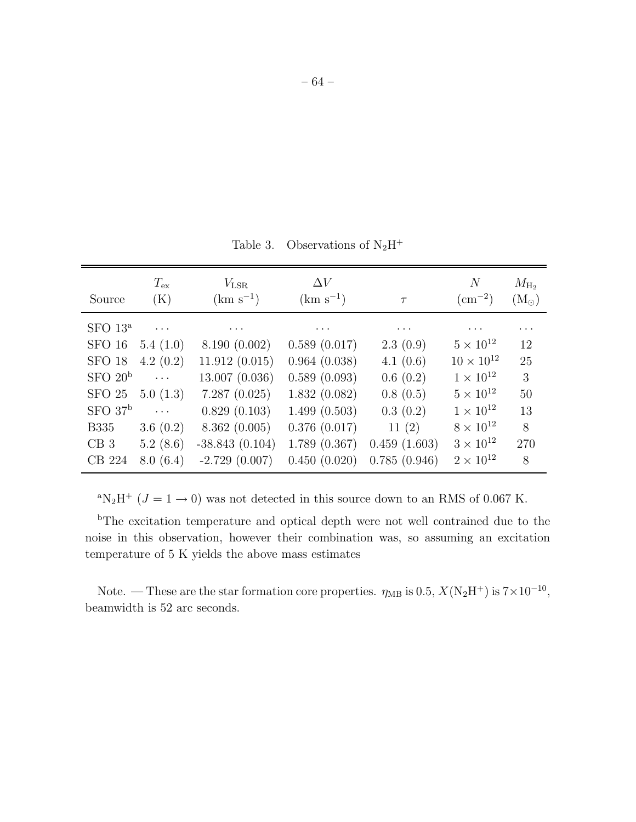Table 3. Observations of  $N_2H^+$ 

| Source              | $T_{\mathrm{ex}}$<br>(K) | $V_{\rm LSR}$<br>$(km s^{-1})$ | $\Delta V$<br>$(km s^{-1})$ | $\tau$       | N<br>$\rm \left( cm^{-2}\right)$ | $M_{\rm H_2}$<br>$(M_{\odot})$ |
|---------------------|--------------------------|--------------------------------|-----------------------------|--------------|----------------------------------|--------------------------------|
| SFO 13 <sup>a</sup> | $\cdots$                 | $\cdots$                       | $\cdots$                    | $\cdots$     | $\cdots$                         | $\cdots$                       |
| SFO 16              | 5.4(1.0)                 | 8.190(0.002)                   | 0.589(0.017)                | 2.3(0.9)     | $5 \times 10^{12}$               | 12                             |
| <b>SFO 18</b>       | 4.2(0.2)                 | 11.912(0.015)                  | 0.964(0.038)                | 4.1(0.6)     | $10 \times 10^{12}$              | 25                             |
| SFO 20 <sup>b</sup> | $\ldots$                 | 13.007 (0.036)                 | 0.589(0.093)                | 0.6(0.2)     | $1 \times 10^{12}$               | 3                              |
| SFO 25              | 5.0(1.3)                 | 7.287(0.025)                   | 1.832(0.082)                | 0.8(0.5)     | $5 \times 10^{12}$               | 50                             |
| SFO 37 <sup>b</sup> | $\ldots$                 | 0.829(0.103)                   | 1.499(0.503)                | 0.3(0.2)     | $1 \times 10^{12}$               | 13                             |
| <b>B335</b>         | 3.6 $(0.2)$              | 8.362(0.005)                   | 0.376(0.017)                | 11(2)        | $8 \times 10^{12}$               | 8                              |
| CB3                 | 5.2(8.6)                 | $-38.843(0.104)$               | 1.789(0.367)                | 0.459(1.603) | $3 \times 10^{12}$               | 270                            |
| CB 224              | 8.0(6.4)                 | $-2.729(0.007)$                | 0.450(0.020)                | 0.785(0.946) | $2 \times 10^{12}$               | 8                              |

<sup>a</sup>N<sub>2</sub>H<sup>+</sup> ( $J = 1 \rightarrow 0$ ) was not detected in this source down to an RMS of 0.067 K.

<sup>b</sup>The excitation temperature and optical depth were not well contrained due to the noise in this observation, however their combination was, so assuming an excitation temperature of 5 K yields the above mass estimates

Note. — These are the star formation core properties.  $\eta_{MB}$  is 0.5,  $X(N_2H^+)$  is  $7\times10^{-10}$ , beamwidth is 52 arc seconds.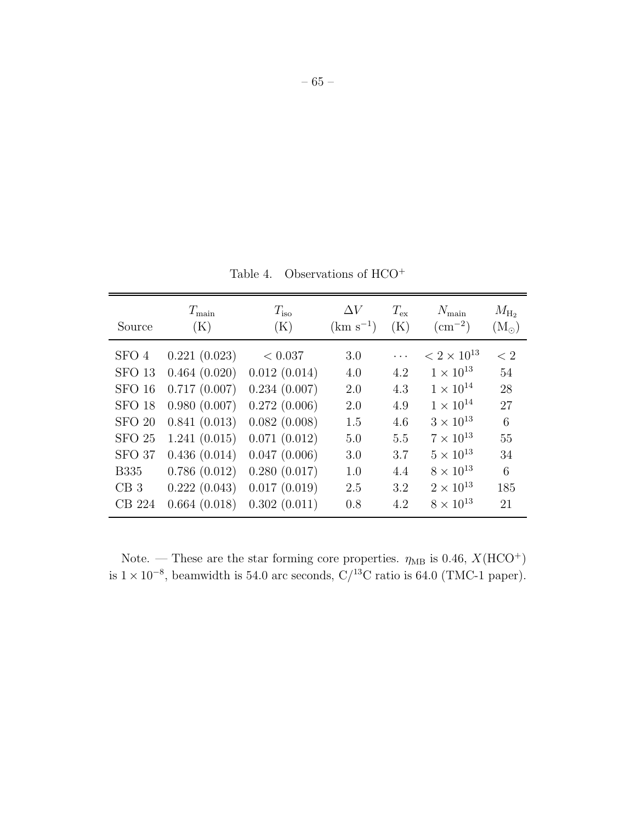Table 4. Observations of HCO<sup>+</sup>

| Source            | $T_{\rm main}$ | $T_{\rm iso}$ | $\Delta V$    | $T_{\rm ex}$ | $N_{\rm main}$       | $M_{\rm H_2}$     |
|-------------------|----------------|---------------|---------------|--------------|----------------------|-------------------|
|                   | (K)            | (K)           | $(km s^{-1})$ | (K)          | $\rm (cm^{-2})$      | $\rm (M_{\odot})$ |
| SFO 4             | 0.221(0.023)   | < 0.037       | 3.0           | .            | $< 2 \times 10^{13}$ | < 2               |
| SFO <sub>13</sub> | 0.464(0.020)   | 0.012(0.014)  | 4.0           | 4.2          | $1 \times 10^{13}$   | 54                |
| SFO 16            | 0.717(0.007)   | 0.234(0.007)  | 2.0           | 4.3          | $1 \times 10^{14}$   | 28                |
| SFO <sub>18</sub> | 0.980(0.007)   | 0.272(0.006)  | 2.0           | 4.9          | $1 \times 10^{14}$   | 27                |
| <b>SFO 20</b>     | 0.841(0.013)   | 0.082(0.008)  | 1.5           | 4.6          | $3 \times 10^{13}$   | 6                 |
| SFO <sub>25</sub> | 1.241(0.015)   | 0.071(0.012)  | 5.0           | 5.5          | $7 \times 10^{13}$   | 55                |
| SFO <sub>37</sub> | 0.436(0.014)   | 0.047(0.006)  | 3.0           | 3.7          | $5 \times 10^{13}$   | 34                |
| <b>B335</b>       | 0.786(0.012)   | 0.280(0.017)  | 1.0           | 4.4          | $8 \times 10^{13}$   | 6                 |
| CB3               | 0.222(0.043)   | 0.017(0.019)  | 2.5           | 3.2          | $2 \times 10^{13}$   | 185               |
| CB 224            | 0.664(0.018)   | 0.302(0.011)  | 0.8           | 4.2          | $8 \times 10^{13}$   | 21                |

Note. — These are the star forming core properties.  $\eta_{MB}$  is 0.46,  $X(\text{HCO}^+)$ is  $1 \times 10^{-8}$ , beamwidth is 54.0 arc seconds, C/<sup>13</sup>C ratio is 64.0 (TMC-1 paper).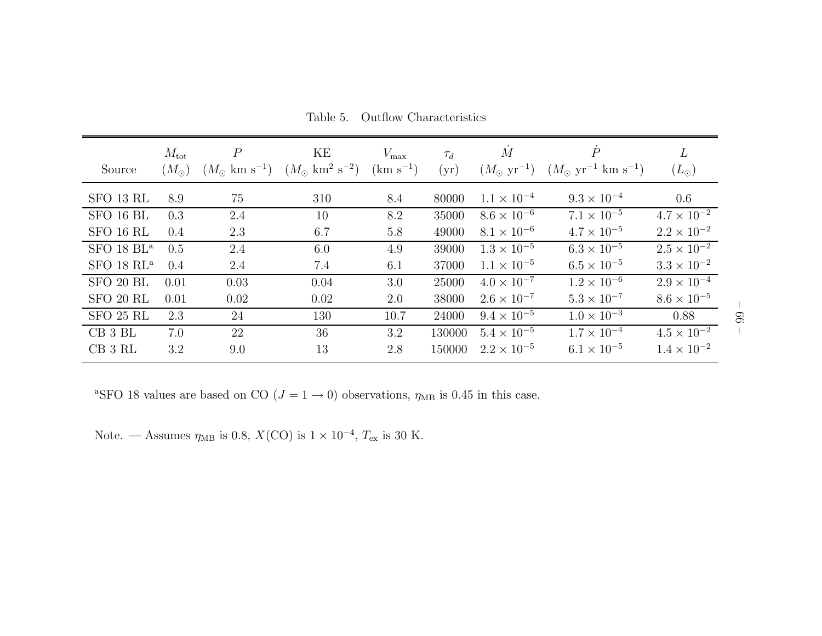| Source                 | $M_{\rm tot}$<br>$(M_{\odot})$ | $\overline{P}$<br>$(M_{\odot} \text{ km s}^{-1})$ | ΚE<br>$(M_{\odot} \text{ km}^{2} \text{ s}^{-2})$ | $V_{\rm max}$<br>$(km s^{-1})$ | $\tau_d$<br>(yr) | $\overline{M}$<br>$(M_{\odot} \text{ yr}^{-1})$ | $\overline{P}$<br>$(M_{\odot}~{\rm yr}^{-1}~{\rm km}~{\rm s}^{-1})$ | L<br>$(L_{\odot})$   |
|------------------------|--------------------------------|---------------------------------------------------|---------------------------------------------------|--------------------------------|------------------|-------------------------------------------------|---------------------------------------------------------------------|----------------------|
| SFO 13 RL              | 8.9                            | 75                                                | 310                                               | 8.4                            | 80000            | $1.1 \times 10^{-4}$                            | $9.3 \times 10^{-4}$                                                | 0.6                  |
| SFO 16 BL              | 0.3                            | 2.4                                               | 10                                                | 8.2                            | 35000            | $8.6 \times 10^{-6}$                            | $7.1 \times 10^{-5}$                                                | $4.7 \times 10^{-2}$ |
| SFO 16 RL              | 0.4                            | 2.3                                               | 6.7                                               | 5.8                            | 49000            | $8.1 \times 10^{-6}$                            | $4.7 \times 10^{-5}$                                                | $2.2 \times 10^{-2}$ |
| SFO 18 BL <sup>a</sup> | 0.5                            | 2.4                                               | 6.0                                               | 4.9                            | 39000            | $1.3 \times 10^{-5}$                            | $6.3 \times 10^{-5}$                                                | $2.5 \times 10^{-2}$ |
| $SFO$ 18 $RL^a$        | 0.4                            | 2.4                                               | 7.4                                               | 6.1                            | 37000            | $1.1 \times 10^{-5}$                            | $6.5 \times 10^{-5}$                                                | $3.3 \times 10^{-2}$ |
| SFO 20 BL              | 0.01                           | 0.03                                              | 0.04                                              | 3.0                            | 25000            | $4.0 \times 10^{-7}$                            | $1.2 \times 10^{-6}$                                                | $2.9 \times 10^{-4}$ |
| SFO 20 RL              | 0.01                           | 0.02                                              | 0.02                                              | 2.0                            | 38000            | $2.6 \times 10^{-7}$                            | $5.3 \times 10^{-7}$                                                | $8.6 \times 10^{-5}$ |
| SFO 25 RL              | 2.3                            | 24                                                | 130                                               | 10.7                           | 24000            | $9.4 \times 10^{-5}$                            | $1.0 \times 10^{-3}$                                                | 0.88                 |
| $CB$ 3 $BL$            | 7.0                            | 22                                                | 36                                                | 3.2                            | 130000           | $5.4 \times 10^{-5}$                            | $1.7 \times 10^{-4}$                                                | $4.5 \times 10^{-2}$ |
| CB 3 RL                | 3.2                            | 9.0                                               | 13                                                | 2.8                            | 150000           | $2.2 \times 10^{-5}$                            | $6.1 \times 10^{-5}$                                                | $1.4 \times 10^{-2}$ |

Table 5. Outflow Characteristics

<sup>a</sup>SFO 18 values are based on CO  $(J = 1 \rightarrow 0)$  observations,  $\eta_{MB}$  is 0.45 in this case.

Note. — Assumes  $\eta_{MB}$  is 0.8,  $X({\rm CO})$  is  $1 \times 10^{-4}$ ,  $T_{\rm ex}$  is 30 K.